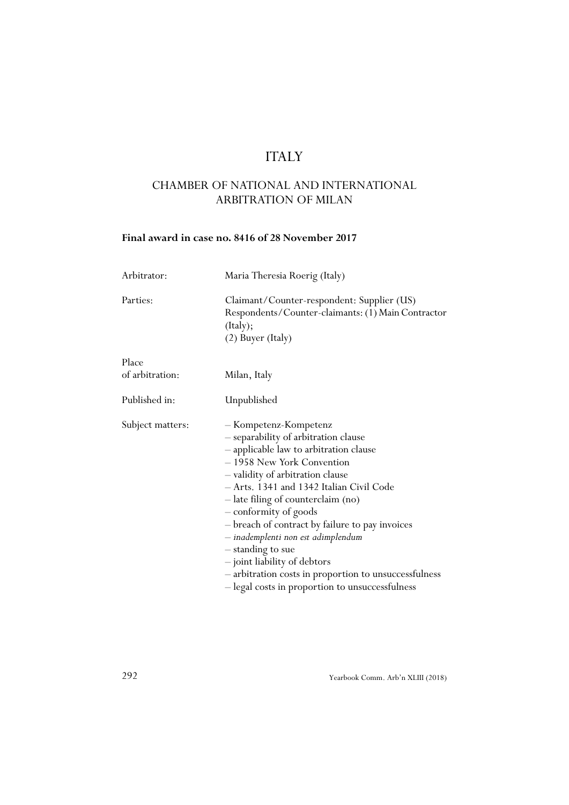# ITALY

# CHAMBER OF NATIONAL AND INTERNATIONAL ARBITRATION OF MILAN

## **Final award in case no. 8416 of 28 November 2017**

| Arbitrator:              | Maria Theresia Roerig (Italy)                                                                                                                                                                                                                                                                                                                                                                                                                                                                                                                  |
|--------------------------|------------------------------------------------------------------------------------------------------------------------------------------------------------------------------------------------------------------------------------------------------------------------------------------------------------------------------------------------------------------------------------------------------------------------------------------------------------------------------------------------------------------------------------------------|
| Parties:                 | Claimant/Counter-respondent: Supplier (US)<br>Respondents/Counter-claimants: (1) Main Contractor<br>(Italy);<br>(2) Buyer (Italy)                                                                                                                                                                                                                                                                                                                                                                                                              |
| Place<br>of arbitration: | Milan, Italy                                                                                                                                                                                                                                                                                                                                                                                                                                                                                                                                   |
| Published in:            | Unpublished                                                                                                                                                                                                                                                                                                                                                                                                                                                                                                                                    |
| Subject matters:         | - Kompetenz-Kompetenz<br>- separability of arbitration clause<br>- applicable law to arbitration clause<br>- 1958 New York Convention<br>- validity of arbitration clause<br>- Arts. 1341 and 1342 Italian Civil Code<br>- late filing of counterclaim (no)<br>- conformity of goods<br>- breach of contract by failure to pay invoices<br>- inademplenti non est adimplendum<br>- standing to sue<br>- joint liability of debtors<br>- arbitration costs in proportion to unsuccessfulness<br>- legal costs in proportion to unsuccessfulness |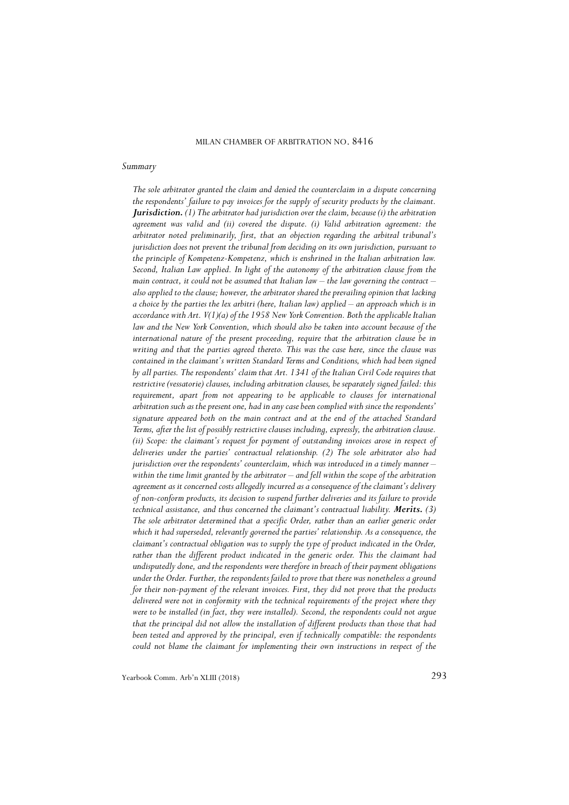### *Summary*

*The sole arbitrator granted the claim and denied the counterclaim in a dispute concerning the respondents' failure to pay invoices for the supply of security products by the claimant. Jurisdiction. (1) The arbitrator had jurisdiction over the claim, because (i) the arbitration agreement was valid and (ii) covered the dispute. (i) Valid arbitration agreement: the arbitrator noted preliminarily, first, that an objection regarding the arbitral tribunal's jurisdiction does not prevent the tribunal from deciding on its own jurisdiction, pursuant to the principle of Kompetenz-Kompetenz, which is enshrined in the Italian arbitration law. Second, Italian Law applied. In light of the autonomy of the arbitration clause from the main contract, it could not be assumed that Italian law – the law governing the contract – also applied to the clause; however, the arbitrator shared the prevailing opinion that lacking a choice by the parties the lex arbitri (here, Italian law) applied – an approach which is in accordance with Art. V(1)(a) of the 1958 New York Convention. Both the applicable Italian law and the New York Convention, which should also be taken into account because of the international nature of the present proceeding, require that the arbitration clause be in writing and that the parties agreed thereto. This was the case here, since the clause was contained in the claimant's written Standard Terms and Conditions, which had been signed by all parties. The respondents' claim that Art. 1341 of the Italian Civil Code requires that restrictive (vessatorie) clauses, including arbitration clauses, be separately signed failed: this requirement, apart from not appearing to be applicable to clauses for international arbitration such as the present one, had in any case been complied with since the respondents' signature appeared both on the main contract and at the end of the attached Standard Terms, after the list of possibly restrictive clauses including, expressly, the arbitration clause. (ii) Scope: the claimant's request for payment of outstanding invoices arose in respect of deliveries under the parties' contractual relationship. (2) The sole arbitrator also had jurisdiction over the respondents' counterclaim, which was introduced in a timely manner – within the time limit granted by the arbitrator – and fell within the scope of the arbitration agreement as it concerned costs allegedly incurred as a consequence of the claimant's delivery of non-conform products, its decision to suspend further deliveries and its failure to provide technical assistance, and thus concerned the claimant's contractual liability. Merits. (3) The sole arbitrator determined that a specific Order, rather than an earlier generic order which it had superseded, relevantly governed the parties' relationship. As a consequence, the claimant's contractual obligation was to supply the type of product indicated in the Order, rather than the different product indicated in the generic order. This the claimant had undisputedly done, and the respondents were therefore in breach of their payment obligations under the Order. Further, the respondents failed to prove that there was nonetheless a ground for their non-payment of the relevant invoices. First, they did not prove that the products delivered were not in conformity with the technical requirements of the project where they were to be installed (in fact, they were installed). Second, the respondents could not argue that the principal did not allow the installation of different products than those that had been tested and approved by the principal, even if technically compatible: the respondents could not blame the claimant for implementing their own instructions in respect of the*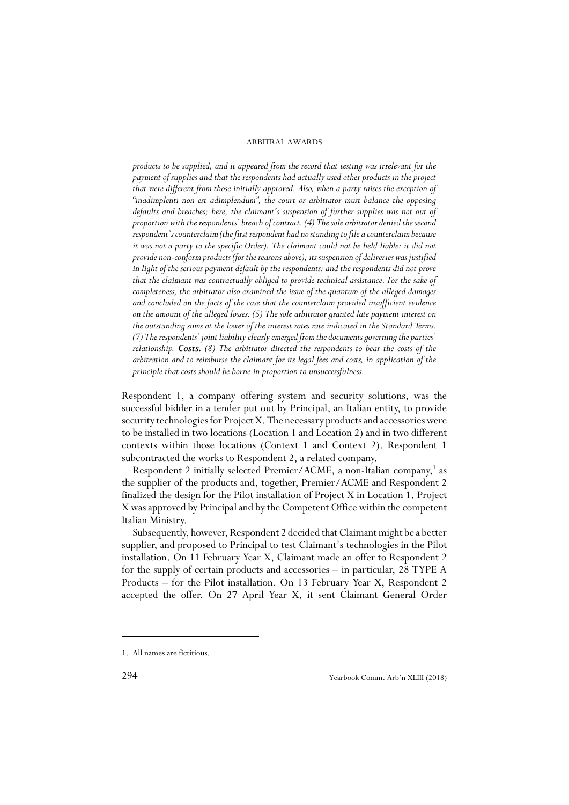*products to be supplied, and it appeared from the record that testing was irrelevant for the payment of supplies and that the respondents had actually used other products in the project that were different from those initially approved. Also, when a party raises the exception of "inadimplenti non est adimplendum", the court or arbitrator must balance the opposing defaults and breaches; here, the claimant's suspension of further supplies was not out of proportion with the respondents' breach of contract. (4) The sole arbitrator denied the second respondent's counterclaim (the first respondent had no standing to file a counterclaim because it was not a party to the specific Order). The claimant could not be held liable: it did not provide non-conform products (for the reasons above); its suspension of deliveries was justified in light of the serious payment default by the respondents; and the respondents did not prove that the claimant was contractually obliged to provide technical assistance. For the sake of completeness, the arbitrator also examined the issue of the quantum of the alleged damages and concluded on the facts of the case that the counterclaim provided insufficient evidence on the amount of the alleged losses. (5) The sole arbitrator granted late payment interest on the outstanding sums at the lower of the interest rates rate indicated in the Standard Terms. (7) The respondents' joint liability clearly emerged from the documents governing the parties' relationship. Costs. (8) The arbitrator directed the respondents to bear the costs of the arbitration and to reimburse the claimant for its legal fees and costs, in application of the principle that costs should be borne in proportion to unsuccessfulness.*

Respondent 1, a company offering system and security solutions, was the successful bidder in a tender put out by Principal, an Italian entity, to provide security technologies for Project X. The necessary products and accessories were to be installed in two locations (Location 1 and Location 2) and in two different contexts within those locations (Context 1 and Context 2). Respondent 1 subcontracted the works to Respondent 2, a related company.

Respondent 2 initially selected Premier/ACME, a non-Italian company,<sup>1</sup> as the supplier of the products and, together, Premier/ACME and Respondent 2 finalized the design for the Pilot installation of Project X in Location 1. Project X was approved by Principal and by the Competent Office within the competent Italian Ministry.

Subsequently, however, Respondent 2 decided that Claimant might be a better supplier, and proposed to Principal to test Claimant's technologies in the Pilot installation. On 11 February Year X, Claimant made an offer to Respondent 2 for the supply of certain products and accessories – in particular, 28 TYPE A Products – for the Pilot installation. On 13 February Year X, Respondent 2 accepted the offer. On 27 April Year X, it sent Claimant General Order

<sup>1.</sup> All names are fictitious.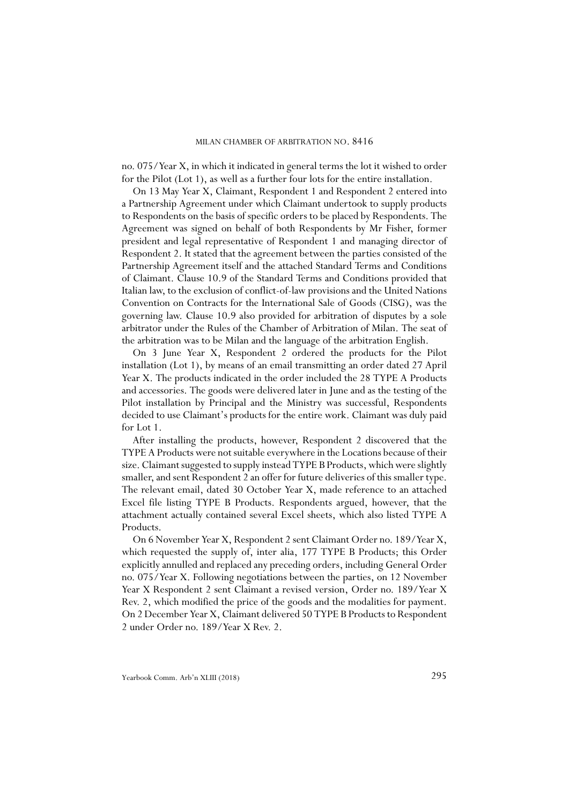no. 075/Year X, in which it indicated in general terms the lot it wished to order for the Pilot (Lot 1), as well as a further four lots for the entire installation.

On 13 May Year X, Claimant, Respondent 1 and Respondent 2 entered into a Partnership Agreement under which Claimant undertook to supply products to Respondents on the basis of specific orders to be placed by Respondents. The Agreement was signed on behalf of both Respondents by Mr Fisher, former president and legal representative of Respondent 1 and managing director of Respondent 2. It stated that the agreement between the parties consisted of the Partnership Agreement itself and the attached Standard Terms and Conditions of Claimant. Clause 10.9 of the Standard Terms and Conditions provided that Italian law, to the exclusion of conflict-of-law provisions and the United Nations Convention on Contracts for the International Sale of Goods (CISG), was the governing law. Clause 10.9 also provided for arbitration of disputes by a sole arbitrator under the Rules of the Chamber of Arbitration of Milan. The seat of the arbitration was to be Milan and the language of the arbitration English.

On 3 June Year X, Respondent 2 ordered the products for the Pilot installation (Lot 1), by means of an email transmitting an order dated 27 April Year X. The products indicated in the order included the 28 TYPE A Products and accessories. The goods were delivered later in June and as the testing of the Pilot installation by Principal and the Ministry was successful, Respondents decided to use Claimant's products for the entire work. Claimant was duly paid for Lot 1.

After installing the products, however, Respondent 2 discovered that the TYPE A Products were not suitable everywhere in the Locations because of their size. Claimant suggested to supply instead TYPE B Products, which were slightly smaller, and sent Respondent 2 an offer for future deliveries of this smaller type. The relevant email, dated 30 October Year X, made reference to an attached Excel file listing TYPE B Products. Respondents argued, however, that the attachment actually contained several Excel sheets, which also listed TYPE A Products.

On 6 November Year X, Respondent 2 sent Claimant Order no. 189/Year X, which requested the supply of, inter alia, 177 TYPE B Products; this Order explicitly annulled and replaced any preceding orders, including General Order no. 075/Year X. Following negotiations between the parties, on 12 November Year X Respondent 2 sent Claimant a revised version, Order no. 189/Year X Rev. 2, which modified the price of the goods and the modalities for payment. On 2 December Year X, Claimant delivered 50 TYPE B Products to Respondent 2 under Order no. 189/Year X Rev. 2.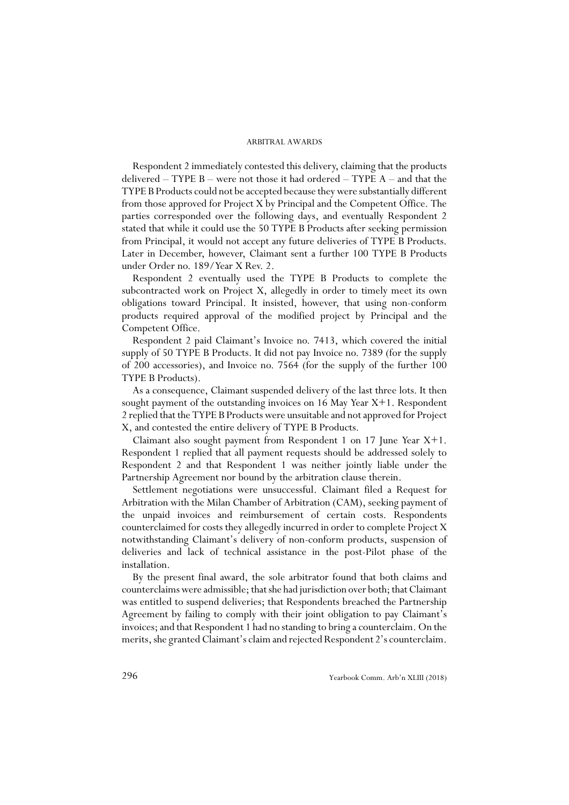Respondent 2 immediately contested this delivery, claiming that the products delivered – TYPE B – were not those it had ordered – TYPE A – and that the TYPE B Products could not be accepted because they were substantially different from those approved for Project X by Principal and the Competent Office. The parties corresponded over the following days, and eventually Respondent 2 stated that while it could use the 50 TYPE B Products after seeking permission from Principal, it would not accept any future deliveries of TYPE B Products. Later in December, however, Claimant sent a further 100 TYPE B Products under Order no. 189/Year X Rev. 2.

Respondent 2 eventually used the TYPE B Products to complete the subcontracted work on Project X, allegedly in order to timely meet its own obligations toward Principal. It insisted, however, that using non-conform products required approval of the modified project by Principal and the Competent Office.

Respondent 2 paid Claimant's Invoice no. 7413, which covered the initial supply of 50 TYPE B Products. It did not pay Invoice no. 7389 (for the supply of 200 accessories), and Invoice no. 7564 (for the supply of the further 100 TYPE B Products).

As a consequence, Claimant suspended delivery of the last three lots. It then sought payment of the outstanding invoices on 16 May Year X+1. Respondent 2 replied that the TYPE B Products were unsuitable and not approved for Project X, and contested the entire delivery of TYPE B Products.

Claimant also sought payment from Respondent 1 on 17 June Year X+1. Respondent 1 replied that all payment requests should be addressed solely to Respondent 2 and that Respondent 1 was neither jointly liable under the Partnership Agreement nor bound by the arbitration clause therein.

Settlement negotiations were unsuccessful. Claimant filed a Request for Arbitration with the Milan Chamber of Arbitration (CAM), seeking payment of the unpaid invoices and reimbursement of certain costs. Respondents counterclaimed for costs they allegedly incurred in order to complete Project X notwithstanding Claimant's delivery of non-conform products, suspension of deliveries and lack of technical assistance in the post-Pilot phase of the installation.

By the present final award, the sole arbitrator found that both claims and counterclaims were admissible; that she had jurisdiction over both; that Claimant was entitled to suspend deliveries; that Respondents breached the Partnership Agreement by failing to comply with their joint obligation to pay Claimant's invoices; and that Respondent 1 had no standing to bring a counterclaim. On the merits, she granted Claimant's claim and rejected Respondent 2's counterclaim.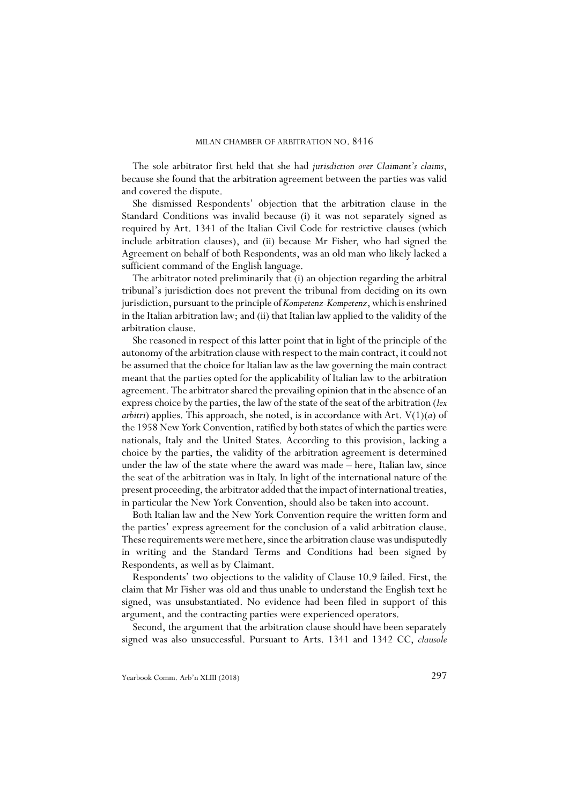The sole arbitrator first held that she had *jurisdiction over Claimant's claims*, because she found that the arbitration agreement between the parties was valid and covered the dispute.

She dismissed Respondents' objection that the arbitration clause in the Standard Conditions was invalid because (i) it was not separately signed as required by Art. 1341 of the Italian Civil Code for restrictive clauses (which include arbitration clauses), and (ii) because Mr Fisher, who had signed the Agreement on behalf of both Respondents, was an old man who likely lacked a sufficient command of the English language.

The arbitrator noted preliminarily that (i) an objection regarding the arbitral tribunal's jurisdiction does not prevent the tribunal from deciding on its own jurisdiction, pursuant to the principle of *Kompetenz-Kompetenz*, which is enshrined in the Italian arbitration law; and (ii) that Italian law applied to the validity of the arbitration clause.

She reasoned in respect of this latter point that in light of the principle of the autonomy of the arbitration clause with respect to the main contract, it could not be assumed that the choice for Italian law as the law governing the main contract meant that the parties opted for the applicability of Italian law to the arbitration agreement. The arbitrator shared the prevailing opinion that in the absence of an express choice by the parties, the law of the state of the seat of the arbitration (*lex arbitri*) applies. This approach, she noted, is in accordance with Art.  $V(1)(a)$  of the 1958 New York Convention, ratified by both states of which the parties were nationals, Italy and the United States. According to this provision, lacking a choice by the parties, the validity of the arbitration agreement is determined under the law of the state where the award was made – here, Italian law, since the seat of the arbitration was in Italy. In light of the international nature of the present proceeding, the arbitrator added that the impact of international treaties, in particular the New York Convention, should also be taken into account.

Both Italian law and the New York Convention require the written form and the parties' express agreement for the conclusion of a valid arbitration clause. These requirements were met here, since the arbitration clause was undisputedly in writing and the Standard Terms and Conditions had been signed by Respondents, as well as by Claimant.

Respondents' two objections to the validity of Clause 10.9 failed. First, the claim that Mr Fisher was old and thus unable to understand the English text he signed, was unsubstantiated. No evidence had been filed in support of this argument, and the contracting parties were experienced operators.

Second, the argument that the arbitration clause should have been separately signed was also unsuccessful. Pursuant to Arts. 1341 and 1342 CC, *clausole*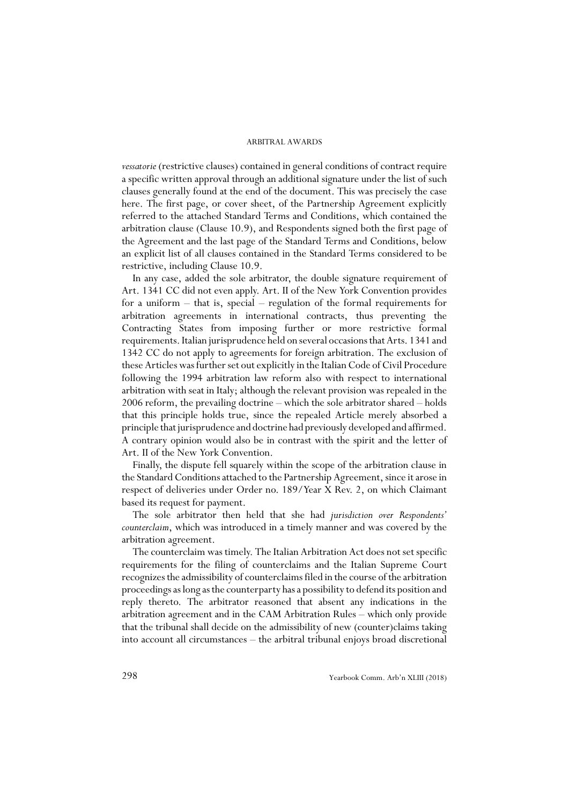*vessatorie* (restrictive clauses) contained in general conditions of contract require a specific written approval through an additional signature under the list of such clauses generally found at the end of the document. This was precisely the case here. The first page, or cover sheet, of the Partnership Agreement explicitly referred to the attached Standard Terms and Conditions, which contained the arbitration clause (Clause 10.9), and Respondents signed both the first page of the Agreement and the last page of the Standard Terms and Conditions, below an explicit list of all clauses contained in the Standard Terms considered to be restrictive, including Clause 10.9.

In any case, added the sole arbitrator, the double signature requirement of Art. 1341 CC did not even apply. Art. II of the New York Convention provides for a uniform – that is, special – regulation of the formal requirements for arbitration agreements in international contracts, thus preventing the Contracting States from imposing further or more restrictive formal requirements. Italian jurisprudence held on several occasions that Arts. 1341 and 1342 CC do not apply to agreements for foreign arbitration. The exclusion of these Articles was further set out explicitly in the Italian Code of Civil Procedure following the 1994 arbitration law reform also with respect to international arbitration with seat in Italy; although the relevant provision was repealed in the 2006 reform, the prevailing doctrine – which the sole arbitrator shared – holds that this principle holds true, since the repealed Article merely absorbed a principle that jurisprudence and doctrine had previously developed and affirmed. A contrary opinion would also be in contrast with the spirit and the letter of Art. II of the New York Convention.

Finally, the dispute fell squarely within the scope of the arbitration clause in the Standard Conditions attached to the Partnership Agreement, since it arose in respect of deliveries under Order no. 189/Year X Rev. 2, on which Claimant based its request for payment.

The sole arbitrator then held that she had *jurisdiction over Respondents' counterclaim*, which was introduced in a timely manner and was covered by the arbitration agreement.

The counterclaim was timely. The Italian Arbitration Act does not set specific requirements for the filing of counterclaims and the Italian Supreme Court recognizes the admissibility of counterclaims filed in the course of the arbitration proceedings as long as the counterparty has a possibility to defend its position and reply thereto. The arbitrator reasoned that absent any indications in the arbitration agreement and in the CAM Arbitration Rules – which only provide that the tribunal shall decide on the admissibility of new (counter)claims taking into account all circumstances – the arbitral tribunal enjoys broad discretional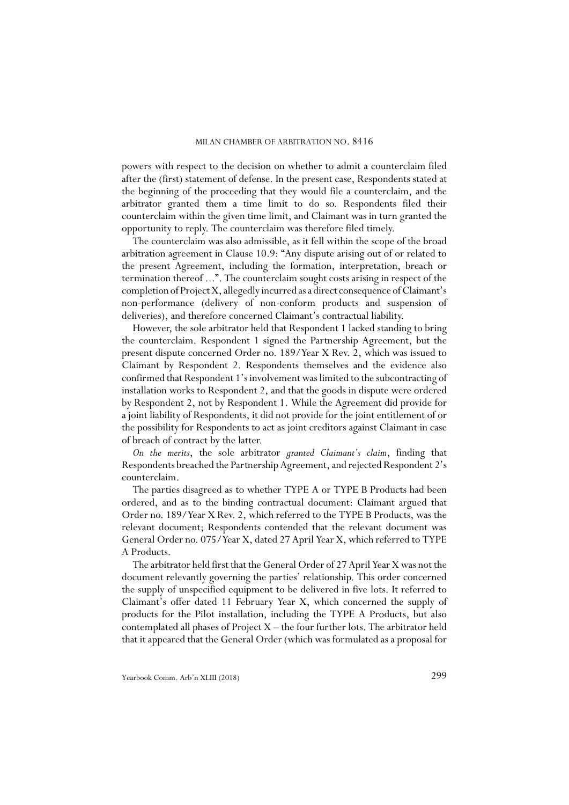powers with respect to the decision on whether to admit a counterclaim filed after the (first) statement of defense. In the present case, Respondents stated at the beginning of the proceeding that they would file a counterclaim, and the arbitrator granted them a time limit to do so. Respondents filed their counterclaim within the given time limit, and Claimant was in turn granted the opportunity to reply. The counterclaim was therefore filed timely.

The counterclaim was also admissible, as it fell within the scope of the broad arbitration agreement in Clause 10.9: "Any dispute arising out of or related to the present Agreement, including the formation, interpretation, breach or termination thereof ...". The counterclaim sought costs arising in respect of the completion of Project X, allegedly incurred as a direct consequence of Claimant's non-performance (delivery of non-conform products and suspension of deliveries), and therefore concerned Claimant's contractual liability.

However, the sole arbitrator held that Respondent 1 lacked standing to bring the counterclaim. Respondent 1 signed the Partnership Agreement, but the present dispute concerned Order no. 189/Year X Rev. 2, which was issued to Claimant by Respondent 2. Respondents themselves and the evidence also confirmed that Respondent 1's involvement was limited to the subcontracting of installation works to Respondent 2, and that the goods in dispute were ordered by Respondent 2, not by Respondent 1. While the Agreement did provide for a joint liability of Respondents, it did not provide for the joint entitlement of or the possibility for Respondents to act as joint creditors against Claimant in case of breach of contract by the latter.

*On the merits*, the sole arbitrator *granted Claimant's claim*, finding that Respondents breached the Partnership Agreement, and rejected Respondent 2's counterclaim.

The parties disagreed as to whether TYPE A or TYPE B Products had been ordered, and as to the binding contractual document: Claimant argued that Order no. 189/Year X Rev. 2, which referred to the TYPE B Products, was the relevant document; Respondents contended that the relevant document was General Order no. 075/Year X, dated 27 April Year X, which referred to TYPE A Products.

The arbitrator held first that the General Order of 27 April Year X was not the document relevantly governing the parties' relationship. This order concerned the supply of unspecified equipment to be delivered in five lots. It referred to Claimant's offer dated 11 February Year X, which concerned the supply of products for the Pilot installation, including the TYPE A Products, but also contemplated all phases of Project  $X$  – the four further lots. The arbitrator held that it appeared that the General Order (which was formulated as a proposal for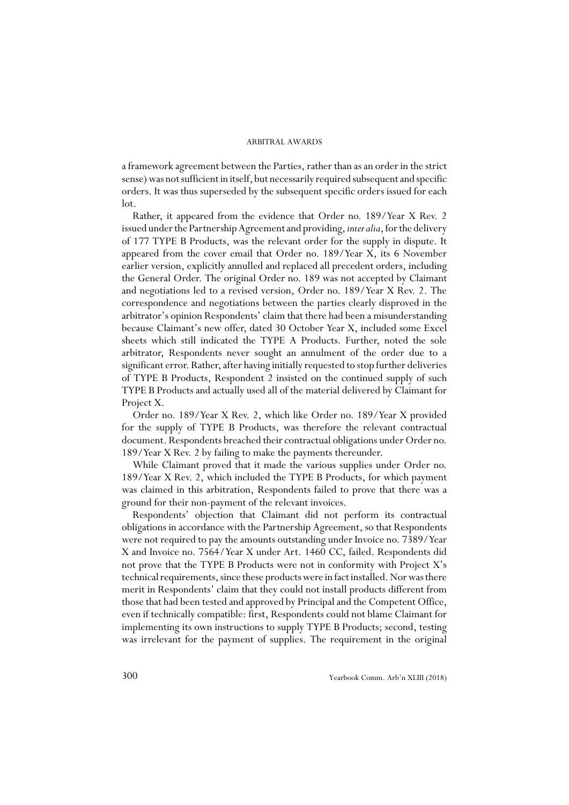a framework agreement between the Parties, rather than as an order in the strict sense) was not sufficient in itself, but necessarily required subsequent and specific orders. It was thus superseded by the subsequent specific orders issued for each lot.

Rather, it appeared from the evidence that Order no. 189/Year X Rev. 2 issued under the Partnership Agreement and providing, *inter alia*, for the delivery of 177 TYPE B Products, was the relevant order for the supply in dispute. It appeared from the cover email that Order no. 189/Year X, its 6 November earlier version, explicitly annulled and replaced all precedent orders, including the General Order. The original Order no. 189 was not accepted by Claimant and negotiations led to a revised version, Order no. 189/Year X Rev. 2. The correspondence and negotiations between the parties clearly disproved in the arbitrator's opinion Respondents' claim that there had been a misunderstanding because Claimant's new offer, dated 30 October Year X, included some Excel sheets which still indicated the TYPE A Products. Further, noted the sole arbitrator, Respondents never sought an annulment of the order due to a significant error. Rather, after having initially requested to stop further deliveries of TYPE B Products, Respondent 2 insisted on the continued supply of such TYPE B Products and actually used all of the material delivered by Claimant for Project X.

Order no. 189/Year X Rev. 2, which like Order no. 189/Year X provided for the supply of TYPE B Products, was therefore the relevant contractual document. Respondents breached their contractual obligations under Order no. 189/Year X Rev. 2 by failing to make the payments thereunder.

While Claimant proved that it made the various supplies under Order no. 189/Year X Rev. 2, which included the TYPE B Products, for which payment was claimed in this arbitration, Respondents failed to prove that there was a ground for their non-payment of the relevant invoices.

Respondents' objection that Claimant did not perform its contractual obligations in accordance with the Partnership Agreement, so that Respondents were not required to pay the amounts outstanding under Invoice no. 7389/Year X and Invoice no. 7564/Year X under Art. 1460 CC, failed. Respondents did not prove that the TYPE B Products were not in conformity with Project X's technical requirements, since these products were in fact installed. Nor was there merit in Respondents' claim that they could not install products different from those that had been tested and approved by Principal and the Competent Office, even if technically compatible: first, Respondents could not blame Claimant for implementing its own instructions to supply TYPE B Products; second, testing was irrelevant for the payment of supplies. The requirement in the original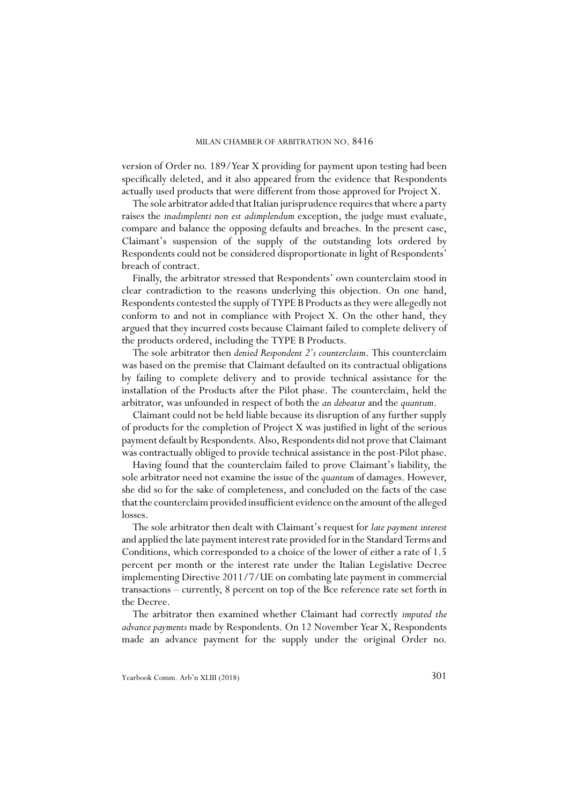version of Order no. 189/Year X providing for payment upon testing had been specifically deleted, and it also appeared from the evidence that Respondents actually used products that were different from those approved for Project X.

The sole arbitrator added that Italian jurisprudence requires that where a party raises the *inadimplenti non est adimplendum* exception, the judge must evaluate, compare and balance the opposing defaults and breaches. In the present case, Claimant's suspension of the supply of the outstanding lots ordered by Respondents could not be considered disproportionate in light of Respondents' breach of contract.

Finally, the arbitrator stressed that Respondents' own counterclaim stood in clear contradiction to the reasons underlying this objection. On one hand, Respondents contested the supply of TYPE B Products as they were allegedly not conform to and not in compliance with Project X. On the other hand, they argued that they incurred costs because Claimant failed to complete delivery of the products ordered, including the TYPE B Products.

The sole arbitrator then *denied Respondent 2's counterclaim*. This counterclaim was based on the premise that Claimant defaulted on its contractual obligations by failing to complete delivery and to provide technical assistance for the installation of the Products after the Pilot phase. The counterclaim, held the arbitrator, was unfounded in respect of both the *an debeatur* and the *quantum*.

Claimant could not be held liable because its disruption of any further supply of products for the completion of Project X was justified in light of the serious payment default by Respondents. Also, Respondents did not prove that Claimant was contractually obliged to provide technical assistance in the post-Pilot phase.

Having found that the counterclaim failed to prove Claimant's liability, the sole arbitrator need not examine the issue of the *quantum* of damages. However, she did so for the sake of completeness, and concluded on the facts of the case that the counterclaim provided insufficient evidence on the amount of the alleged losses.

The sole arbitrator then dealt with Claimant's request for *late payment interest* and applied the late payment interest rate provided for in the Standard Terms and Conditions, which corresponded to a choice of the lower of either a rate of 1.5 percent per month or the interest rate under the Italian Legislative Decree implementing Directive 2011/7/UE on combating late payment in commercial transactions – currently, 8 percent on top of the Bce reference rate set forth in the Decree.

The arbitrator then examined whether Claimant had correctly *imputed the advance payments* made by Respondents. On 12 November Year X, Respondents made an advance payment for the supply under the original Order no.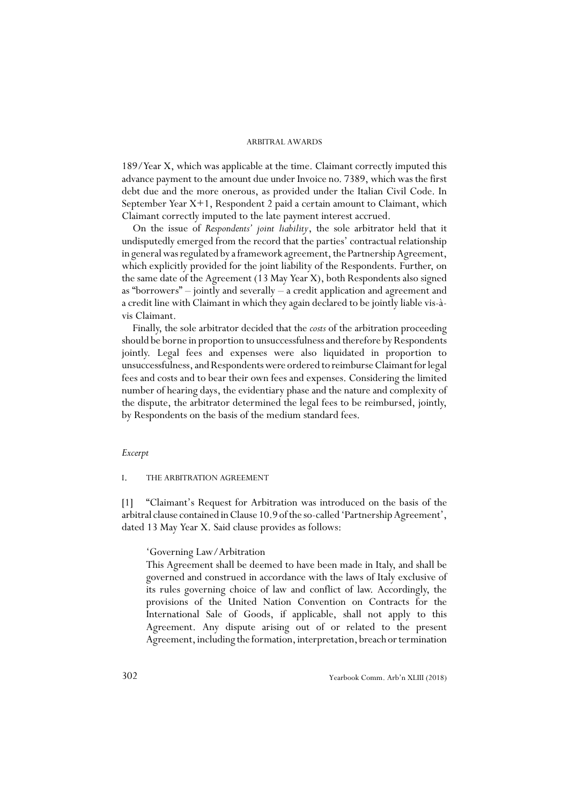189/Year X, which was applicable at the time. Claimant correctly imputed this advance payment to the amount due under Invoice no. 7389, which was the first debt due and the more onerous, as provided under the Italian Civil Code. In September Year X+1, Respondent 2 paid a certain amount to Claimant, which Claimant correctly imputed to the late payment interest accrued.

On the issue of *Respondents' joint liability*, the sole arbitrator held that it undisputedly emerged from the record that the parties' contractual relationship in general was regulated by a framework agreement, the Partnership Agreement, which explicitly provided for the joint liability of the Respondents. Further, on the same date of the Agreement (13 May Year X), both Respondents also signed as "borrowers" – jointly and severally – a credit application and agreement and a credit line with Claimant in which they again declared to be jointly liable vis-àvis Claimant.

Finally, the sole arbitrator decided that the *costs* of the arbitration proceeding should be borne in proportion to unsuccessfulness and therefore by Respondents jointly. Legal fees and expenses were also liquidated in proportion to unsuccessfulness, and Respondents were ordered to reimburse Claimant for legal fees and costs and to bear their own fees and expenses. Considering the limited number of hearing days, the evidentiary phase and the nature and complexity of the dispute, the arbitrator determined the legal fees to be reimbursed, jointly, by Respondents on the basis of the medium standard fees.

### *Excerpt*

### I. THE ARBITRATION AGREEMENT

[1] "Claimant's Request for Arbitration was introduced on the basis of the arbitral clause contained in Clause 10.9 of the so-called 'Partnership Agreement', dated 13 May Year X. Said clause provides as follows:

### 'Governing Law/Arbitration

This Agreement shall be deemed to have been made in Italy, and shall be governed and construed in accordance with the laws of Italy exclusive of its rules governing choice of law and conflict of law. Accordingly, the provisions of the United Nation Convention on Contracts for the International Sale of Goods, if applicable, shall not apply to this Agreement. Any dispute arising out of or related to the present Agreement, including the formation, interpretation, breach or termination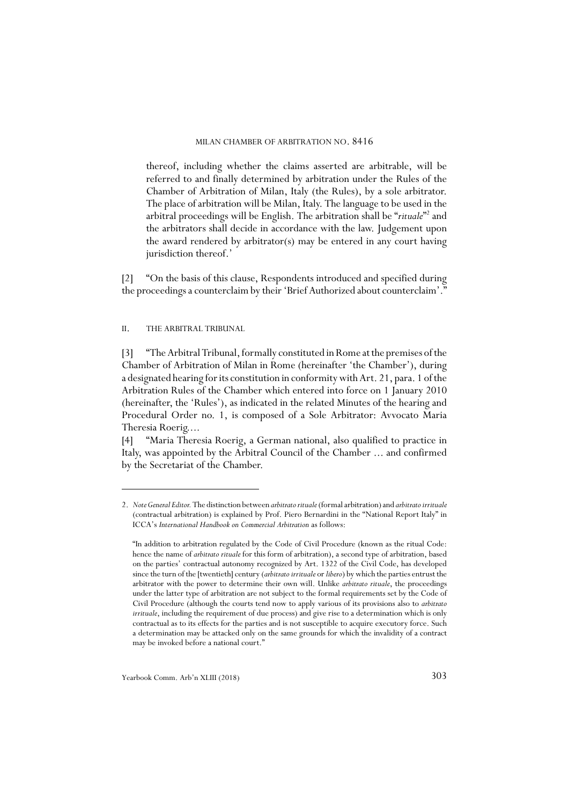thereof, including whether the claims asserted are arbitrable, will be referred to and finally determined by arbitration under the Rules of the Chamber of Arbitration of Milan, Italy (the Rules), by a sole arbitrator. The place of arbitration will be Milan, Italy. The language to be used in the arbitral proceedings will be English. The arbitration shall be "rituale"<sup>2</sup> and the arbitrators shall decide in accordance with the law. Judgement upon the award rendered by arbitrator(s) may be entered in any court having jurisdiction thereof.'

[2] "On the basis of this clause, Respondents introduced and specified during the proceedings a counterclaim by their 'Brief Authorized about counterclaim'."

II. THE ARBITRAL TRIBUNAL

[3] "The Arbitral Tribunal, formally constituted in Rome at the premises of the Chamber of Arbitration of Milan in Rome (hereinafter 'the Chamber'), during a designated hearing for its constitution in conformity with Art. 21, para. 1 of the Arbitration Rules of the Chamber which entered into force on 1 January 2010 (hereinafter, the 'Rules'), as indicated in the related Minutes of the hearing and Procedural Order no. 1, is composed of a Sole Arbitrator: Avvocato Maria Theresia Roerig....

[4] "Maria Theresia Roerig, a German national, also qualified to practice in Italy, was appointed by the Arbitral Council of the Chamber ... and confirmed by the Secretariat of the Chamber.

<sup>2.</sup> *Note General Editor.* The distinction between *arbitrato rituale* (formal arbitration) and *arbitrato irrituale* (contractual arbitration) is explained by Prof. Piero Bernardini in the "National Report Italy" in ICCA's *International Handbook on Commercial Arbitration* as follows:

<sup>&</sup>quot;In addition to arbitration regulated by the Code of Civil Procedure (known as the ritual Code: hence the name of *arbitrato rituale* for this form of arbitration), a second type of arbitration, based on the parties' contractual autonomy recognized by Art. 1322 of the Civil Code, has developed since the turn of the [twentieth] century (*arbitrato irrituale* or *libero*) by which the parties entrust the arbitrator with the power to determine their own will. Unlike *arbitrato rituale*, the proceedings under the latter type of arbitration are not subject to the formal requirements set by the Code of Civil Procedure (although the courts tend now to apply various of its provisions also to *arbitrato irrituale*, including the requirement of due process) and give rise to a determination which is only contractual as to its effects for the parties and is not susceptible to acquire executory force. Such a determination may be attacked only on the same grounds for which the invalidity of a contract may be invoked before a national court."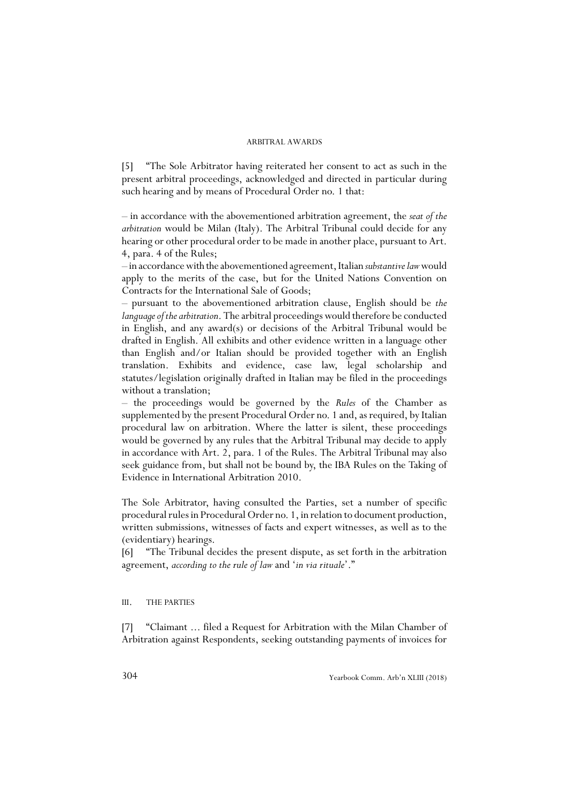[5] "The Sole Arbitrator having reiterated her consent to act as such in the present arbitral proceedings, acknowledged and directed in particular during such hearing and by means of Procedural Order no. 1 that:

– in accordance with the abovementioned arbitration agreement, the *seat of the arbitration* would be Milan (Italy). The Arbitral Tribunal could decide for any hearing or other procedural order to be made in another place, pursuant to Art. 4, para. 4 of the Rules;

– in accordance with the abovementioned agreement, Italian *substantive law* would apply to the merits of the case, but for the United Nations Convention on Contracts for the International Sale of Goods;

– pursuant to the abovementioned arbitration clause, English should be *the language of the arbitration*. The arbitral proceedings would therefore be conducted in English, and any award(s) or decisions of the Arbitral Tribunal would be drafted in English. All exhibits and other evidence written in a language other than English and/or Italian should be provided together with an English translation. Exhibits and evidence, case law, legal scholarship and statutes/legislation originally drafted in Italian may be filed in the proceedings without a translation;

– the proceedings would be governed by the *Rules* of the Chamber as supplemented by the present Procedural Order no. 1 and, as required, by Italian procedural law on arbitration. Where the latter is silent, these proceedings would be governed by any rules that the Arbitral Tribunal may decide to apply in accordance with Art. 2, para. 1 of the Rules. The Arbitral Tribunal may also seek guidance from, but shall not be bound by, the IBA Rules on the Taking of Evidence in International Arbitration 2010.

The Sole Arbitrator, having consulted the Parties, set a number of specific procedural rules in Procedural Order no. 1, in relation to document production, written submissions, witnesses of facts and expert witnesses, as well as to the (evidentiary) hearings.

[6] "The Tribunal decides the present dispute, as set forth in the arbitration agreement, *according to the rule of law* and '*in via rituale*'."

### III. THE PARTIES

[7] "Claimant ... filed a Request for Arbitration with the Milan Chamber of Arbitration against Respondents, seeking outstanding payments of invoices for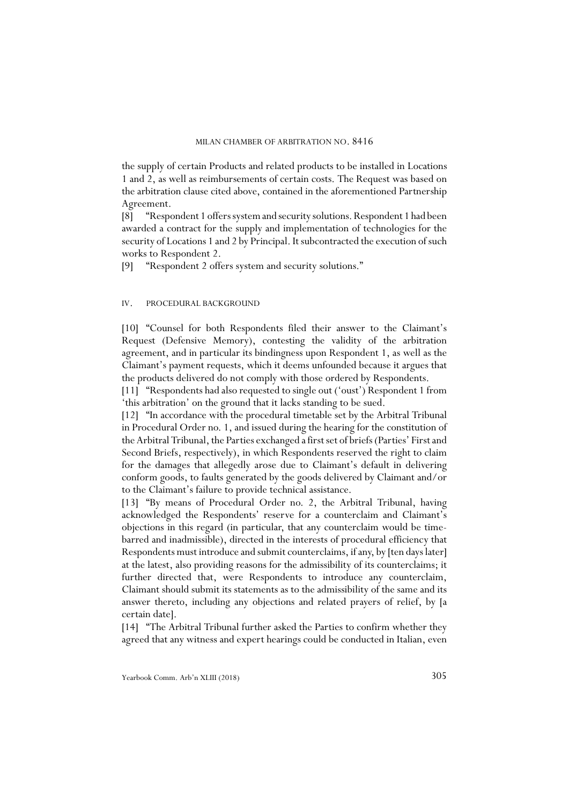the supply of certain Products and related products to be installed in Locations 1 and 2, as well as reimbursements of certain costs. The Request was based on the arbitration clause cited above, contained in the aforementioned Partnership Agreement.

[8] "Respondent 1 offers system and security solutions. Respondent 1 had been awarded a contract for the supply and implementation of technologies for the security of Locations 1 and 2 by Principal. It subcontracted the execution of such works to Respondent 2.

[9] "Respondent 2 offers system and security solutions."

### IV. PROCEDURAL BACKGROUND

[10] "Counsel for both Respondents filed their answer to the Claimant's Request (Defensive Memory), contesting the validity of the arbitration agreement, and in particular its bindingness upon Respondent 1, as well as the Claimant's payment requests, which it deems unfounded because it argues that the products delivered do not comply with those ordered by Respondents.

[11] "Respondents had also requested to single out ('oust') Respondent 1 from 'this arbitration' on the ground that it lacks standing to be sued.

[12] "In accordance with the procedural timetable set by the Arbitral Tribunal in Procedural Order no. 1, and issued during the hearing for the constitution of the Arbitral Tribunal, the Parties exchanged a first set of briefs (Parties' First and Second Briefs, respectively), in which Respondents reserved the right to claim for the damages that allegedly arose due to Claimant's default in delivering conform goods, to faults generated by the goods delivered by Claimant and/or to the Claimant's failure to provide technical assistance.

[13] "By means of Procedural Order no. 2, the Arbitral Tribunal, having acknowledged the Respondents' reserve for a counterclaim and Claimant's objections in this regard (in particular, that any counterclaim would be timebarred and inadmissible), directed in the interests of procedural efficiency that Respondents must introduce and submit counterclaims, if any, by [ten days later] at the latest, also providing reasons for the admissibility of its counterclaims; it further directed that, were Respondents to introduce any counterclaim, Claimant should submit its statements as to the admissibility of the same and its answer thereto, including any objections and related prayers of relief, by [a certain date].

[14] "The Arbitral Tribunal further asked the Parties to confirm whether they agreed that any witness and expert hearings could be conducted in Italian, even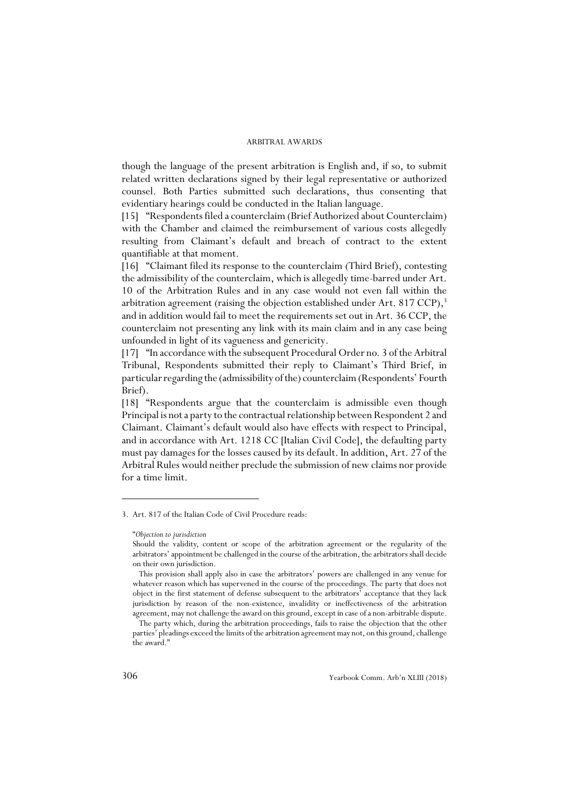though the language of the present arbitration is English and, if so, to submit related written declarations signed by their legal representative or authorized counsel. Both Parties submitted such declarations, thus consenting that evidentiary hearings could be conducted in the Italian language.

[15] "Respondents filed a counterclaim (Brief Authorized about Counterclaim) with the Chamber and claimed the reimbursement of various costs allegedly resulting from Claimant's default and breach of contract to the extent quantifiable at that moment.

[16] "Claimant filed its response to the counterclaim (Third Brief), contesting the admissibility of the counterclaim, which is allegedly time-barred under Art. 10 of the Arbitration Rules and in any case would not even fall within the arbitration agreement (raising the objection established under Art. 817 CCP), $3$ and in addition would fail to meet the requirements set out in Art. 36 CCP, the counterclaim not presenting any link with its main claim and in any case being unfounded in light of its vagueness and genericity.

[17] "In accordance with the subsequent Procedural Order no. 3 of the Arbitral Tribunal, Respondents submitted their reply to Claimant's Third Brief, in particular regarding the (admissibility of the) counterclaim (Respondents' Fourth Brief).

[18] "Respondents argue that the counterclaim is admissible even though Principal is not a party to the contractual relationship between Respondent 2 and Claimant. Claimant's default would also have effects with respect to Principal, and in accordance with Art. 1218 CC [Italian Civil Code], the defaulting party must pay damages for the losses caused by its default. In addition, Art. 27 of the Arbitral Rules would neither preclude the submission of new claims nor provide for a time limit.

<sup>3.</sup> Art. 817 of the Italian Code of Civil Procedure reads:

<sup>&</sup>quot;*Objection to jurisdiction*

Should the validity, content or scope of the arbitration agreement or the regularity of the arbitrators' appointment be challenged in the course of the arbitration, the arbitrators shall decide on their own jurisdiction.

This provision shall apply also in case the arbitrators' powers are challenged in any venue for whatever reason which has supervened in the course of the proceedings. The party that does not object in the first statement of defense subsequent to the arbitrators' acceptance that they lack jurisdiction by reason of the non-existence, invalidity or ineffectiveness of the arbitration agreement, may not challenge the award on this ground, except in case of a non-arbitrable dispute.

The party which, during the arbitration proceedings, fails to raise the objection that the other parties' pleadings exceed the limits of the arbitration agreement may not, on this ground, challenge the award."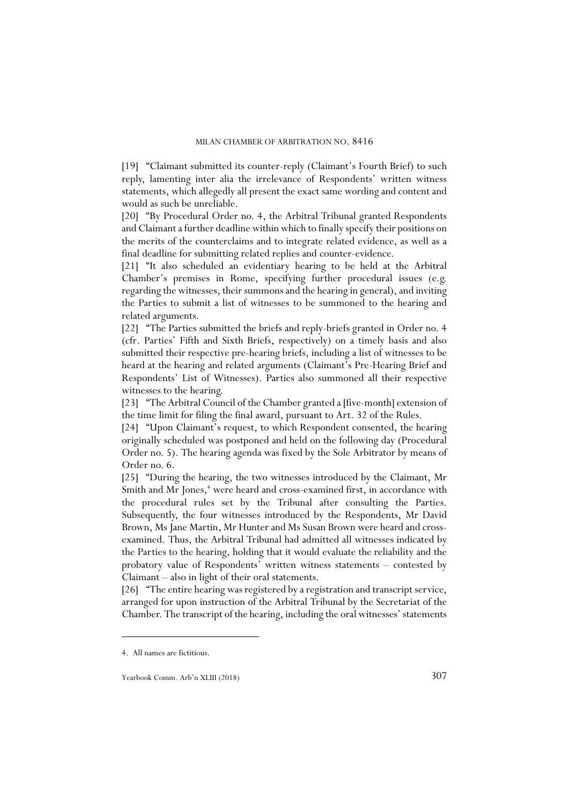[19] "Claimant submitted its counter-reply (Claimant's Fourth Brief) to such reply, lamenting inter alia the irrelevance of Respondents' written witness statements, which allegedly all present the exact same wording and content and would as such be unreliable.

[20] "By Procedural Order no. 4, the Arbitral Tribunal granted Respondents and Claimant a further deadline within which to finally specify their positions on the merits of the counterclaims and to integrate related evidence, as well as a final deadline for submitting related replies and counter-evidence.

[21] "It also scheduled an evidentiary hearing to be held at the Arbitral Chamber's premises in Rome, specifying further procedural issues (e.g. regarding the witnesses, their summons and the hearing in general), and inviting the Parties to submit a list of witnesses to be summoned to the hearing and related arguments.

[22] "The Parties submitted the briefs and reply-briefs granted in Order no. 4 (cfr. Parties' Fifth and Sixth Briefs, respectively) on a timely basis and also submitted their respective pre-hearing briefs, including a list of witnesses to be heard at the hearing and related arguments (Claimant's Pre-Hearing Brief and Respondents' List of Witnesses). Parties also summoned all their respective witnesses to the hearing.

[23] "The Arbitral Council of the Chamber granted a [five-month] extension of the time limit for filing the final award, pursuant to Art. 32 of the Rules.

[24] "Upon Claimant's request, to which Respondent consented, the hearing originally scheduled was postponed and held on the following day (Procedural Order no. 5). The hearing agenda was fixed by the Sole Arbitrator by means of Order no. 6.

[25] "During the hearing, the two witnesses introduced by the Claimant, Mr Smith and Mr Jones,<sup>4</sup> were heard and cross-examined first, in accordance with the procedural rules set by the Tribunal after consulting the Parties. Subsequently, the four witnesses introduced by the Respondents, Mr David Brown, Ms Jane Martin, Mr Hunter and Ms Susan Brown were heard and crossexamined. Thus, the Arbitral Tribunal had admitted all witnesses indicated by the Parties to the hearing, holding that it would evaluate the reliability and the probatory value of Respondents' written witness statements – contested by Claimant – also in light of their oral statements.

[26] "The entire hearing was registered by a registration and transcript service, arranged for upon instruction of the Arbitral Tribunal by the Secretariat of the Chamber. The transcript of the hearing, including the oral witnesses' statements

<sup>4.</sup> All names are fictitious.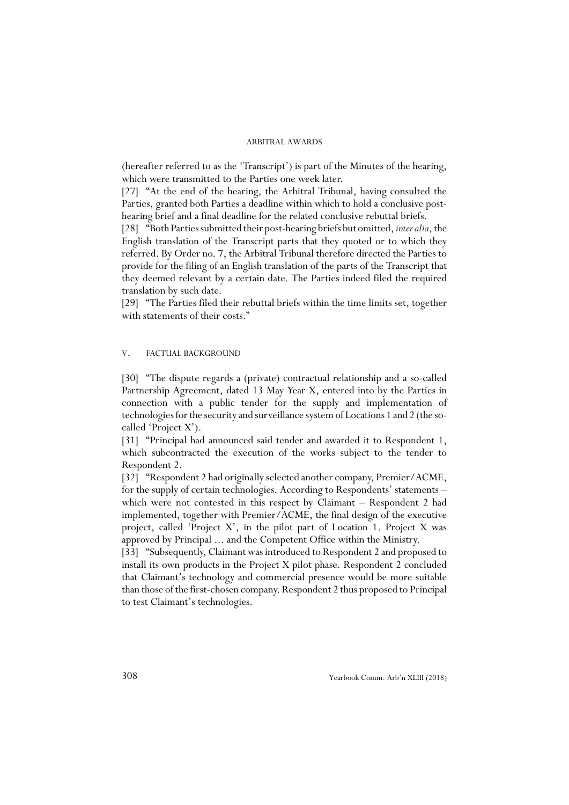(hereafter referred to as the 'Transcript') is part of the Minutes of the hearing, which were transmitted to the Parties one week later.

[27] "At the end of the hearing, the Arbitral Tribunal, having consulted the Parties, granted both Parties a deadline within which to hold a conclusive posthearing brief and a final deadline for the related conclusive rebuttal briefs.

[28] "Both Parties submitted their post-hearing briefs but omitted, *inter alia*, the English translation of the Transcript parts that they quoted or to which they referred. By Order no. 7, the Arbitral Tribunal therefore directed the Parties to provide for the filing of an English translation of the parts of the Transcript that they deemed relevant by a certain date. The Parties indeed filed the required translation by such date.

[29] "The Parties filed their rebuttal briefs within the time limits set, together with statements of their costs."

### V. FACTUAL BACKGROUND

[30] "The dispute regards a (private) contractual relationship and a so-called Partnership Agreement, dated 13 May Year X, entered into by the Parties in connection with a public tender for the supply and implementation of technologies for the security and surveillance system of Locations 1 and 2 (the socalled 'Project X').

[31] "Principal had announced said tender and awarded it to Respondent 1, which subcontracted the execution of the works subject to the tender to Respondent 2.

[32] "Respondent 2 had originally selected another company, Premier/ACME, for the supply of certain technologies. According to Respondents' statements – which were not contested in this respect by Claimant – Respondent 2 had implemented, together with Premier/ACME, the final design of the executive project, called 'Project X', in the pilot part of Location 1. Project X was approved by Principal ... and the Competent Office within the Ministry.

[33] "Subsequently, Claimant was introduced to Respondent 2 and proposed to install its own products in the Project X pilot phase. Respondent 2 concluded that Claimant's technology and commercial presence would be more suitable than those of the first-chosen company. Respondent 2 thus proposed to Principal to test Claimant's technologies.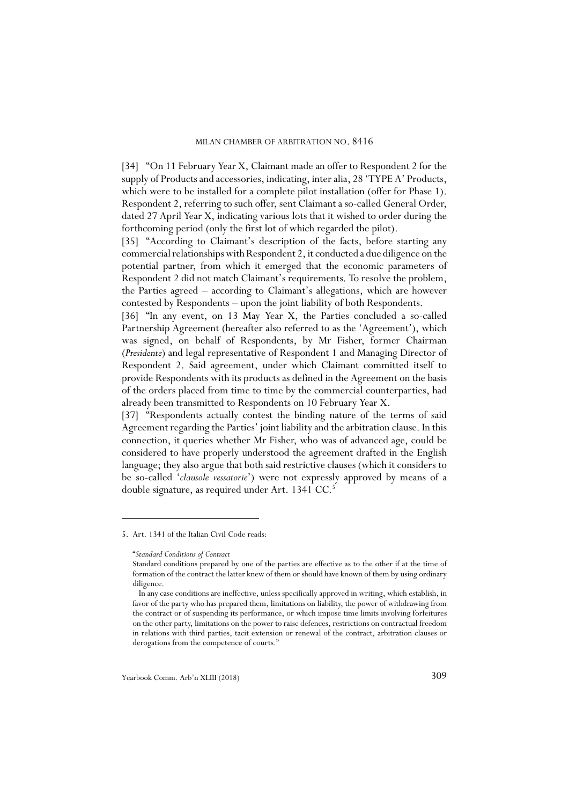[34] "On 11 February Year X, Claimant made an offer to Respondent 2 for the supply of Products and accessories, indicating, inter alia, 28 'TYPE A' Products, which were to be installed for a complete pilot installation (offer for Phase 1). Respondent 2, referring to such offer, sent Claimant a so-called General Order, dated 27 April Year X, indicating various lots that it wished to order during the forthcoming period (only the first lot of which regarded the pilot).

[35] "According to Claimant's description of the facts, before starting any commercial relationships with Respondent 2, it conducted a due diligence on the potential partner, from which it emerged that the economic parameters of Respondent 2 did not match Claimant's requirements. To resolve the problem, the Parties agreed – according to Claimant's allegations, which are however contested by Respondents – upon the joint liability of both Respondents.

[36] "In any event, on 13 May Year X, the Parties concluded a so-called Partnership Agreement (hereafter also referred to as the 'Agreement'), which was signed, on behalf of Respondents, by Mr Fisher, former Chairman (*Presidente*) and legal representative of Respondent 1 and Managing Director of Respondent 2. Said agreement, under which Claimant committed itself to provide Respondents with its products as defined in the Agreement on the basis of the orders placed from time to time by the commercial counterparties, had already been transmitted to Respondents on 10 February Year X.

[37] "Respondents actually contest the binding nature of the terms of said Agreement regarding the Parties' joint liability and the arbitration clause. In this connection, it queries whether Mr Fisher, who was of advanced age, could be considered to have properly understood the agreement drafted in the English language; they also argue that both said restrictive clauses (which it considers to be so-called '*clausole vessatorie*') were not expressly approved by means of a double signature, as required under Art. 1341 CC.<sup>5</sup>

<sup>5.</sup> Art. 1341 of the Italian Civil Code reads:

<sup>&</sup>quot;*Standard Conditions of Contract*

Standard conditions prepared by one of the parties are effective as to the other if at the time of formation of the contract the latter knew of them or should have known of them by using ordinary diligence.

In any case conditions are ineffective, unless specifically approved in writing, which establish, in favor of the party who has prepared them, limitations on liability, the power of withdrawing from the contract or of suspending its performance, or which impose time limits involving forfeitures on the other party, limitations on the power to raise defences, restrictions on contractual freedom in relations with third parties, tacit extension or renewal of the contract, arbitration clauses or derogations from the competence of courts."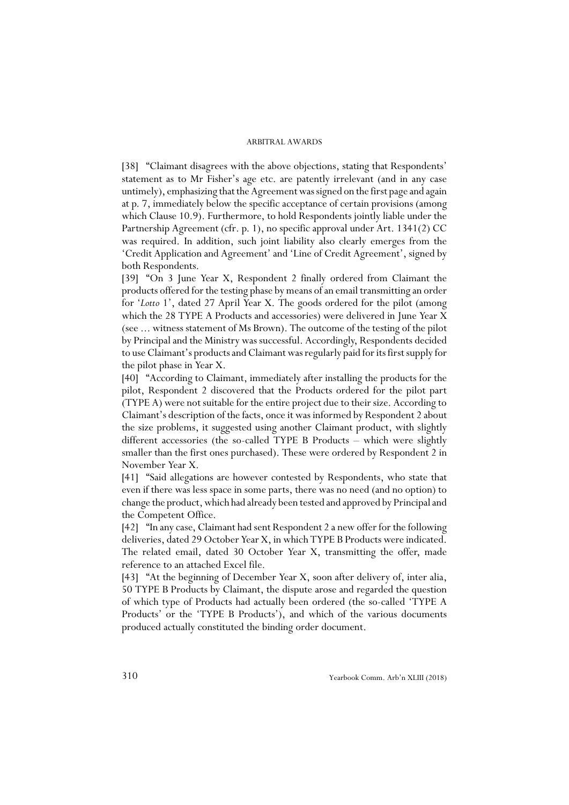[38] "Claimant disagrees with the above objections, stating that Respondents' statement as to Mr Fisher's age etc. are patently irrelevant (and in any case untimely), emphasizing that the Agreement was signed on the first page and again at p. 7, immediately below the specific acceptance of certain provisions (among which Clause 10.9). Furthermore, to hold Respondents jointly liable under the Partnership Agreement (cfr. p. 1), no specific approval under Art. 1341(2) CC was required. In addition, such joint liability also clearly emerges from the 'Credit Application and Agreement' and 'Line of Credit Agreement', signed by both Respondents.

[39] "On 3 June Year X, Respondent 2 finally ordered from Claimant the products offered for the testing phase by means of an email transmitting an order for '*Lotto* 1', dated 27 April Year X. The goods ordered for the pilot (among which the 28 TYPE A Products and accessories) were delivered in June Year X (see ... witness statement of Ms Brown). The outcome of the testing of the pilot by Principal and the Ministry was successful. Accordingly, Respondents decided to use Claimant's products and Claimant was regularly paid for its first supply for the pilot phase in Year X.

[40] "According to Claimant, immediately after installing the products for the pilot, Respondent 2 discovered that the Products ordered for the pilot part (TYPE A) were not suitable for the entire project due to their size. According to Claimant's description of the facts, once it was informed by Respondent 2 about the size problems, it suggested using another Claimant product, with slightly different accessories (the so-called TYPE B Products – which were slightly smaller than the first ones purchased). These were ordered by Respondent 2 in November Year X.

[41] "Said allegations are however contested by Respondents, who state that even if there was less space in some parts, there was no need (and no option) to change the product, which had already been tested and approved by Principal and the Competent Office.

[42] "In any case, Claimant had sent Respondent 2 a new offer for the following deliveries, dated 29 October Year X, in which TYPE B Products were indicated. The related email, dated 30 October Year X, transmitting the offer, made reference to an attached Excel file.

[43] "At the beginning of December Year X, soon after delivery of, inter alia, 50 TYPE B Products by Claimant, the dispute arose and regarded the question of which type of Products had actually been ordered (the so-called 'TYPE A Products' or the 'TYPE B Products'), and which of the various documents produced actually constituted the binding order document.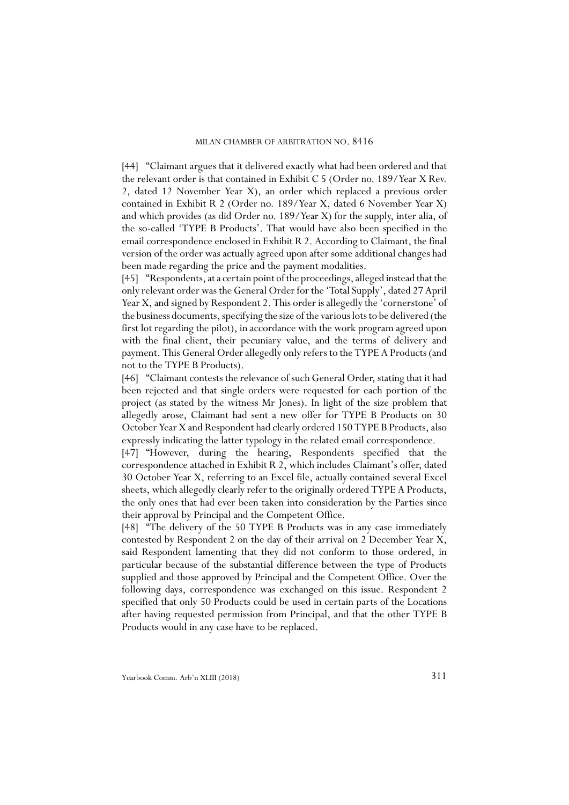[44] "Claimant argues that it delivered exactly what had been ordered and that the relevant order is that contained in Exhibit C 5 (Order no. 189/Year X Rev. 2, dated 12 November Year X), an order which replaced a previous order contained in Exhibit R 2 (Order no. 189/Year X, dated 6 November Year X) and which provides (as did Order no. 189/Year X) for the supply, inter alia, of the so-called 'TYPE B Products'. That would have also been specified in the email correspondence enclosed in Exhibit R 2. According to Claimant, the final version of the order was actually agreed upon after some additional changes had been made regarding the price and the payment modalities.

[45] "Respondents, at a certain point of the proceedings, alleged instead that the only relevant order was the General Order for the 'Total Supply', dated 27 April Year X, and signed by Respondent 2. This order is allegedly the 'cornerstone' of the business documents, specifying the size of the various lots to be delivered (the first lot regarding the pilot), in accordance with the work program agreed upon with the final client, their pecuniary value, and the terms of delivery and payment. This General Order allegedly only refers to the TYPE A Products (and not to the TYPE B Products).

[46] "Claimant contests the relevance of such General Order, stating that it had been rejected and that single orders were requested for each portion of the project (as stated by the witness Mr Jones). In light of the size problem that allegedly arose, Claimant had sent a new offer for TYPE B Products on 30 October Year X and Respondent had clearly ordered 150 TYPE B Products, also expressly indicating the latter typology in the related email correspondence.

[47] "However, during the hearing, Respondents specified that the correspondence attached in Exhibit R 2, which includes Claimant's offer, dated 30 October Year X, referring to an Excel file, actually contained several Excel sheets, which allegedly clearly refer to the originally ordered TYPE A Products, the only ones that had ever been taken into consideration by the Parties since their approval by Principal and the Competent Office.

[48] "The delivery of the 50 TYPE B Products was in any case immediately contested by Respondent 2 on the day of their arrival on 2 December Year X, said Respondent lamenting that they did not conform to those ordered, in particular because of the substantial difference between the type of Products supplied and those approved by Principal and the Competent Office. Over the following days, correspondence was exchanged on this issue. Respondent 2 specified that only 50 Products could be used in certain parts of the Locations after having requested permission from Principal, and that the other TYPE B Products would in any case have to be replaced.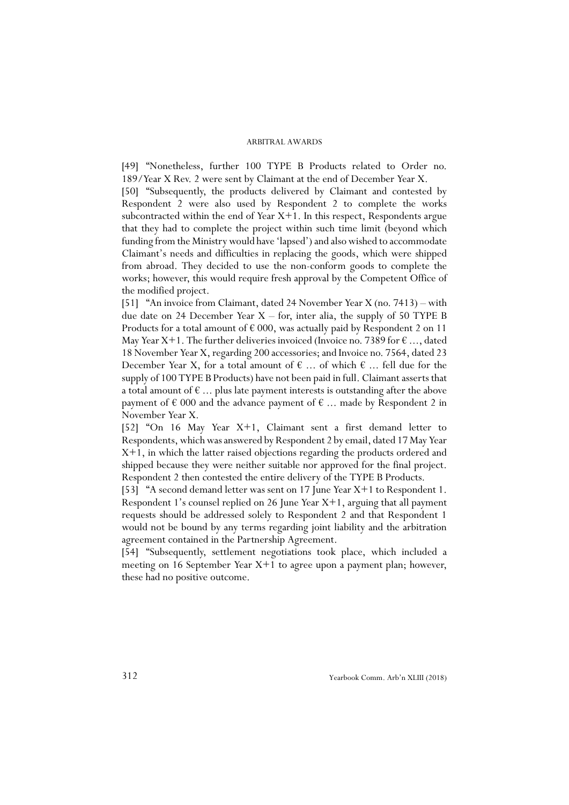[49] "Nonetheless, further 100 TYPE B Products related to Order no. 189/Year X Rev. 2 were sent by Claimant at the end of December Year X.

[50] "Subsequently, the products delivered by Claimant and contested by Respondent 2 were also used by Respondent 2 to complete the works subcontracted within the end of Year  $X+1$ . In this respect, Respondents argue that they had to complete the project within such time limit (beyond which funding from the Ministry would have 'lapsed') and also wished to accommodate Claimant's needs and difficulties in replacing the goods, which were shipped from abroad. They decided to use the non-conform goods to complete the works; however, this would require fresh approval by the Competent Office of the modified project.

[51] "An invoice from Claimant, dated 24 November Year X (no. 7413) – with due date on 24 December Year  $X -$  for, inter alia, the supply of 50 TYPE B Products for a total amount of  $\epsilon$  000, was actually paid by Respondent 2 on 11 May Year X+1. The further deliveries invoiced (Invoice no. 7389 for  $\epsilon$  ..., dated 18 November Year X, regarding 200 accessories; and Invoice no. 7564, dated 23 December Year X, for a total amount of  $\epsilon$  ... of which  $\epsilon$  ... fell due for the supply of 100 TYPE B Products) have not been paid in full. Claimant asserts that a total amount of  $\epsilon$  ... plus late payment interests is outstanding after the above payment of  $\in 000$  and the advance payment of  $\in \dots$  made by Respondent 2 in November Year X.

[52] "On 16 May Year X+1, Claimant sent a first demand letter to Respondents, which was answered by Respondent 2 by email, dated 17 May Year X+1, in which the latter raised objections regarding the products ordered and shipped because they were neither suitable nor approved for the final project. Respondent 2 then contested the entire delivery of the TYPE B Products.

[53] "A second demand letter was sent on 17 June Year X+1 to Respondent 1. Respondent 1's counsel replied on 26 June Year X+1, arguing that all payment requests should be addressed solely to Respondent 2 and that Respondent 1 would not be bound by any terms regarding joint liability and the arbitration agreement contained in the Partnership Agreement.

[54] "Subsequently, settlement negotiations took place, which included a meeting on 16 September Year X+1 to agree upon a payment plan; however, these had no positive outcome.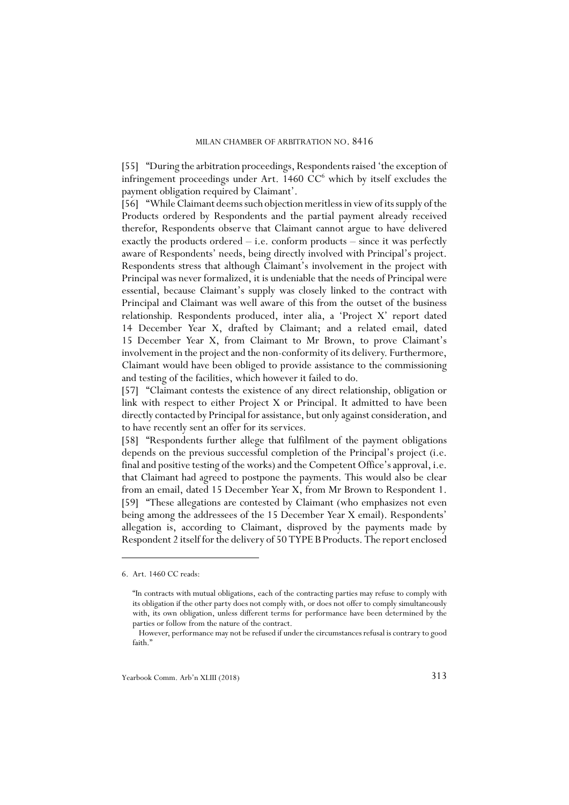[55] "During the arbitration proceedings, Respondents raised 'the exception of infringement proceedings under Art.  $1460$  CC<sup>6</sup> which by itself excludes the payment obligation required by Claimant'.

[56] "While Claimant deems such objection meritless in view of its supply of the Products ordered by Respondents and the partial payment already received therefor, Respondents observe that Claimant cannot argue to have delivered exactly the products ordered – i.e. conform products – since it was perfectly aware of Respondents' needs, being directly involved with Principal's project. Respondents stress that although Claimant's involvement in the project with Principal was never formalized, it is undeniable that the needs of Principal were essential, because Claimant's supply was closely linked to the contract with Principal and Claimant was well aware of this from the outset of the business relationship. Respondents produced, inter alia, a 'Project X' report dated 14 December Year X, drafted by Claimant; and a related email, dated 15 December Year X, from Claimant to Mr Brown, to prove Claimant's involvement in the project and the non-conformity of its delivery. Furthermore, Claimant would have been obliged to provide assistance to the commissioning and testing of the facilities, which however it failed to do.

[57] "Claimant contests the existence of any direct relationship, obligation or link with respect to either Project X or Principal. It admitted to have been directly contacted by Principal for assistance, but only against consideration, and to have recently sent an offer for its services.

[58] "Respondents further allege that fulfilment of the payment obligations depends on the previous successful completion of the Principal's project (i.e. final and positive testing of the works) and the Competent Office's approval, i.e. that Claimant had agreed to postpone the payments. This would also be clear from an email, dated 15 December Year X, from Mr Brown to Respondent 1. [59] "These allegations are contested by Claimant (who emphasizes not even being among the addressees of the 15 December Year X email). Respondents' allegation is, according to Claimant, disproved by the payments made by Respondent 2 itself for the delivery of 50 TYPE B Products. The report enclosed

<sup>6.</sup> Art. 1460 CC reads:

<sup>&</sup>quot;In contracts with mutual obligations, each of the contracting parties may refuse to comply with its obligation if the other party does not comply with, or does not offer to comply simultaneously with, its own obligation, unless different terms for performance have been determined by the parties or follow from the nature of the contract.

However, performance may not be refused if under the circumstances refusal is contrary to good faith."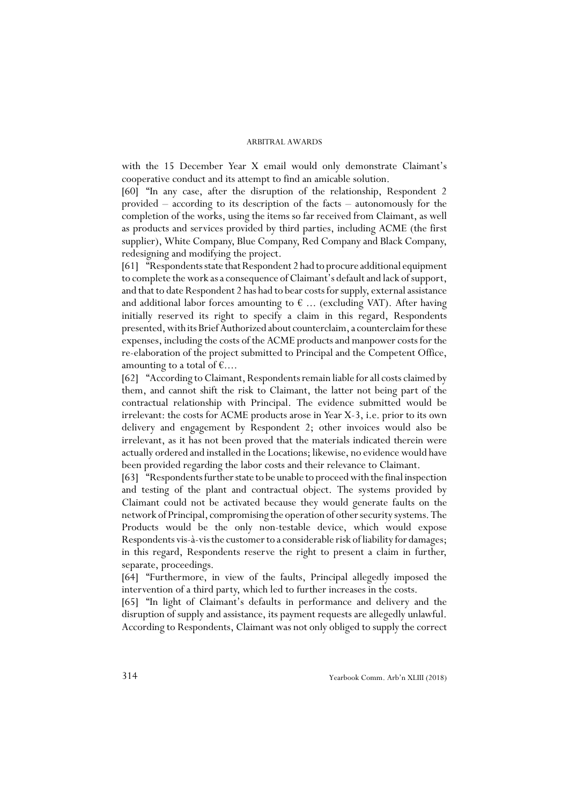with the 15 December Year X email would only demonstrate Claimant's cooperative conduct and its attempt to find an amicable solution.

[60] "In any case, after the disruption of the relationship, Respondent 2 provided – according to its description of the facts – autonomously for the completion of the works, using the items so far received from Claimant, as well as products and services provided by third parties, including ACME (the first supplier), White Company, Blue Company, Red Company and Black Company, redesigning and modifying the project.

[61] "Respondents state that Respondent 2 had to procure additional equipment to complete the work as a consequence of Claimant's default and lack of support, and that to date Respondent 2 has had to bear costs for supply, external assistance and additional labor forces amounting to  $\epsilon$  ... (excluding VAT). After having initially reserved its right to specify a claim in this regard, Respondents presented, with its Brief Authorized about counterclaim, a counterclaim for these expenses, including the costs of the ACME products and manpower costs for the re-elaboration of the project submitted to Principal and the Competent Office, amounting to a total of  $\epsilon$ ....

[62] "According to Claimant, Respondents remain liable for all costs claimed by them, and cannot shift the risk to Claimant, the latter not being part of the contractual relationship with Principal. The evidence submitted would be irrelevant: the costs for ACME products arose in Year X-3, i.e. prior to its own delivery and engagement by Respondent 2; other invoices would also be irrelevant, as it has not been proved that the materials indicated therein were actually ordered and installed in the Locations; likewise, no evidence would have been provided regarding the labor costs and their relevance to Claimant.

[63] "Respondents further state to be unable to proceed with the final inspection and testing of the plant and contractual object. The systems provided by Claimant could not be activated because they would generate faults on the network of Principal, compromising the operation of other security systems. The Products would be the only non-testable device, which would expose Respondents vis-à-vis the customer to a considerable risk of liability for damages; in this regard, Respondents reserve the right to present a claim in further, separate, proceedings.

[64] "Furthermore, in view of the faults, Principal allegedly imposed the intervention of a third party, which led to further increases in the costs.

[65] "In light of Claimant's defaults in performance and delivery and the disruption of supply and assistance, its payment requests are allegedly unlawful. According to Respondents, Claimant was not only obliged to supply the correct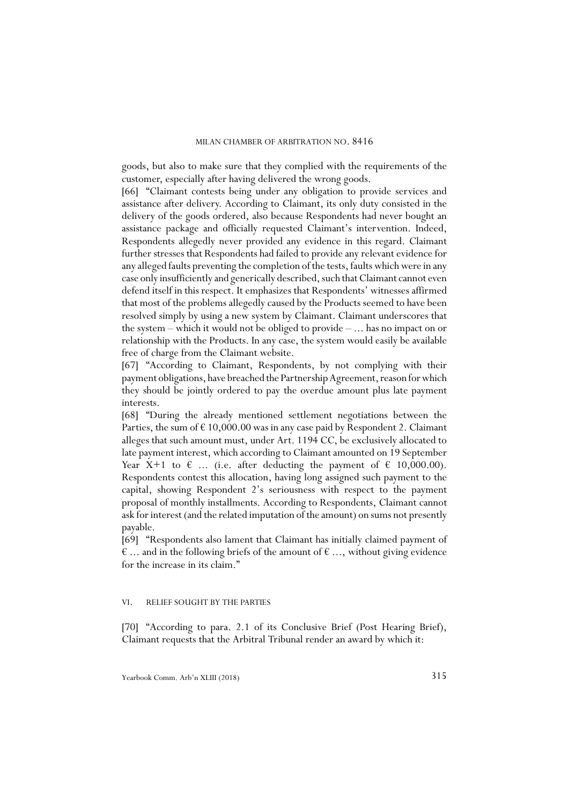goods, but also to make sure that they complied with the requirements of the customer, especially after having delivered the wrong goods.

[66] "Claimant contests being under any obligation to provide services and assistance after delivery. According to Claimant, its only duty consisted in the delivery of the goods ordered, also because Respondents had never bought an assistance package and officially requested Claimant's intervention. Indeed, Respondents allegedly never provided any evidence in this regard. Claimant further stresses that Respondents had failed to provide any relevant evidence for any alleged faults preventing the completion of the tests, faults which were in any case only insufficiently and generically described, such that Claimant cannot even defend itself in this respect. It emphasizes that Respondents' witnesses affirmed that most of the problems allegedly caused by the Products seemed to have been resolved simply by using a new system by Claimant. Claimant underscores that the system – which it would not be obliged to provide – ... has no impact on or relationship with the Products. In any case, the system would easily be available free of charge from the Claimant website.

[67] "According to Claimant, Respondents, by not complying with their payment obligations, have breached the Partnership Agreement, reason for which they should be jointly ordered to pay the overdue amount plus late payment interests.

[68] "During the already mentioned settlement negotiations between the Parties, the sum of  $\epsilon$  10,000.00 was in any case paid by Respondent 2. Claimant alleges that such amount must, under Art. 1194 CC, be exclusively allocated to late payment interest, which according to Claimant amounted on 19 September Year X+1 to  $\epsilon$  ... (i.e. after deducting the payment of  $\epsilon$  10,000.00). Respondents contest this allocation, having long assigned such payment to the capital, showing Respondent 2's seriousness with respect to the payment proposal of monthly installments. According to Respondents, Claimant cannot ask for interest (and the related imputation of the amount) on sums not presently payable.

[69] "Respondents also lament that Claimant has initially claimed payment of  $\epsilon$  ... and in the following briefs of the amount of  $\epsilon$  ..., without giving evidence for the increase in its claim."

### VI. RELIEF SOUGHT BY THE PARTIES

[70] "According to para. 2.1 of its Conclusive Brief (Post Hearing Brief), Claimant requests that the Arbitral Tribunal render an award by which it: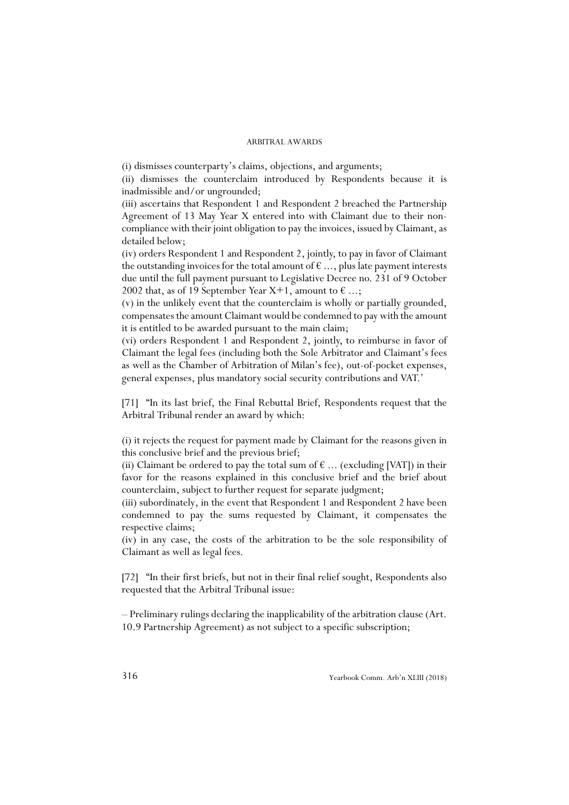(i) dismisses counterparty's claims, objections, and arguments;

(ii) dismisses the counterclaim introduced by Respondents because it is inadmissible and/or ungrounded;

(iii) ascertains that Respondent 1 and Respondent 2 breached the Partnership Agreement of 13 May Year X entered into with Claimant due to their noncompliance with their joint obligation to pay the invoices, issued by Claimant, as detailed below;

(iv) orders Respondent 1 and Respondent 2, jointly, to pay in favor of Claimant the outstanding invoices for the total amount of  $\epsilon$  ..., plus late payment interests due until the full payment pursuant to Legislative Decree no. 231 of 9 October 2002 that, as of 19 September Year X+1, amount to  $\epsilon$ ...;

(v) in the unlikely event that the counterclaim is wholly or partially grounded, compensates the amount Claimant would be condemned to pay with the amount it is entitled to be awarded pursuant to the main claim;

(vi) orders Respondent 1 and Respondent 2, jointly, to reimburse in favor of Claimant the legal fees (including both the Sole Arbitrator and Claimant's fees as well as the Chamber of Arbitration of Milan's fee), out-of-pocket expenses, general expenses, plus mandatory social security contributions and VAT.'

[71] "In its last brief, the Final Rebuttal Brief, Respondents request that the Arbitral Tribunal render an award by which:

(i) it rejects the request for payment made by Claimant for the reasons given in this conclusive brief and the previous brief;

(ii) Claimant be ordered to pay the total sum of  $\epsilon$  ... (excluding [VAT]) in their favor for the reasons explained in this conclusive brief and the brief about counterclaim, subject to further request for separate judgment;

(iii) subordinately, in the event that Respondent 1 and Respondent 2 have been condemned to pay the sums requested by Claimant, it compensates the respective claims;

(iv) in any case, the costs of the arbitration to be the sole responsibility of Claimant as well as legal fees.

[72] "In their first briefs, but not in their final relief sought, Respondents also requested that the Arbitral Tribunal issue:

– Preliminary rulings declaring the inapplicability of the arbitration clause (Art. 10.9 Partnership Agreement) as not subject to a specific subscription;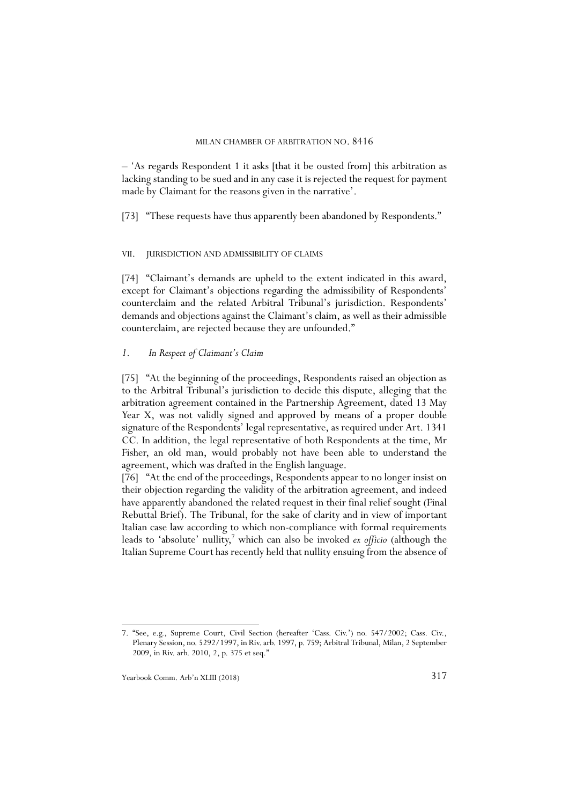– 'As regards Respondent 1 it asks [that it be ousted from] this arbitration as lacking standing to be sued and in any case it is rejected the request for payment made by Claimant for the reasons given in the narrative'.

[73] "These requests have thus apparently been abandoned by Respondents."

#### VII. JURISDICTION AND ADMISSIBILITY OF CLAIMS

[74] "Claimant's demands are upheld to the extent indicated in this award, except for Claimant's objections regarding the admissibility of Respondents' counterclaim and the related Arbitral Tribunal's jurisdiction. Respondents' demands and objections against the Claimant's claim, as well as their admissible counterclaim, are rejected because they are unfounded."

### *1. In Respect of Claimant's Claim*

[75] "At the beginning of the proceedings, Respondents raised an objection as to the Arbitral Tribunal's jurisdiction to decide this dispute, alleging that the arbitration agreement contained in the Partnership Agreement, dated 13 May Year X, was not validly signed and approved by means of a proper double signature of the Respondents' legal representative, as required under Art. 1341 CC. In addition, the legal representative of both Respondents at the time, Mr Fisher, an old man, would probably not have been able to understand the agreement, which was drafted in the English language.

[76] "At the end of the proceedings, Respondents appear to no longer insist on their objection regarding the validity of the arbitration agreement, and indeed have apparently abandoned the related request in their final relief sought (Final Rebuttal Brief). The Tribunal, for the sake of clarity and in view of important Italian case law according to which non-compliance with formal requirements leads to 'absolute' nullity,<sup>7</sup> which can also be invoked *ex officio* (although the Italian Supreme Court has recently held that nullity ensuing from the absence of

<sup>7. &</sup>quot;See, e.g., Supreme Court, Civil Section (hereafter 'Cass. Civ.') no. 547/2002; Cass. Civ., Plenary Session, no. 5292/1997, in Riv. arb. 1997, p. 759; Arbitral Tribunal, Milan, 2 September 2009, in Riv. arb. 2010, 2, p. 375 et seq."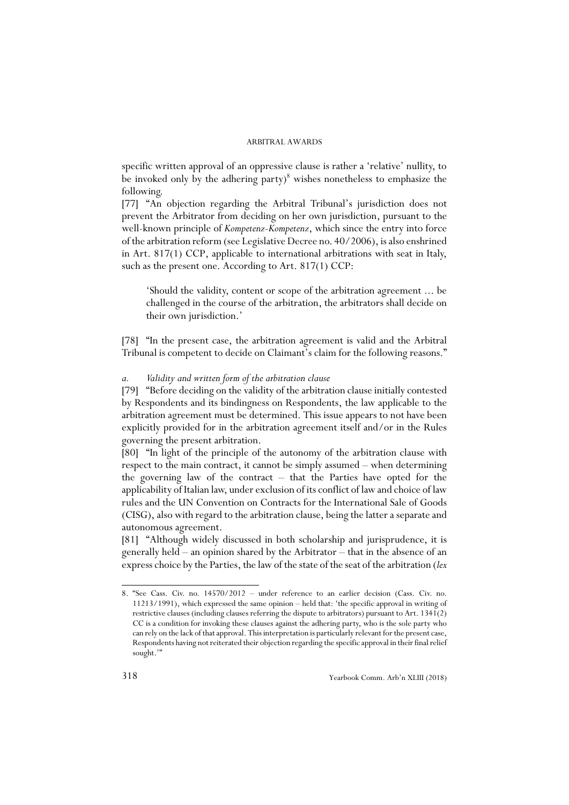specific written approval of an oppressive clause is rather a 'relative' nullity, to be invoked only by the adhering party)<sup>8</sup> wishes nonetheless to emphasize the following.

[77] "An objection regarding the Arbitral Tribunal's jurisdiction does not prevent the Arbitrator from deciding on her own jurisdiction, pursuant to the well-known principle of *Kompetenz-Kompetenz*, which since the entry into force of the arbitration reform (see Legislative Decree no. 40/2006), is also enshrined in Art. 817(1) CCP, applicable to international arbitrations with seat in Italy, such as the present one. According to Art. 817(1) CCP:

'Should the validity, content or scope of the arbitration agreement ... be challenged in the course of the arbitration, the arbitrators shall decide on their own jurisdiction.'

[78] "In the present case, the arbitration agreement is valid and the Arbitral Tribunal is competent to decide on Claimant's claim for the following reasons."

### *a. Validity and written form of the arbitration clause*

[79] "Before deciding on the validity of the arbitration clause initially contested by Respondents and its bindingness on Respondents, the law applicable to the arbitration agreement must be determined. This issue appears to not have been explicitly provided for in the arbitration agreement itself and/or in the Rules governing the present arbitration.

[80] "In light of the principle of the autonomy of the arbitration clause with respect to the main contract, it cannot be simply assumed – when determining the governing law of the contract – that the Parties have opted for the applicability of Italian law, under exclusion of its conflict of law and choice of law rules and the UN Convention on Contracts for the International Sale of Goods (CISG), also with regard to the arbitration clause, being the latter a separate and autonomous agreement.

[81] "Although widely discussed in both scholarship and jurisprudence, it is generally held – an opinion shared by the Arbitrator – that in the absence of an express choice by the Parties, the law of the state of the seat of the arbitration (*lex*

<sup>8. &</sup>quot;See Cass. Civ. no. 14570/2012 – under reference to an earlier decision (Cass. Civ. no. 11213/1991), which expressed the same opinion – held that: 'the specific approval in writing of restrictive clauses (including clauses referring the dispute to arbitrators) pursuant to Art. 1341(2) CC is a condition for invoking these clauses against the adhering party, who is the sole party who can rely on the lack of that approval. This interpretation is particularly relevant for the present case, Respondents having not reiterated their objection regarding the specific approval in their final relief sought."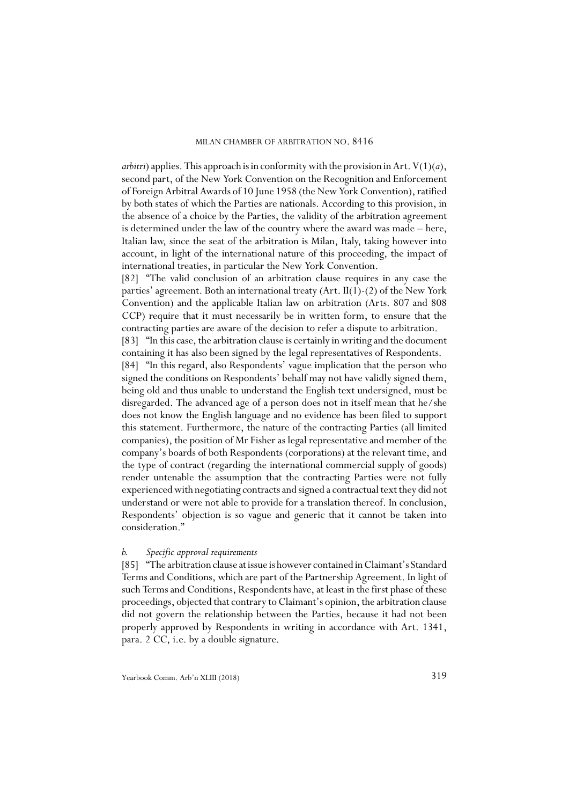*arbitri*) applies. This approach is in conformity with the provision in Art.  $V(1)(a)$ , second part, of the New York Convention on the Recognition and Enforcement of Foreign Arbitral Awards of 10 June 1958 (the New York Convention), ratified by both states of which the Parties are nationals. According to this provision, in the absence of a choice by the Parties, the validity of the arbitration agreement is determined under the law of the country where the award was made – here, Italian law, since the seat of the arbitration is Milan, Italy, taking however into account, in light of the international nature of this proceeding, the impact of international treaties, in particular the New York Convention.

[82] "The valid conclusion of an arbitration clause requires in any case the parties' agreement. Both an international treaty (Art. II(1)-(2) of the New York Convention) and the applicable Italian law on arbitration (Arts. 807 and 808 CCP) require that it must necessarily be in written form, to ensure that the contracting parties are aware of the decision to refer a dispute to arbitration.

[83] "In this case, the arbitration clause is certainly in writing and the document containing it has also been signed by the legal representatives of Respondents.

[84] "In this regard, also Respondents' vague implication that the person who signed the conditions on Respondents' behalf may not have validly signed them, being old and thus unable to understand the English text undersigned, must be disregarded. The advanced age of a person does not in itself mean that he/she does not know the English language and no evidence has been filed to support this statement. Furthermore, the nature of the contracting Parties (all limited companies), the position of Mr Fisher as legal representative and member of the company's boards of both Respondents (corporations) at the relevant time, and the type of contract (regarding the international commercial supply of goods) render untenable the assumption that the contracting Parties were not fully experienced with negotiating contracts and signed a contractual text they did not understand or were not able to provide for a translation thereof. In conclusion, Respondents' objection is so vague and generic that it cannot be taken into consideration."

### *b. Specific approval requirements*

[85] "The arbitration clause at issue is however contained in Claimant's Standard Terms and Conditions, which are part of the Partnership Agreement. In light of such Terms and Conditions, Respondents have, at least in the first phase of these proceedings, objected that contrary to Claimant's opinion, the arbitration clause did not govern the relationship between the Parties, because it had not been properly approved by Respondents in writing in accordance with Art. 1341, para. 2 CC, i.e. by a double signature.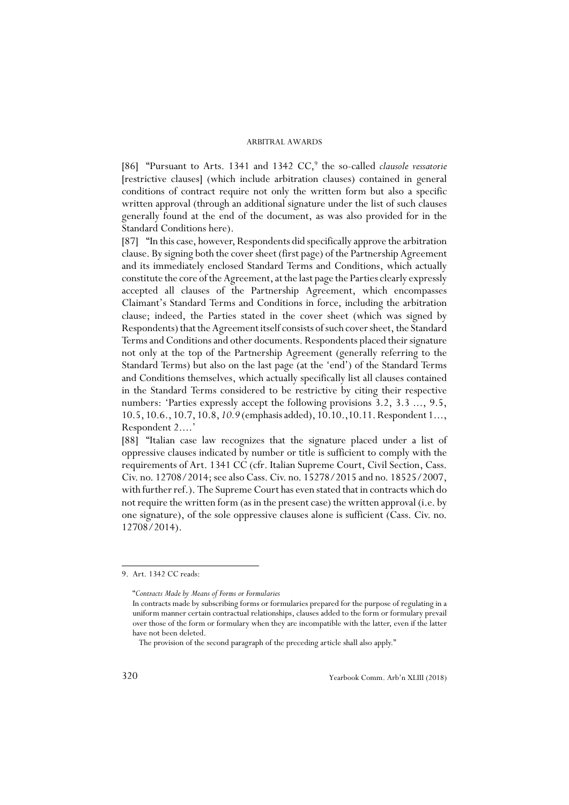[86] "Pursuant to Arts. 1341 and 1342 CC,<sup>9</sup> the so-called *clausole vessatorie* [restrictive clauses] (which include arbitration clauses) contained in general conditions of contract require not only the written form but also a specific written approval (through an additional signature under the list of such clauses generally found at the end of the document, as was also provided for in the Standard Conditions here).

[87] "In this case, however, Respondents did specifically approve the arbitration clause. By signing both the cover sheet (first page) of the Partnership Agreement and its immediately enclosed Standard Terms and Conditions, which actually constitute the core of the Agreement, at the last page the Parties clearly expressly accepted all clauses of the Partnership Agreement, which encompasses Claimant's Standard Terms and Conditions in force, including the arbitration clause; indeed, the Parties stated in the cover sheet (which was signed by Respondents) that the Agreement itself consists of such cover sheet, the Standard Terms and Conditions and other documents. Respondents placed their signature not only at the top of the Partnership Agreement (generally referring to the Standard Terms) but also on the last page (at the 'end') of the Standard Terms and Conditions themselves, which actually specifically list all clauses contained in the Standard Terms considered to be restrictive by citing their respective numbers: 'Parties expressly accept the following provisions 3.2, 3.3 ..., 9.5, 10.5, 10.6., 10.7, 10.8, *10.9* (emphasis added), 10.10.,10.11. Respondent 1..., Respondent 2....

[88] "Italian case law recognizes that the signature placed under a list of oppressive clauses indicated by number or title is sufficient to comply with the requirements of Art. 1341 CC (cfr. Italian Supreme Court, Civil Section, Cass. Civ. no. 12708/2014; see also Cass. Civ. no. 15278/2015 and no. 18525/2007, with further ref.). The Supreme Court has even stated that in contracts which do not require the written form (as in the present case) the written approval (i.e. by one signature), of the sole oppressive clauses alone is sufficient (Cass. Civ. no. 12708/2014).

<sup>9.</sup> Art. 1342 CC reads:

<sup>&</sup>quot;*Contracts Made by Means of Forms or Formularies*

In contracts made by subscribing forms or formularies prepared for the purpose of regulating in a uniform manner certain contractual relationships, clauses added to the form or formulary prevail over those of the form or formulary when they are incompatible with the latter, even if the latter have not been deleted.

The provision of the second paragraph of the preceding article shall also apply."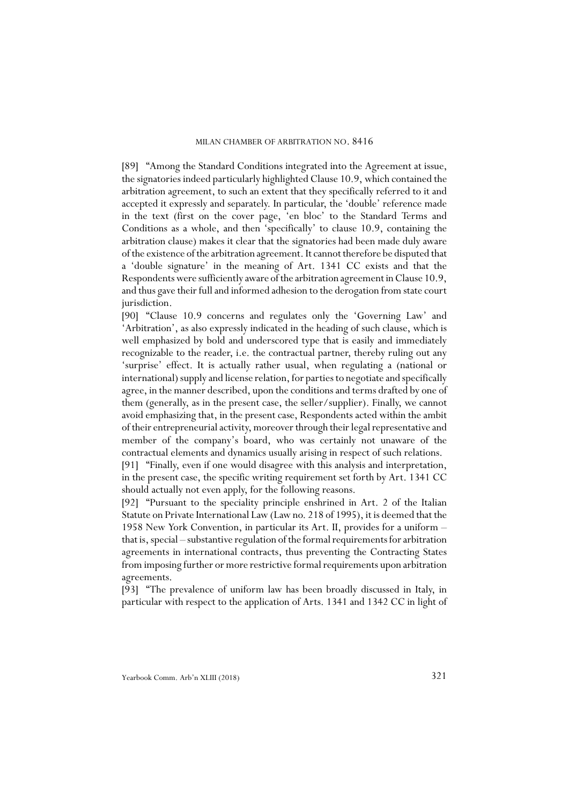[89] "Among the Standard Conditions integrated into the Agreement at issue, the signatories indeed particularly highlighted Clause 10.9, which contained the arbitration agreement, to such an extent that they specifically referred to it and accepted it expressly and separately. In particular, the 'double' reference made in the text (first on the cover page, 'en bloc' to the Standard Terms and Conditions as a whole, and then 'specifically' to clause 10.9, containing the arbitration clause) makes it clear that the signatories had been made duly aware of the existence of the arbitration agreement. It cannot therefore be disputed that a 'double signature' in the meaning of Art. 1341 CC exists and that the Respondents were sufficiently aware of the arbitration agreement in Clause 10.9, and thus gave their full and informed adhesion to the derogation from state court jurisdiction.

[90] "Clause 10.9 concerns and regulates only the 'Governing Law' and 'Arbitration', as also expressly indicated in the heading of such clause, which is well emphasized by bold and underscored type that is easily and immediately recognizable to the reader, i.e. the contractual partner, thereby ruling out any 'surprise' effect. It is actually rather usual, when regulating a (national or international) supply and license relation, for parties to negotiate and specifically agree, in the manner described, upon the conditions and terms drafted by one of them (generally, as in the present case, the seller/supplier). Finally, we cannot avoid emphasizing that, in the present case, Respondents acted within the ambit of their entrepreneurial activity, moreover through their legal representative and member of the company's board, who was certainly not unaware of the contractual elements and dynamics usually arising in respect of such relations.

[91] "Finally, even if one would disagree with this analysis and interpretation, in the present case, the specific writing requirement set forth by Art. 1341 CC should actually not even apply, for the following reasons.

[92] "Pursuant to the speciality principle enshrined in Art. 2 of the Italian Statute on Private International Law (Law no. 218 of 1995), it is deemed that the 1958 New York Convention, in particular its Art. II, provides for a uniform – that is, special – substantive regulation of the formal requirements for arbitration agreements in international contracts, thus preventing the Contracting States from imposing further or more restrictive formal requirements upon arbitration agreements.

[93] "The prevalence of uniform law has been broadly discussed in Italy, in particular with respect to the application of Arts. 1341 and 1342 CC in light of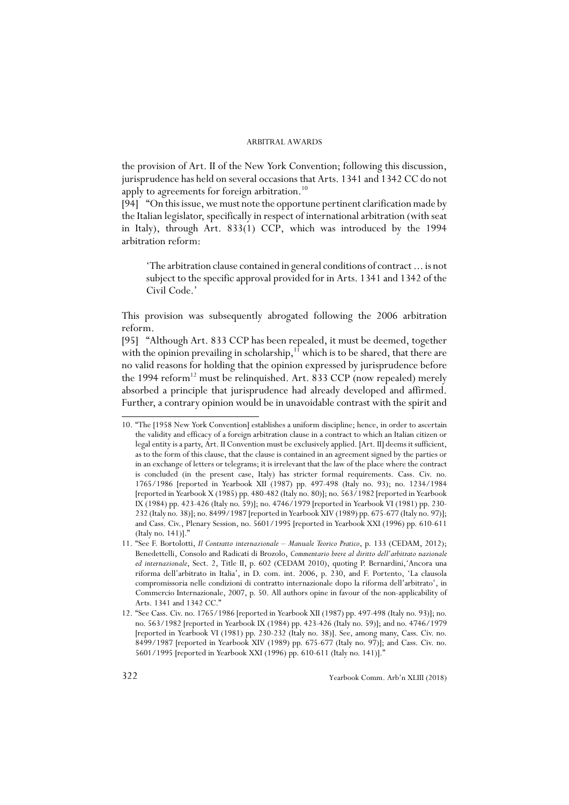the provision of Art. II of the New York Convention; following this discussion, jurisprudence has held on several occasions that Arts. 1341 and 1342 CC do not apply to agreements for foreign arbitration.<sup>10</sup>

[94] "On this issue, we must note the opportune pertinent clarification made by the Italian legislator, specifically in respect of international arbitration (with seat in Italy), through Art. 833(1) CCP, which was introduced by the 1994 arbitration reform:

'The arbitration clause contained in general conditions of contract ... is not subject to the specific approval provided for in Arts. 1341 and 1342 of the Civil Code.'

This provision was subsequently abrogated following the 2006 arbitration reform.

[95] "Although Art. 833 CCP has been repealed, it must be deemed, together with the opinion prevailing in scholarship, $11$  which is to be shared, that there are no valid reasons for holding that the opinion expressed by jurisprudence before the 1994 reform<sup>12</sup> must be relinquished. Art. 833 CCP (now repealed) merely absorbed a principle that jurisprudence had already developed and affirmed. Further, a contrary opinion would be in unavoidable contrast with the spirit and

<sup>10. &</sup>quot;The [1958 New York Convention] establishes a uniform discipline; hence, in order to ascertain the validity and efficacy of a foreign arbitration clause in a contract to which an Italian citizen or legal entity is a party, Art. II Convention must be exclusively applied. [Art. II] deems it sufficient, as to the form of this clause, that the clause is contained in an agreement signed by the parties or in an exchange of letters or telegrams; it is irrelevant that the law of the place where the contract is concluded (in the present case, Italy) has stricter formal requirements. Cass. Civ. no. 1765/1986 [reported in Yearbook XII (1987) pp. 497-498 (Italy no. 93); no. 1234/1984 [reported in Yearbook X (1985) pp. 480-482 (Italy no. 80)]; no. 563/1982 [reported in Yearbook IX (1984) pp. 423-426 (Italy no. 59)]; no. 4746/1979 [reported in Yearbook VI (1981) pp. 230- 232 (Italy no. 38)]; no. 8499/1987 [reported in Yearbook XIV (1989) pp. 675-677 (Italy no. 97)]; and Cass. Civ., Plenary Session, no. 5601/1995 [reported in Yearbook XXI (1996) pp. 610-611 (Italy no. 141)]."

<sup>11. &</sup>quot;See F. Bortolotti, *Il Contratto internazionale – Manuale Teorico Pratico*, p. 133 (CEDAM, 2012); Benedettelli, Consolo and Radicati di Brozolo, *Commentario breve al diritto dell'arbitrato nazionale ed internazionale*, Sect. 2, Title II, p. 602 (CEDAM 2010), quoting P. Bernardini,'Ancora una riforma dell'arbitrato in Italia', in D. com. int. 2006, p. 230, and F. Portento, 'La clausola compromissoria nelle condizioni di contratto internazionale dopo la riforma dell'arbitrato', in Commercio Internazionale, 2007, p. 50. All authors opine in favour of the non-applicability of Arts. 1341 and 1342 CC."

<sup>12. &</sup>quot;See Cass. Civ. no. 1765/1986 [reported in Yearbook XII (1987) pp. 497-498 (Italy no. 93)]; no. no. 563/1982 [reported in Yearbook IX (1984) pp. 423-426 (Italy no. 59)]; and no. 4746/1979 [reported in Yearbook VI (1981) pp. 230-232 (Italy no. 38)]. See, among many, Cass. Civ. no. 8499/1987 [reported in Yearbook XIV (1989) pp. 675-677 (Italy no. 97)]; and Cass. Civ. no. 5601/1995 [reported in Yearbook XXI (1996) pp. 610-611 (Italy no. 141)].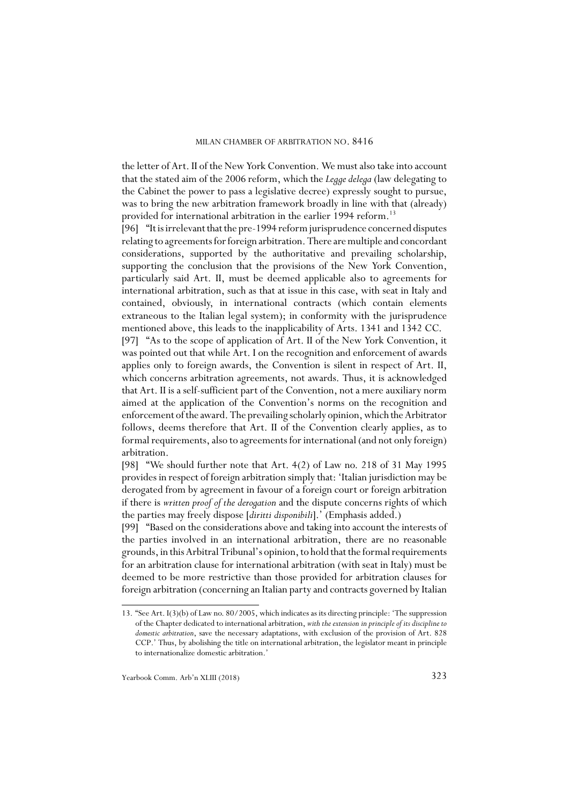the letter of Art. II of the New York Convention. We must also take into account that the stated aim of the 2006 reform, which the *Legge delega* (law delegating to the Cabinet the power to pass a legislative decree) expressly sought to pursue, was to bring the new arbitration framework broadly in line with that (already) provided for international arbitration in the earlier 1994 reform.<sup>13</sup>

[96] "It is irrelevant that the pre-1994 reform jurisprudence concerned disputes relating to agreements for foreign arbitration. There are multiple and concordant considerations, supported by the authoritative and prevailing scholarship, supporting the conclusion that the provisions of the New York Convention, particularly said Art. II, must be deemed applicable also to agreements for international arbitration, such as that at issue in this case, with seat in Italy and contained, obviously, in international contracts (which contain elements extraneous to the Italian legal system); in conformity with the jurisprudence mentioned above, this leads to the inapplicability of Arts. 1341 and 1342 CC.

[97] "As to the scope of application of Art. II of the New York Convention, it was pointed out that while Art. I on the recognition and enforcement of awards applies only to foreign awards, the Convention is silent in respect of Art. II, which concerns arbitration agreements, not awards. Thus, it is acknowledged that Art. II is a self-sufficient part of the Convention, not a mere auxiliary norm aimed at the application of the Convention's norms on the recognition and enforcement of the award. The prevailing scholarly opinion, which the Arbitrator follows, deems therefore that Art. II of the Convention clearly applies, as to formal requirements, also to agreements for international (and not only foreign) arbitration.

[98] "We should further note that Art. 4(2) of Law no. 218 of 31 May 1995 provides in respect of foreign arbitration simply that: 'Italian jurisdiction may be derogated from by agreement in favour of a foreign court or foreign arbitration if there is *written proof of the derogation* and the dispute concerns rights of which the parties may freely dispose [*diritti disponibili*].' (Emphasis added.)

[99] "Based on the considerations above and taking into account the interests of the parties involved in an international arbitration, there are no reasonable grounds, in this Arbitral Tribunal's opinion, to hold that the formal requirements for an arbitration clause for international arbitration (with seat in Italy) must be deemed to be more restrictive than those provided for arbitration clauses for foreign arbitration (concerning an Italian party and contracts governed by Italian

<sup>13. &</sup>quot;See Art. I(3)(b) of Law no. 80/2005, which indicates as its directing principle: 'The suppression of the Chapter dedicated to international arbitration, *with the extension in principle of its discipline to domestic arbitration*, save the necessary adaptations, with exclusion of the provision of Art. 828 CCP.' Thus, by abolishing the title on international arbitration, the legislator meant in principle to internationalize domestic arbitration.'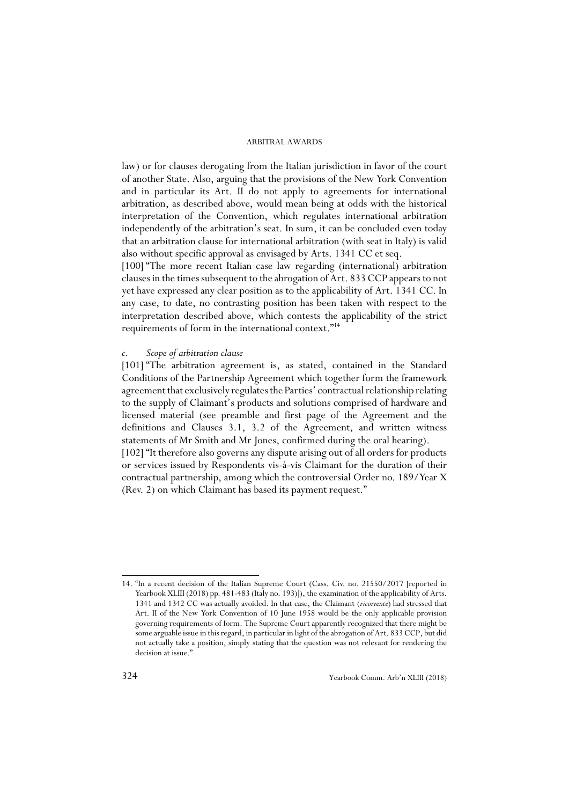law) or for clauses derogating from the Italian jurisdiction in favor of the court of another State. Also, arguing that the provisions of the New York Convention and in particular its Art. II do not apply to agreements for international arbitration, as described above, would mean being at odds with the historical interpretation of the Convention, which regulates international arbitration independently of the arbitration's seat. In sum, it can be concluded even today that an arbitration clause for international arbitration (with seat in Italy) is valid also without specific approval as envisaged by Arts. 1341 CC et seq.

[100] "The more recent Italian case law regarding (international) arbitration clauses in the times subsequent to the abrogation of Art. 833 CCP appears to not yet have expressed any clear position as to the applicability of Art. 1341 CC. In any case, to date, no contrasting position has been taken with respect to the interpretation described above, which contests the applicability of the strict requirements of form in the international context."14

### *c. Scope of arbitration clause*

[101] "The arbitration agreement is, as stated, contained in the Standard Conditions of the Partnership Agreement which together form the framework agreement that exclusively regulates the Parties' contractual relationship relating to the supply of Claimant's products and solutions comprised of hardware and licensed material (see preamble and first page of the Agreement and the definitions and Clauses 3.1, 3.2 of the Agreement, and written witness statements of Mr Smith and Mr Jones, confirmed during the oral hearing).

[102] "It therefore also governs any dispute arising out of all orders for products or services issued by Respondents vis-à-vis Claimant for the duration of their contractual partnership, among which the controversial Order no. 189/Year X (Rev. 2) on which Claimant has based its payment request."

<sup>14. &</sup>quot;In a recent decision of the Italian Supreme Court (Cass. Civ. no. 21550/2017 [reported in Yearbook XLIII (2018) pp. 481-483 (Italy no. 193)]), the examination of the applicability of Arts. 1341 and 1342 CC was actually avoided. In that case, the Claimant (*ricorrente*) had stressed that Art. II of the New York Convention of 10 June 1958 would be the only applicable provision governing requirements of form. The Supreme Court apparently recognized that there might be some arguable issue in this regard, in particular in light of the abrogation of Art. 833 CCP, but did not actually take a position, simply stating that the question was not relevant for rendering the decision at issue.<sup>1</sup>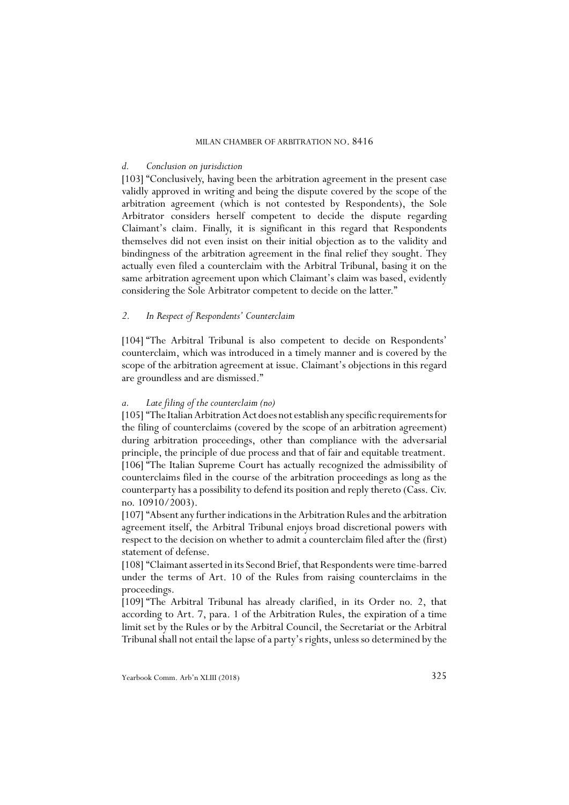### *d. Conclusion on jurisdiction*

[103] "Conclusively, having been the arbitration agreement in the present case validly approved in writing and being the dispute covered by the scope of the arbitration agreement (which is not contested by Respondents), the Sole Arbitrator considers herself competent to decide the dispute regarding Claimant's claim. Finally, it is significant in this regard that Respondents themselves did not even insist on their initial objection as to the validity and bindingness of the arbitration agreement in the final relief they sought. They actually even filed a counterclaim with the Arbitral Tribunal, basing it on the same arbitration agreement upon which Claimant's claim was based, evidently considering the Sole Arbitrator competent to decide on the latter."

### *2. In Respect of Respondents' Counterclaim*

[104] "The Arbitral Tribunal is also competent to decide on Respondents' counterclaim, which was introduced in a timely manner and is covered by the scope of the arbitration agreement at issue. Claimant's objections in this regard are groundless and are dismissed."

### *a. Late filing of the counterclaim (no)*

[105] "The Italian Arbitration Act does not establish any specific requirements for the filing of counterclaims (covered by the scope of an arbitration agreement) during arbitration proceedings, other than compliance with the adversarial principle, the principle of due process and that of fair and equitable treatment. [106] "The Italian Supreme Court has actually recognized the admissibility of counterclaims filed in the course of the arbitration proceedings as long as the counterparty has a possibility to defend its position and reply thereto (Cass. Civ. no. 10910/2003).

[107] "Absent any further indications in the Arbitration Rules and the arbitration agreement itself, the Arbitral Tribunal enjoys broad discretional powers with respect to the decision on whether to admit a counterclaim filed after the (first) statement of defense.

[108] "Claimant asserted in its Second Brief, that Respondents were time-barred under the terms of Art. 10 of the Rules from raising counterclaims in the proceedings.

[109] "The Arbitral Tribunal has already clarified, in its Order no. 2, that according to Art. 7, para. 1 of the Arbitration Rules, the expiration of a time limit set by the Rules or by the Arbitral Council, the Secretariat or the Arbitral Tribunal shall not entail the lapse of a party's rights, unless so determined by the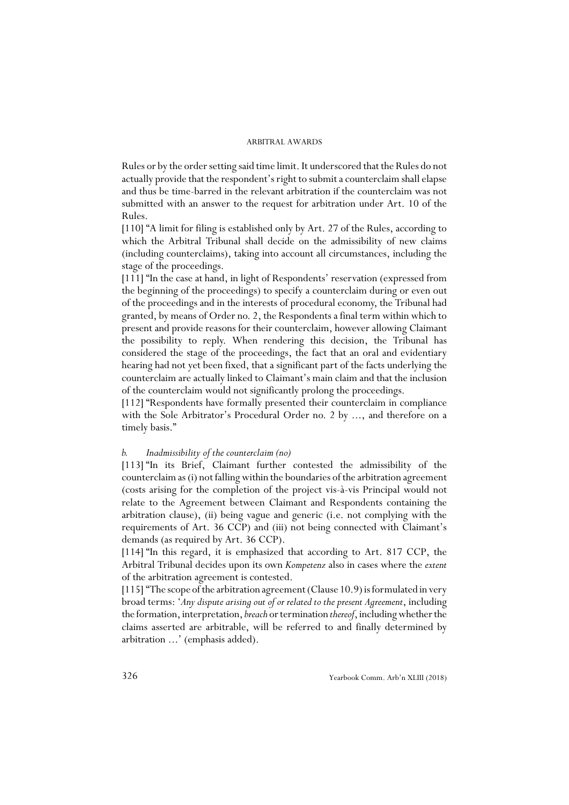Rules or by the order setting said time limit. It underscored that the Rules do not actually provide that the respondent's right to submit a counterclaim shall elapse and thus be time-barred in the relevant arbitration if the counterclaim was not submitted with an answer to the request for arbitration under Art. 10 of the Rules.

[110] "A limit for filing is established only by Art. 27 of the Rules, according to which the Arbitral Tribunal shall decide on the admissibility of new claims (including counterclaims), taking into account all circumstances, including the stage of the proceedings.

[111] "In the case at hand, in light of Respondents' reservation (expressed from the beginning of the proceedings) to specify a counterclaim during or even out of the proceedings and in the interests of procedural economy, the Tribunal had granted, by means of Order no. 2, the Respondents a final term within which to present and provide reasons for their counterclaim, however allowing Claimant the possibility to reply. When rendering this decision, the Tribunal has considered the stage of the proceedings, the fact that an oral and evidentiary hearing had not yet been fixed, that a significant part of the facts underlying the counterclaim are actually linked to Claimant's main claim and that the inclusion of the counterclaim would not significantly prolong the proceedings.

[112] "Respondents have formally presented their counterclaim in compliance with the Sole Arbitrator's Procedural Order no. 2 by ..., and therefore on a timely basis."

### *b. Inadmissibility of the counterclaim (no)*

[113] "In its Brief, Claimant further contested the admissibility of the counterclaim as (i) not falling within the boundaries of the arbitration agreement (costs arising for the completion of the project vis-à-vis Principal would not relate to the Agreement between Claimant and Respondents containing the arbitration clause), (ii) being vague and generic (i.e. not complying with the requirements of Art. 36 CCP) and (iii) not being connected with Claimant's demands (as required by Art. 36 CCP).

[114] "In this regard, it is emphasized that according to Art. 817 CCP, the Arbitral Tribunal decides upon its own *Kompetenz* also in cases where the *extent* of the arbitration agreement is contested.

[115] "The scope of the arbitration agreement (Clause 10.9) is formulated in very broad terms: '*Any dispute arising out of or related to the present Agreement*, including the formation, interpretation, *breach* or termination *thereof*, including whether the claims asserted are arbitrable, will be referred to and finally determined by arbitration ...' (emphasis added).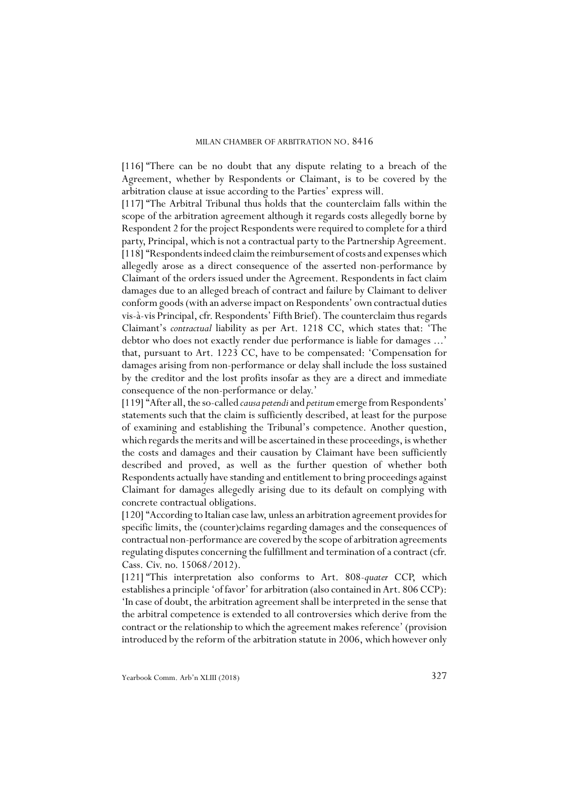[116] "There can be no doubt that any dispute relating to a breach of the Agreement, whether by Respondents or Claimant, is to be covered by the arbitration clause at issue according to the Parties' express will.

[117] "The Arbitral Tribunal thus holds that the counterclaim falls within the scope of the arbitration agreement although it regards costs allegedly borne by Respondent 2 for the project Respondents were required to complete for a third party, Principal, which is not a contractual party to the Partnership Agreement. [118] "Respondents indeed claim the reimbursement of costs and expenses which allegedly arose as a direct consequence of the asserted non-performance by Claimant of the orders issued under the Agreement. Respondents in fact claim damages due to an alleged breach of contract and failure by Claimant to deliver conform goods (with an adverse impact on Respondents' own contractual duties vis-à-vis Principal, cfr. Respondents' Fifth Brief). The counterclaim thus regards Claimant's *contractual* liability as per Art. 1218 CC, which states that: 'The debtor who does not exactly render due performance is liable for damages ...' that, pursuant to Art. 1223 CC, have to be compensated: 'Compensation for damages arising from non-performance or delay shall include the loss sustained by the creditor and the lost profits insofar as they are a direct and immediate consequence of the non-performance or delay.'

[119] "After all, the so-called *causa petendi* and *petitum* emerge from Respondents' statements such that the claim is sufficiently described, at least for the purpose of examining and establishing the Tribunal's competence. Another question, which regards the merits and will be ascertained in these proceedings, is whether the costs and damages and their causation by Claimant have been sufficiently described and proved, as well as the further question of whether both Respondents actually have standing and entitlement to bring proceedings against Claimant for damages allegedly arising due to its default on complying with concrete contractual obligations.

[120] "According to Italian case law, unless an arbitration agreement provides for specific limits, the (counter)claims regarding damages and the consequences of contractual non-performance are covered by the scope of arbitration agreements regulating disputes concerning the fulfillment and termination of a contract (cfr. Cass. Civ. no. 15068/2012).

[121] "This interpretation also conforms to Art. 808-*quater* CCP, which establishes a principle 'of favor' for arbitration (also contained in Art. 806 CCP): 'In case of doubt, the arbitration agreement shall be interpreted in the sense that the arbitral competence is extended to all controversies which derive from the contract or the relationship to which the agreement makes reference' (provision introduced by the reform of the arbitration statute in 2006, which however only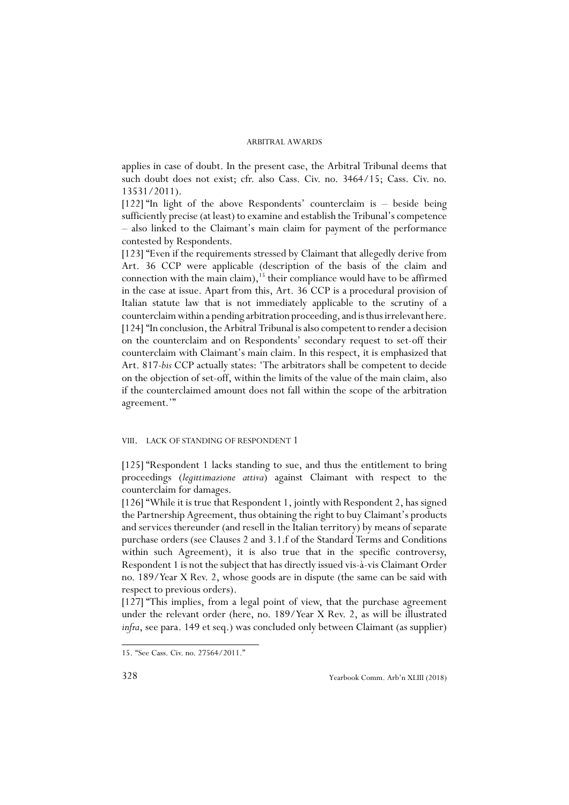applies in case of doubt. In the present case, the Arbitral Tribunal deems that such doubt does not exist; cfr. also Cass. Civ. no. 3464/15; Cass. Civ. no. 13531/2011).

[122] "In light of the above Respondents' counterclaim is – beside being sufficiently precise (at least) to examine and establish the Tribunal's competence – also linked to the Claimant's main claim for payment of the performance contested by Respondents.

[123] "Even if the requirements stressed by Claimant that allegedly derive from Art. 36 CCP were applicable (description of the basis of the claim and connection with the main claim),<sup>15</sup> their compliance would have to be affirmed in the case at issue. Apart from this, Art. 36 CCP is a procedural provision of Italian statute law that is not immediately applicable to the scrutiny of a counterclaim within a pending arbitration proceeding, and is thus irrelevant here. [124] "In conclusion, the Arbitral Tribunal is also competent to render a decision on the counterclaim and on Respondents' secondary request to set-off their counterclaim with Claimant's main claim. In this respect, it is emphasized that Art. 817-*bis* CCP actually states: 'The arbitrators shall be competent to decide on the objection of set-off, within the limits of the value of the main claim, also if the counterclaimed amount does not fall within the scope of the arbitration agreement.'"

### VIII. LACK OF STANDING OF RESPONDENT 1

[125] "Respondent 1 lacks standing to sue, and thus the entitlement to bring proceedings (*legittimazione attiva*) against Claimant with respect to the counterclaim for damages.

[126] "While it is true that Respondent 1, jointly with Respondent 2, has signed the Partnership Agreement, thus obtaining the right to buy Claimant's products and services thereunder (and resell in the Italian territory) by means of separate purchase orders (see Clauses 2 and 3.1.f of the Standard Terms and Conditions within such Agreement), it is also true that in the specific controversy, Respondent 1 is not the subject that has directly issued vis-à-vis Claimant Order no. 189/Year X Rev. 2, whose goods are in dispute (the same can be said with respect to previous orders).

[127] "This implies, from a legal point of view, that the purchase agreement under the relevant order (here, no. 189/Year X Rev. 2, as will be illustrated *infra*, see para. 149 et seq.) was concluded only between Claimant (as supplier)

<sup>15. &</sup>quot;See Cass. Civ. no. 27564/2011."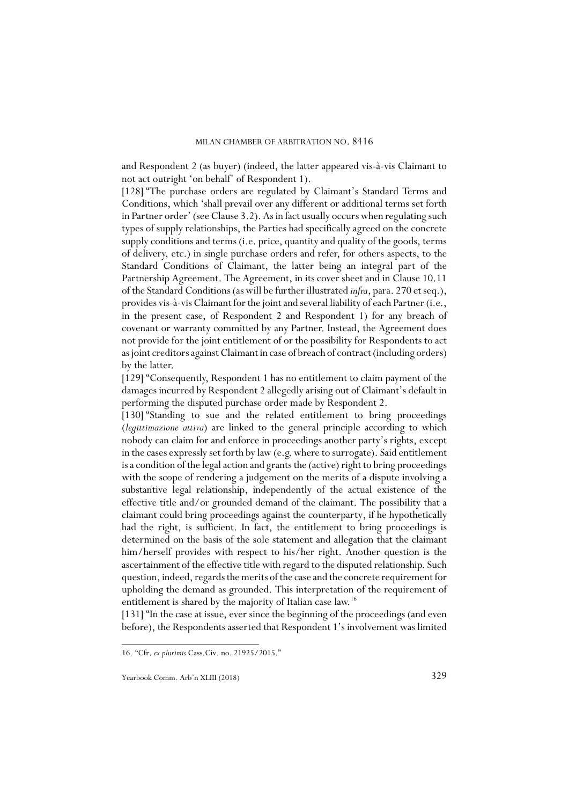and Respondent 2 (as buyer) (indeed, the latter appeared vis-à-vis Claimant to not act outright 'on behalf' of Respondent 1).

[128] "The purchase orders are regulated by Claimant's Standard Terms and Conditions, which 'shall prevail over any different or additional terms set forth in Partner order' (see Clause 3.2). As in fact usually occurs when regulating such types of supply relationships, the Parties had specifically agreed on the concrete supply conditions and terms (i.e. price, quantity and quality of the goods, terms of delivery, etc.) in single purchase orders and refer, for others aspects, to the Standard Conditions of Claimant, the latter being an integral part of the Partnership Agreement. The Agreement, in its cover sheet and in Clause 10.11 of the Standard Conditions (as will be further illustrated *infra*, para. 270 et seq.), provides vis-à-vis Claimant for the joint and several liability of each Partner (i.e., in the present case, of Respondent 2 and Respondent 1) for any breach of covenant or warranty committed by any Partner. Instead, the Agreement does not provide for the joint entitlement of or the possibility for Respondents to act as joint creditors against Claimant in case of breach of contract (including orders) by the latter.

[129] "Consequently, Respondent 1 has no entitlement to claim payment of the damages incurred by Respondent 2 allegedly arising out of Claimant's default in performing the disputed purchase order made by Respondent 2.

[130] "Standing to sue and the related entitlement to bring proceedings (*legittimazione attiva*) are linked to the general principle according to which nobody can claim for and enforce in proceedings another party's rights, except in the cases expressly set forth by law (e.g. where to surrogate). Said entitlement is a condition of the legal action and grants the (active) right to bring proceedings with the scope of rendering a judgement on the merits of a dispute involving a substantive legal relationship, independently of the actual existence of the effective title and/or grounded demand of the claimant. The possibility that a claimant could bring proceedings against the counterparty, if he hypothetically had the right, is sufficient. In fact, the entitlement to bring proceedings is determined on the basis of the sole statement and allegation that the claimant him/herself provides with respect to his/her right. Another question is the ascertainment of the effective title with regard to the disputed relationship. Such question, indeed, regards the merits of the case and the concrete requirement for upholding the demand as grounded. This interpretation of the requirement of entitlement is shared by the majority of Italian case law.16

[131] "In the case at issue, ever since the beginning of the proceedings (and even before), the Respondents asserted that Respondent 1's involvement was limited

<sup>16. &</sup>quot;Cfr. *ex plurimis* Cass.Civ. no. 21925/2015."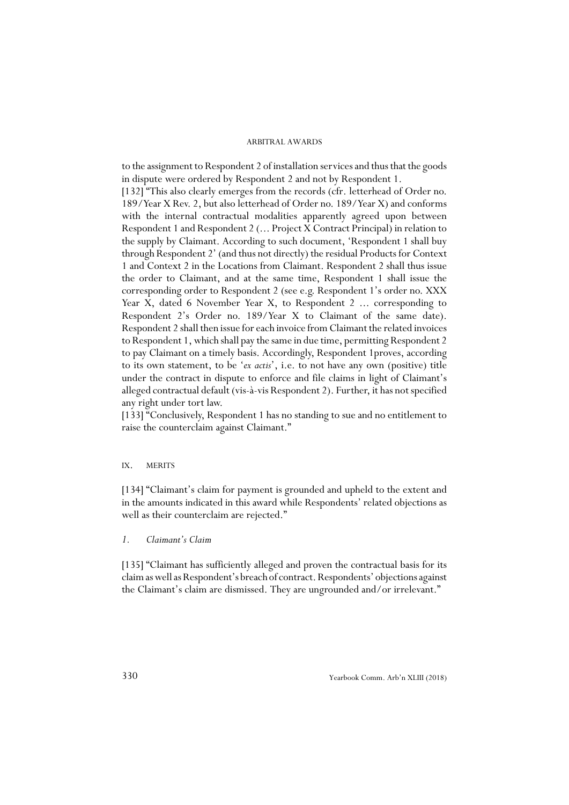to the assignment to Respondent 2 of installation services and thus that the goods in dispute were ordered by Respondent 2 and not by Respondent 1. [132] "This also clearly emerges from the records (cfr. letterhead of Order no.

189/Year X Rev. 2, but also letterhead of Order no. 189/Year X) and conforms with the internal contractual modalities apparently agreed upon between Respondent 1 and Respondent 2 (... Project X Contract Principal) in relation to the supply by Claimant. According to such document, 'Respondent 1 shall buy through Respondent 2' (and thus not directly) the residual Products for Context 1 and Context 2 in the Locations from Claimant. Respondent 2 shall thus issue the order to Claimant, and at the same time, Respondent 1 shall issue the corresponding order to Respondent 2 (see e.g. Respondent 1's order no. XXX Year X, dated 6 November Year X, to Respondent 2 ... corresponding to Respondent 2's Order no. 189/Year X to Claimant of the same date). Respondent 2 shall then issue for each invoice from Claimant the related invoices to Respondent 1, which shall pay the same in due time, permitting Respondent 2 to pay Claimant on a timely basis. Accordingly, Respondent 1proves, according to its own statement, to be '*ex actis*', i.e. to not have any own (positive) title under the contract in dispute to enforce and file claims in light of Claimant's alleged contractual default (vis-à-vis Respondent 2). Further, it has not specified any right under tort law.

[133] "Conclusively, Respondent 1 has no standing to sue and no entitlement to raise the counterclaim against Claimant."

### IX. MERITS

[134] "Claimant's claim for payment is grounded and upheld to the extent and in the amounts indicated in this award while Respondents' related objections as well as their counterclaim are rejected."

*1. Claimant's Claim*

[135] "Claimant has sufficiently alleged and proven the contractual basis for its claim as well as Respondent's breach of contract. Respondents' objections against the Claimant's claim are dismissed. They are ungrounded and/or irrelevant."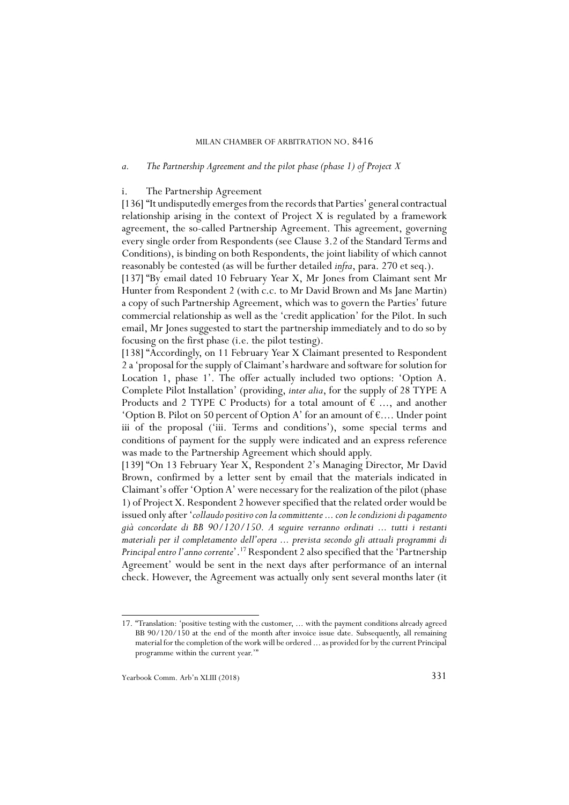### *a. The Partnership Agreement and the pilot phase (phase 1) of Project X*

### i. The Partnership Agreement

[136] "It undisputedly emerges from the records that Parties' general contractual relationship arising in the context of Project X is regulated by a framework agreement, the so-called Partnership Agreement. This agreement, governing every single order from Respondents (see Clause 3.2 of the Standard Terms and Conditions), is binding on both Respondents, the joint liability of which cannot reasonably be contested (as will be further detailed *infra*, para. 270 et seq.).

[137] "By email dated 10 February Year X, Mr Jones from Claimant sent Mr Hunter from Respondent 2 (with c.c. to Mr David Brown and Ms Jane Martin) a copy of such Partnership Agreement, which was to govern the Parties' future commercial relationship as well as the 'credit application' for the Pilot. In such email, Mr Jones suggested to start the partnership immediately and to do so by focusing on the first phase (i.e. the pilot testing).

[138] "Accordingly, on 11 February Year X Claimant presented to Respondent 2 a 'proposal for the supply of Claimant's hardware and software for solution for Location 1, phase 1'. The offer actually included two options: 'Option A. Complete Pilot Installation' (providing, *inter alia*, for the supply of 28 TYPE A Products and 2 TYPE C Products) for a total amount of  $\epsilon$  ..., and another 'Option B. Pilot on 50 percent of Option A' for an amount of  $\epsilon$ .... Under point iii of the proposal ('iii. Terms and conditions'), some special terms and conditions of payment for the supply were indicated and an express reference was made to the Partnership Agreement which should apply.

[139] "On 13 February Year X, Respondent 2's Managing Director, Mr David Brown, confirmed by a letter sent by email that the materials indicated in Claimant's offer 'Option A' were necessary for the realization of the pilot (phase 1) of Project X. Respondent 2 however specified that the related order would be issued only after '*collaudo positivo con la committente ... con le condizioni di pagamento già concordate di BB 90/120/150. A seguire verranno ordinati ... tutti i restanti materiali per il completamento dell'opera ... prevista secondo gli attuali programmi di Principal entro l'anno corrente*'.17 Respondent 2 also specified that the 'Partnership Agreement' would be sent in the next days after performance of an internal check. However, the Agreement was actually only sent several months later (it

<sup>17. &</sup>quot;Translation: 'positive testing with the customer, ... with the payment conditions already agreed BB 90/120/150 at the end of the month after invoice issue date. Subsequently, all remaining material for the completion of the work will be ordered ... as provided for by the current Principal programme within the current year.'"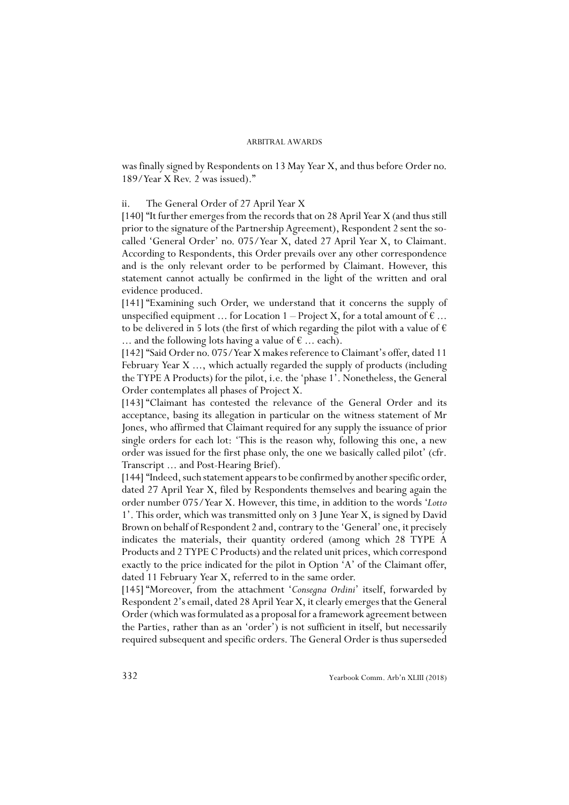was finally signed by Respondents on 13 May Year X, and thus before Order no. 189/Year X Rev. 2 was issued)."

### ii. The General Order of 27 April Year X

[140] "It further emerges from the records that on 28 April Year X (and thus still prior to the signature of the Partnership Agreement), Respondent 2 sent the socalled 'General Order' no. 075/Year X, dated 27 April Year X, to Claimant. According to Respondents, this Order prevails over any other correspondence and is the only relevant order to be performed by Claimant. However, this statement cannot actually be confirmed in the light of the written and oral evidence produced.

[141] "Examining such Order, we understand that it concerns the supply of unspecified equipment ... for Location 1 – Project X, for a total amount of  $\epsilon$  ... to be delivered in 5 lots (the first of which regarding the pilot with a value of  $\epsilon$ ... and the following lots having a value of  $\epsilon$  ... each).

[142] "Said Order no. 075/Year X makes reference to Claimant's offer, dated 11 February Year X ..., which actually regarded the supply of products (including the TYPE A Products) for the pilot, i.e. the 'phase 1'. Nonetheless, the General Order contemplates all phases of Project X.

[143] "Claimant has contested the relevance of the General Order and its acceptance, basing its allegation in particular on the witness statement of Mr Jones, who affirmed that Claimant required for any supply the issuance of prior single orders for each lot: 'This is the reason why, following this one, a new order was issued for the first phase only, the one we basically called pilot' (cfr. Transcript ... and Post-Hearing Brief).

[144] "Indeed, such statement appears to be confirmed by another specific order, dated 27 April Year X, filed by Respondents themselves and bearing again the order number 075/Year X. However, this time, in addition to the words '*Lotto* 1'. This order, which was transmitted only on 3 June Year X, is signed by David Brown on behalf of Respondent 2 and, contrary to the 'General' one, it precisely indicates the materials, their quantity ordered (among which 28 TYPE A Products and 2 TYPE C Products) and the related unit prices, which correspond exactly to the price indicated for the pilot in Option 'A' of the Claimant offer, dated 11 February Year X, referred to in the same order.

[145] "Moreover, from the attachment '*Consegna Ordini*' itself, forwarded by Respondent 2's email, dated 28 April Year X, it clearly emerges that the General Order (which was formulated as a proposal for a framework agreement between the Parties, rather than as an 'order') is not sufficient in itself, but necessarily required subsequent and specific orders. The General Order is thus superseded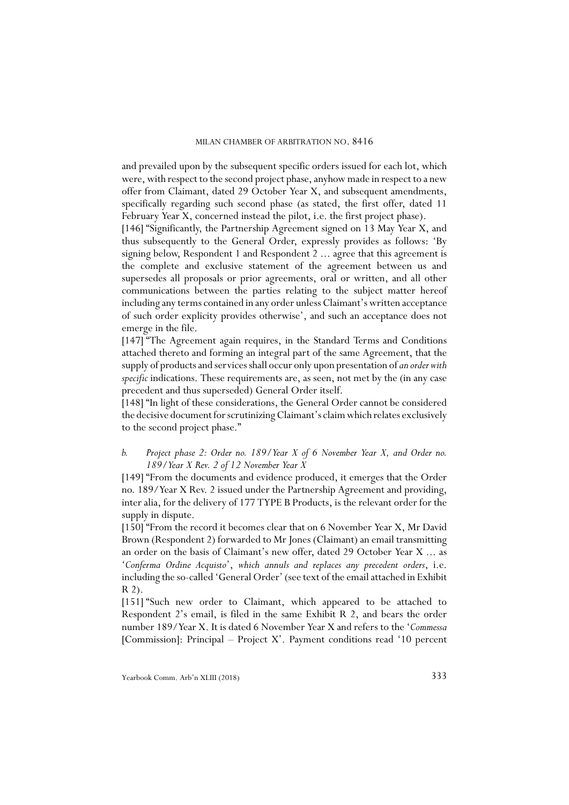and prevailed upon by the subsequent specific orders issued for each lot, which were, with respect to the second project phase, anyhow made in respect to a new offer from Claimant, dated 29 October Year X, and subsequent amendments, specifically regarding such second phase (as stated, the first offer, dated 11 February Year X, concerned instead the pilot, i.e. the first project phase).

[146] "Significantly, the Partnership Agreement signed on 13 May Year X, and thus subsequently to the General Order, expressly provides as follows: 'By signing below, Respondent 1 and Respondent 2 ... agree that this agreement is the complete and exclusive statement of the agreement between us and supersedes all proposals or prior agreements, oral or written, and all other communications between the parties relating to the subject matter hereof including any terms contained in any order unless Claimant's written acceptance of such order explicity provides otherwise', and such an acceptance does not emerge in the file.

[147] "The Agreement again requires, in the Standard Terms and Conditions attached thereto and forming an integral part of the same Agreement, that the supply of products and services shall occur only upon presentation of *an order with specific* indications. These requirements are, as seen, not met by the (in any case precedent and thus superseded) General Order itself.

[148] "In light of these considerations, the General Order cannot be considered the decisive document for scrutinizing Claimant's claim which relates exclusively to the second project phase."

### *b. Project phase 2: Order no. 189/Year X of 6 November Year X, and Order no. 189/Year X Rev. 2 of 12 November Year X*

[149] "From the documents and evidence produced, it emerges that the Order no. 189/Year X Rev. 2 issued under the Partnership Agreement and providing, inter alia, for the delivery of 177 TYPE B Products, is the relevant order for the supply in dispute.

[150] "From the record it becomes clear that on 6 November Year X, Mr David Brown (Respondent 2) forwarded to Mr Jones (Claimant) an email transmitting an order on the basis of Claimant's new offer, dated 29 October Year X ... as '*Conferma Ordine Acquisto*', *which annuls and replaces any precedent orders*, i.e. including the so-called 'General Order' (see text of the email attached in Exhibit R 2).

[151] "Such new order to Claimant, which appeared to be attached to Respondent 2's email, is filed in the same Exhibit R 2, and bears the order number 189/Year X. It is dated 6 November Year X and refers to the '*Commessa* [Commission]: Principal – Project X'. Payment conditions read '10 percent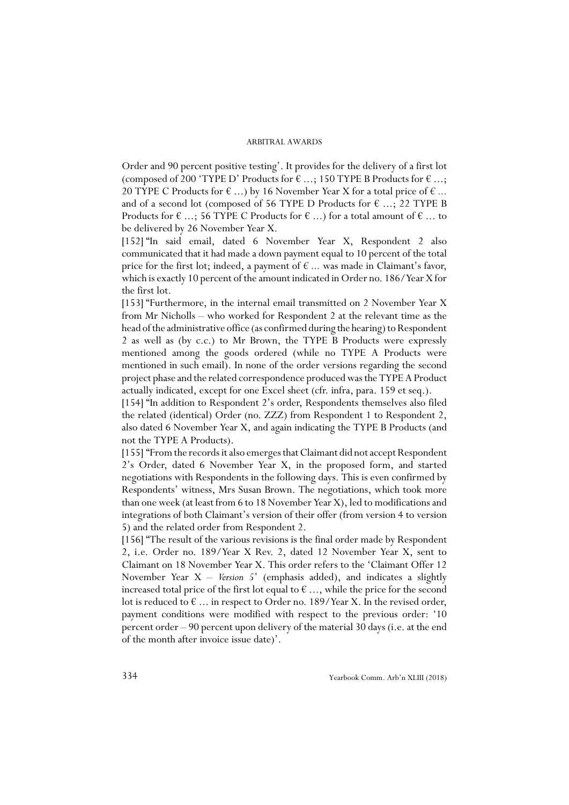Order and 90 percent positive testing'. It provides for the delivery of a first lot (composed of 200 'TYPE D' Products for  $\epsilon$  ...; 150 TYPE B Products for  $\epsilon$  ...; 20 TYPE C Products for  $\epsilon$  ...) by 16 November Year X for a total price of  $\epsilon$  ... and of a second lot (composed of 56 TYPE D Products for  $\epsilon$  ...; 22 TYPE B Products for  $\epsilon$  ...; 56 TYPE C Products for  $\epsilon$  ...) for a total amount of  $\epsilon$  ... to be delivered by 26 November Year X.

[152] "In said email, dated 6 November Year X, Respondent 2 also communicated that it had made a down payment equal to 10 percent of the total price for the first lot; indeed, a payment of *€ ...* was made in Claimant's favor, which is exactly 10 percent of the amount indicated in Order no. 186/Year X for the first lot.

[153] "Furthermore, in the internal email transmitted on 2 November Year X from Mr Nicholls – who worked for Respondent 2 at the relevant time as the head of the administrative office (as confirmed during the hearing) to Respondent 2 as well as (by c.c.) to Mr Brown, the TYPE B Products were expressly mentioned among the goods ordered (while no TYPE A Products were mentioned in such email). In none of the order versions regarding the second project phase and the related correspondence produced was the TYPE A Product actually indicated, except for one Excel sheet (cfr. infra, para. 159 et seq.).

[154] "In addition to Respondent 2's order, Respondents themselves also filed the related (identical) Order (no. ZZZ) from Respondent 1 to Respondent 2, also dated 6 November Year X, and again indicating the TYPE B Products (and not the TYPE A Products).

[155] "From the records it also emerges that Claimant did not accept Respondent 2's Order, dated 6 November Year X, in the proposed form, and started negotiations with Respondents in the following days. This is even confirmed by Respondents' witness, Mrs Susan Brown. The negotiations, which took more than one week (at least from 6 to 18 November Year X), led to modifications and integrations of both Claimant's version of their offer (from version 4 to version 5) and the related order from Respondent 2.

[156] "The result of the various revisions is the final order made by Respondent 2, i.e. Order no. 189/Year X Rev. 2, dated 12 November Year X, sent to Claimant on 18 November Year X. This order refers to the 'Claimant Offer 12 November Year X – *Version 5*' (emphasis added), and indicates a slightly increased total price of the first lot equal to  $\epsilon$  ..., while the price for the second lot is reduced to  $\epsilon$  ... in respect to Order no. 189/Year X. In the revised order, payment conditions were modified with respect to the previous order: '10 percent order – 90 percent upon delivery of the material 30 days (i.e. at the end of the month after invoice issue date)'.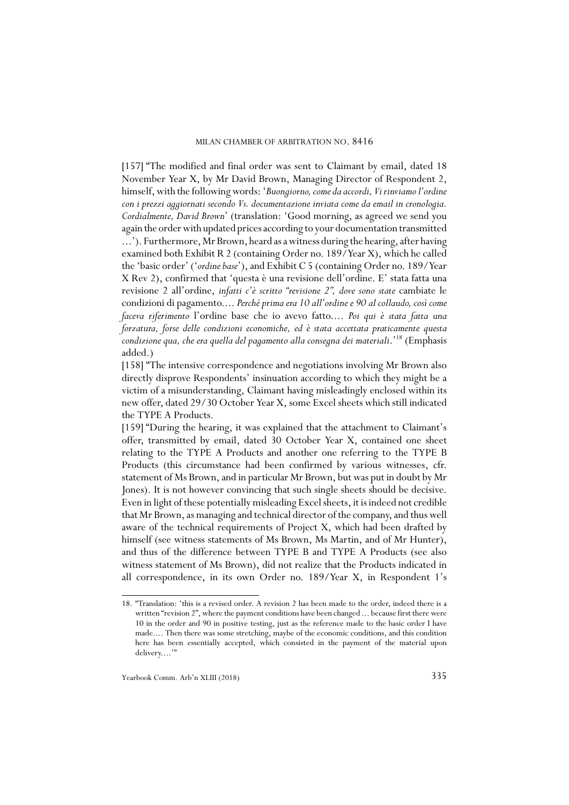[157] "The modified and final order was sent to Claimant by email, dated 18 November Year X, by Mr David Brown, Managing Director of Respondent 2, himself, with the following words: '*Buongiorno, come da accordi, Vi rinviamo l'ordine con i prezzi aggiornati secondo Vs. documentazione inviata come da email in cronologia. Cordialmente, David Brown*' (translation: 'Good morning, as agreed we send you again the order with updated prices according to your documentation transmitted ...'). Furthermore, Mr Brown, heard as a witness during the hearing, after having examined both Exhibit R 2 (containing Order no. 189/Year X), which he called the 'basic order' ('*ordine base*'), and Exhibit C 5 (containing Order no. 189/Year X Rev 2), confirmed that 'questa è una revisione dell'ordine. E' stata fatta una revisione 2 all'ordine, *infatti c'è scritto "revisione 2", dove sono state* cambiate le condizioni di pagamento.... *Perché prima era 10 all'ordine e 90 al collaudo, così come faceva riferimento* l'ordine base che io avevo fatto.... *Poi qui è stata fatta una forzatura, forse delle condizioni economiche, ed è stata accettata praticamente questa condizione qua, che era quella del pagamento alla consegna dei materiali*.'18 (Emphasis added.)

[158] "The intensive correspondence and negotiations involving Mr Brown also directly disprove Respondents' insinuation according to which they might be a victim of a misunderstanding, Claimant having misleadingly enclosed within its new offer, dated 29/30 October Year X, some Excel sheets which still indicated the TYPE A Products.

[159] "During the hearing, it was explained that the attachment to Claimant's offer, transmitted by email, dated 30 October Year X, contained one sheet relating to the TYPE A Products and another one referring to the TYPE B Products (this circumstance had been confirmed by various witnesses, cfr. statement of Ms Brown, and in particular Mr Brown, but was put in doubt by Mr Jones). It is not however convincing that such single sheets should be decisive. Even in light of these potentially misleading Excel sheets, it is indeed not credible that Mr Brown, as managing and technical director of the company, and thus well aware of the technical requirements of Project X, which had been drafted by himself (see witness statements of Ms Brown, Ms Martin, and of Mr Hunter), and thus of the difference between TYPE B and TYPE A Products (see also witness statement of Ms Brown), did not realize that the Products indicated in all correspondence, in its own Order no. 189/Year X, in Respondent 1's

<sup>18. &</sup>quot;Translation: 'this is a revised order. A revision 2 has been made to the order, indeed there is a written "revision 2", where the payment conditions have been changed ... because first there were 10 in the order and 90 in positive testing, just as the reference made to the basic order I have made.... Then there was some stretching, maybe of the economic conditions, and this condition here has been essentially accepted, which consisted in the payment of the material upon delivery...."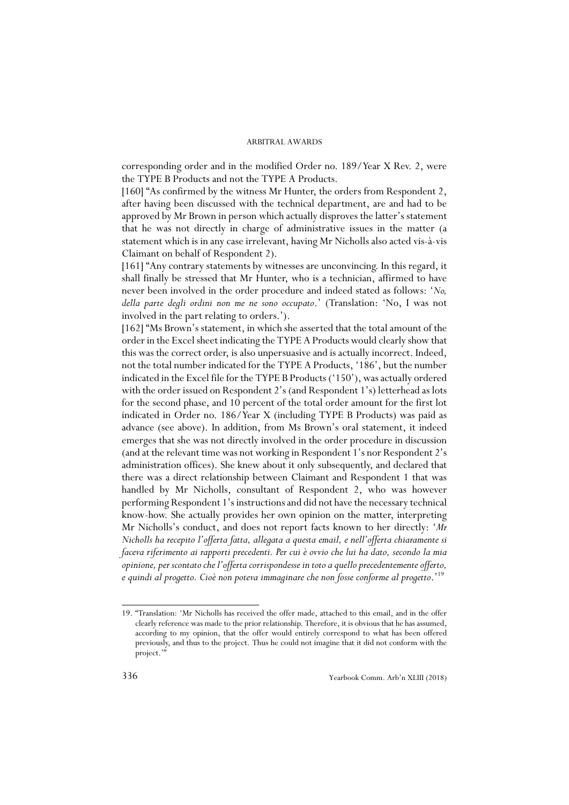corresponding order and in the modified Order no. 189/Year X Rev. 2, were the TYPE B Products and not the TYPE A Products.

[160] "As confirmed by the witness Mr Hunter, the orders from Respondent 2, after having been discussed with the technical department, are and had to be approved by Mr Brown in person which actually disproves the latter's statement that he was not directly in charge of administrative issues in the matter (a statement which is in any case irrelevant, having Mr Nicholls also acted vis-à-vis Claimant on behalf of Respondent 2).

[161] "Any contrary statements by witnesses are unconvincing. In this regard, it shall finally be stressed that Mr Hunter, who is a technician, affirmed to have never been involved in the order procedure and indeed stated as follows: '*No, della parte degli ordini non me ne sono occupato*.' (Translation: 'No, I was not involved in the part relating to orders.').

[162] "Ms Brown's statement, in which she asserted that the total amount of the order in the Excel sheet indicating the TYPE A Products would clearly show that this was the correct order, is also unpersuasive and is actually incorrect. Indeed, not the total number indicated for the TYPE A Products, '186', but the number indicated in the Excel file for the TYPE B Products ('150'), was actually ordered with the order issued on Respondent 2's (and Respondent 1's) letterhead as lots for the second phase, and 10 percent of the total order amount for the first lot indicated in Order no. 186/Year X (including TYPE B Products) was paid as advance (see above). In addition, from Ms Brown's oral statement, it indeed emerges that she was not directly involved in the order procedure in discussion (and at the relevant time was not working in Respondent 1's nor Respondent 2's administration offices). She knew about it only subsequently, and declared that there was a direct relationship between Claimant and Respondent 1 that was handled by Mr Nicholls, consultant of Respondent 2, who was however performing Respondent 1's instructions and did not have the necessary technical know-how. She actually provides her own opinion on the matter, interpreting Mr Nicholls's conduct, and does not report facts known to her directly: '*Mr Nicholls ha recepito l'offerta fatta, allegata a questa email, e nell'offerta chiaramente si faceva riferimento ai rapporti precedenti. Per cui è ovvio che lui ha dato, secondo la mia opinione, per scontato che l'offerta corrispondesse in toto a quello precedentemente offerto, e quindi al progetto. Cioè non poteva immaginare che non fosse conforme al progetto*.'19

<sup>19. &</sup>quot;Translation: 'Mr Nicholls has received the offer made, attached to this email, and in the offer clearly reference was made to the prior relationship. Therefore, it is obvious that he has assumed, according to my opinion, that the offer would entirely correspond to what has been offered previously, and thus to the project. Thus he could not imagine that it did not conform with the project."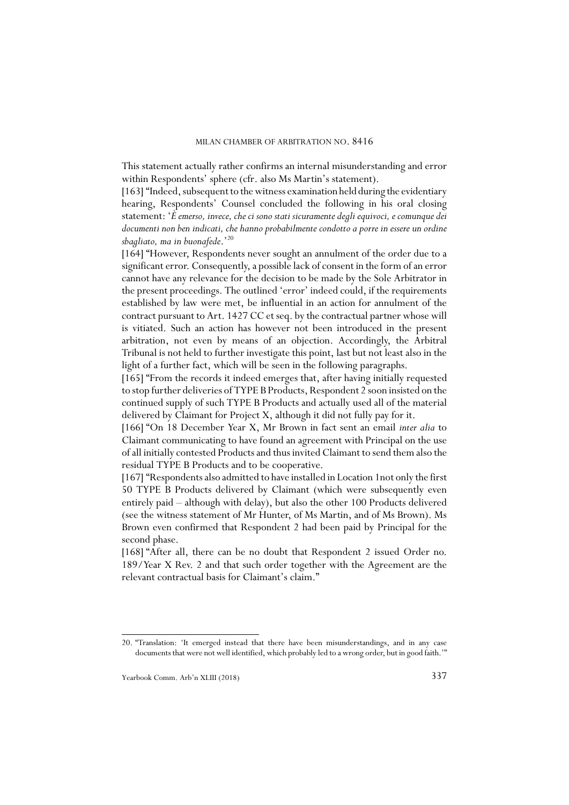This statement actually rather confirms an internal misunderstanding and error within Respondents' sphere (cfr. also Ms Martin's statement).

[163] "Indeed, subsequent to the witness examination held during the evidentiary hearing, Respondents' Counsel concluded the following in his oral closing statement: '*È emerso, invece, che ci sono stati sicuramente degli equivoci, e comunque dei documenti non ben indicati, che hanno probabilmente condotto a porre in essere un ordine sbagliato, ma in buonafede*.'20

[164] "However, Respondents never sought an annulment of the order due to a significant error. Consequently, a possible lack of consent in the form of an error cannot have any relevance for the decision to be made by the Sole Arbitrator in the present proceedings. The outlined 'error' indeed could, if the requirements established by law were met, be influential in an action for annulment of the contract pursuant to Art. 1427 CC et seq. by the contractual partner whose will is vitiated. Such an action has however not been introduced in the present arbitration, not even by means of an objection. Accordingly, the Arbitral Tribunal is not held to further investigate this point, last but not least also in the light of a further fact, which will be seen in the following paragraphs.

[165] "From the records it indeed emerges that, after having initially requested to stop further deliveries of TYPE B Products, Respondent 2 soon insisted on the continued supply of such TYPE B Products and actually used all of the material delivered by Claimant for Project X, although it did not fully pay for it.

[166] "On 18 December Year X, Mr Brown in fact sent an email *inter alia* to Claimant communicating to have found an agreement with Principal on the use of all initially contested Products and thus invited Claimant to send them also the residual TYPE B Products and to be cooperative.

[167] "Respondents also admitted to have installed in Location 1not only the first 50 TYPE B Products delivered by Claimant (which were subsequently even entirely paid – although with delay), but also the other 100 Products delivered (see the witness statement of Mr Hunter, of Ms Martin, and of Ms Brown). Ms Brown even confirmed that Respondent 2 had been paid by Principal for the second phase.

[168] "After all, there can be no doubt that Respondent 2 issued Order no. 189/Year X Rev. 2 and that such order together with the Agreement are the relevant contractual basis for Claimant's claim."

<sup>20. &</sup>quot;Translation: 'It emerged instead that there have been misunderstandings, and in any case documents that were not well identified, which probably led to a wrong order, but in good faith.'"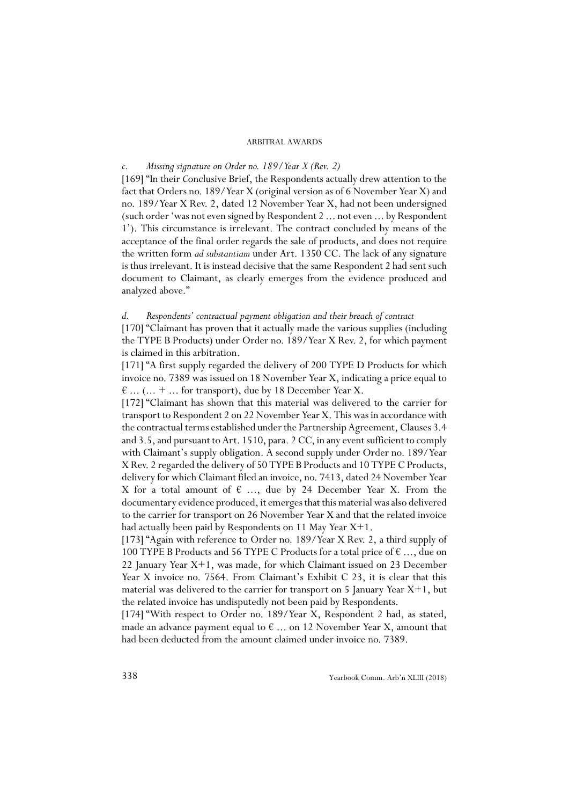### *c. Missing signature on Order no. 189/Year X (Rev. 2)*

[169] "In their *C*onclusive Brief, the Respondents actually drew attention to the fact that Orders no. 189/Year X (original version as of 6 November Year X) and no. 189/Year X Rev. 2, dated 12 November Year X, had not been undersigned (such order 'was not even signed by Respondent 2 ... not even ... by Respondent 1'). This circumstance is irrelevant. The contract concluded by means of the acceptance of the final order regards the sale of products, and does not require the written form *ad substantiam* under Art. 1350 CC. The lack of any signature is thus irrelevant. It is instead decisive that the same Respondent 2 had sent such document to Claimant, as clearly emerges from the evidence produced and analyzed above."

### *d. Respondents' contractual payment obligation and their breach of contract*

[170] "Claimant has proven that it actually made the various supplies (including the TYPE B Products) under Order no. 189/Year X Rev. 2, for which payment is claimed in this arbitration.

[171] "A first supply regarded the delivery of 200 TYPE D Products for which invoice no. 7389 was issued on 18 November Year X, indicating a price equal to  $\epsilon$  ... (... + ... for transport), due by 18 December Year X.

[172] "Claimant has shown that this material was delivered to the carrier for transport to Respondent 2 on 22 November Year X. This was in accordance with the contractual terms established under the Partnership Agreement, Clauses 3.4 and 3.5, and pursuant to Art. 1510, para. 2 CC, in any event sufficient to comply with Claimant's supply obligation. A second supply under Order no. 189/Year X Rev. 2 regarded the delivery of 50 TYPE B Products and 10 TYPE C Products, delivery for which Claimant filed an invoice, no. 7413, dated 24 November Year X for a total amount of  $\epsilon$  ..., due by 24 December Year X. From the documentary evidence produced, it emerges that this material was also delivered to the carrier for transport on 26 November Year X and that the related invoice had actually been paid by Respondents on 11 May Year X+1.

[173] "Again with reference to Order no. 189/Year X Rev. 2, a third supply of 100 TYPE B Products and 56 TYPE C Products for a total price of  $\epsilon$  ..., due on 22 January Year X+1, was made, for which Claimant issued on 23 December Year X invoice no. 7564. From Claimant's Exhibit C 23, it is clear that this material was delivered to the carrier for transport on 5 January Year X+1, but the related invoice has undisputedly not been paid by Respondents.

[174] "With respect to Order no. 189/Year X, Respondent 2 had, as stated, made an advance payment equal to  $\epsilon$  ... on 12 November Year X, amount that had been deducted from the amount claimed under invoice no. 7389.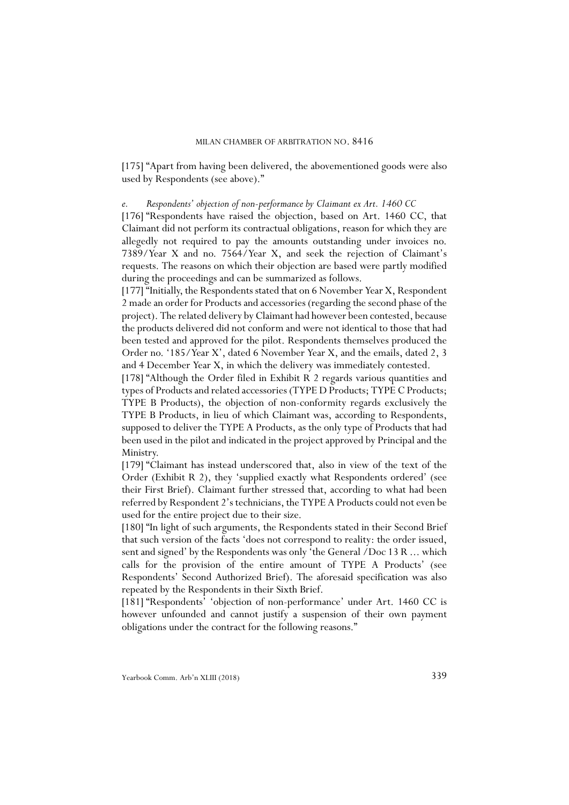[175] "Apart from having been delivered, the abovementioned goods were also used by Respondents (see above)."

*e. Respondents' objection of non-performance by Claimant ex Art. 1460 CC*

[176] "Respondents have raised the objection, based on Art. 1460 CC, that Claimant did not perform its contractual obligations, reason for which they are allegedly not required to pay the amounts outstanding under invoices no. 7389/Year X and no. 7564/Year X, and seek the rejection of Claimant's requests. The reasons on which their objection are based were partly modified during the proceedings and can be summarized as follows.

[177] "Initially, the Respondents stated that on 6 November Year X, Respondent 2 made an order for Products and accessories (regarding the second phase of the project). The related delivery by Claimant had however been contested, because the products delivered did not conform and were not identical to those that had been tested and approved for the pilot. Respondents themselves produced the Order no. '185/Year X', dated 6 November Year X, and the emails, dated 2, 3 and 4 December Year X, in which the delivery was immediately contested.

[178] "Although the Order filed in Exhibit R 2 regards various quantities and types of Products and related accessories (TYPE D Products; TYPE C Products; TYPE B Products), the objection of non-conformity regards exclusively the TYPE B Products, in lieu of which Claimant was, according to Respondents, supposed to deliver the TYPE A Products, as the only type of Products that had been used in the pilot and indicated in the project approved by Principal and the Ministry.

[179] "Claimant has instead underscored that, also in view of the text of the Order (Exhibit R 2), they 'supplied exactly what Respondents ordered' (see their First Brief). Claimant further stressed that, according to what had been referred by Respondent 2's technicians, the TYPE A Products could not even be used for the entire project due to their size.

[180] "In light of such arguments, the Respondents stated in their Second Brief that such version of the facts 'does not correspond to reality: the order issued, sent and signed' by the Respondents was only 'the General /Doc 13 R ... which calls for the provision of the entire amount of TYPE A Products' (see Respondents' Second Authorized Brief). The aforesaid specification was also repeated by the Respondents in their Sixth Brief.

[181] "Respondents' 'objection of non-performance' under Art. 1460 CC is however unfounded and cannot justify a suspension of their own payment obligations under the contract for the following reasons."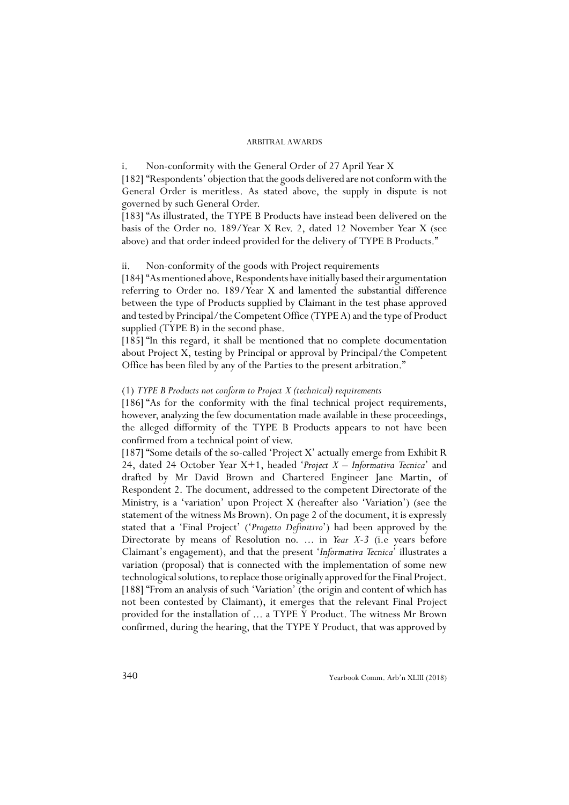i. Non-conformity with the General Order of 27 April Year X

[182] "Respondents' objection that the goods delivered are not conform with the General Order is meritless. As stated above, the supply in dispute is not governed by such General Order.

[183] "As illustrated, the TYPE B Products have instead been delivered on the basis of the Order no. 189/Year X Rev. 2, dated 12 November Year X (see above) and that order indeed provided for the delivery of TYPE B Products."

### ii. Non-conformity of the goods with Project requirements

[184] "As mentioned above, Respondents have initially based their argumentation referring to Order no. 189/Year X and lamented the substantial difference between the type of Products supplied by Claimant in the test phase approved and tested by Principal/the Competent Office (TYPE A) and the type of Product supplied (TYPE B) in the second phase.

[185] "In this regard, it shall be mentioned that no complete documentation about Project X, testing by Principal or approval by Principal/the Competent Office has been filed by any of the Parties to the present arbitration."

### (1) *TYPE B Products not conform to Project X (technical) requirements*

[186] "As for the conformity with the final technical project requirements, however, analyzing the few documentation made available in these proceedings, the alleged difformity of the TYPE B Products appears to not have been confirmed from a technical point of view.

[187] "Some details of the so-called 'Project X' actually emerge from Exhibit R 24, dated 24 October Year X+1, headed '*Project X – Informativa Tecnica*' and drafted by Mr David Brown and Chartered Engineer Jane Martin, of Respondent 2. The document, addressed to the competent Directorate of the Ministry, is a 'variation' upon Project X (hereafter also 'Variation') (see the statement of the witness Ms Brown). On page 2 of the document, it is expressly stated that a 'Final Project' ('*Progetto Definitivo*') had been approved by the Directorate by means of Resolution no. ... in *Year X-3* (i.e years before Claimant's engagement), and that the present '*Informativa Tecnica*' illustrates a variation (proposal) that is connected with the implementation of some new technological solutions, to replace those originally approved for the Final Project. [188] "From an analysis of such 'Variation' (the origin and content of which has not been contested by Claimant), it emerges that the relevant Final Project provided for the installation of ... a TYPE Y Product. The witness Mr Brown confirmed, during the hearing, that the TYPE Y Product, that was approved by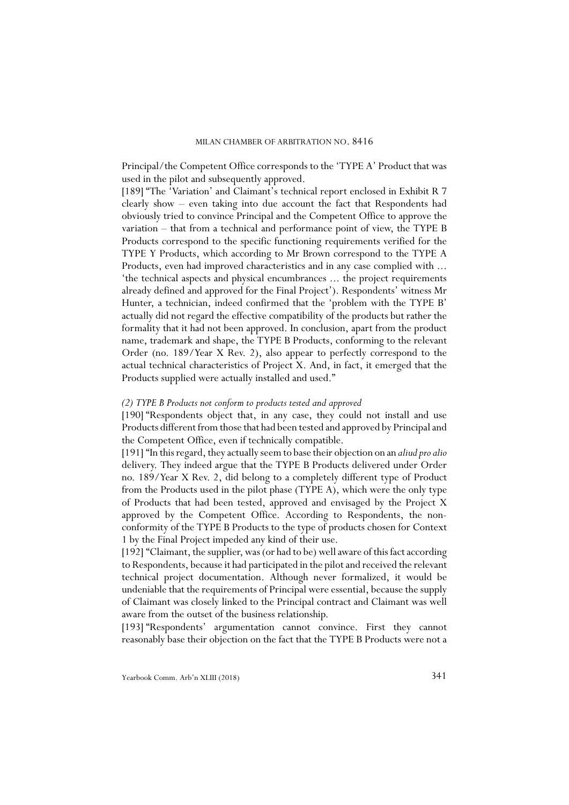Principal/the Competent Office corresponds to the 'TYPE A' Product that was used in the pilot and subsequently approved.

[189] "The 'Variation' and Claimant's technical report enclosed in Exhibit R 7 clearly show – even taking into due account the fact that Respondents had obviously tried to convince Principal and the Competent Office to approve the variation – that from a technical and performance point of view, the TYPE B Products correspond to the specific functioning requirements verified for the TYPE Y Products, which according to Mr Brown correspond to the TYPE A Products, even had improved characteristics and in any case complied with ... 'the technical aspects and physical encumbrances ... the project requirements already defined and approved for the Final Project'). Respondents' witness Mr Hunter, a technician, indeed confirmed that the 'problem with the TYPE B' actually did not regard the effective compatibility of the products but rather the formality that it had not been approved. In conclusion, apart from the product name, trademark and shape, the TYPE B Products, conforming to the relevant Order (no. 189/Year X Rev. 2), also appear to perfectly correspond to the actual technical characteristics of Project X. And, in fact, it emerged that the Products supplied were actually installed and used."

### *(2) TYPE B Products not conform to products tested and approved*

[190] "Respondents object that, in any case, they could not install and use Products different from those that had been tested and approved by Principal and the Competent Office, even if technically compatible.

[191] "In this regard, they actually seem to base their objection on an *aliud pro alio* delivery. They indeed argue that the TYPE B Products delivered under Order no. 189/Year X Rev. 2, did belong to a completely different type of Product from the Products used in the pilot phase (TYPE A), which were the only type of Products that had been tested, approved and envisaged by the Project X approved by the Competent Office. According to Respondents, the nonconformity of the TYPE B Products to the type of products chosen for Context 1 by the Final Project impeded any kind of their use.

[192] "Claimant, the supplier, was (or had to be) well aware of this fact according to Respondents, because it had participated in the pilot and received the relevant technical project documentation. Although never formalized, it would be undeniable that the requirements of Principal were essential, because the supply of Claimant was closely linked to the Principal contract and Claimant was well aware from the outset of the business relationship.

[193] "Respondents' argumentation cannot convince. First they cannot reasonably base their objection on the fact that the TYPE B Products were not a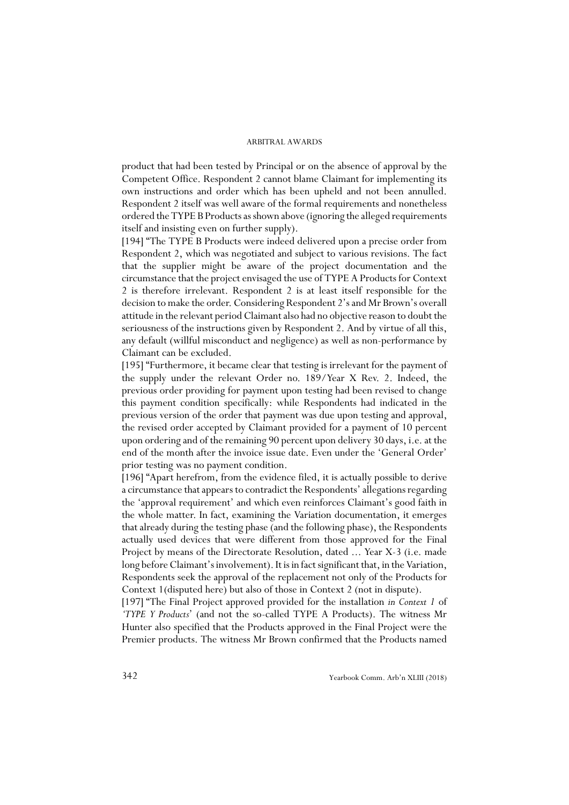product that had been tested by Principal or on the absence of approval by the Competent Office. Respondent 2 cannot blame Claimant for implementing its own instructions and order which has been upheld and not been annulled. Respondent 2 itself was well aware of the formal requirements and nonetheless ordered the TYPE B Products as shown above (ignoring the alleged requirements itself and insisting even on further supply).

[194] "The TYPE B Products were indeed delivered upon a precise order from Respondent 2, which was negotiated and subject to various revisions. The fact that the supplier might be aware of the project documentation and the circumstance that the project envisaged the use of TYPE A Products for Context 2 is therefore irrelevant. Respondent 2 is at least itself responsible for the decision to make the order. Considering Respondent 2's and Mr Brown's overall attitude in the relevant period Claimant also had no objective reason to doubt the seriousness of the instructions given by Respondent 2. And by virtue of all this, any default (willful misconduct and negligence) as well as non-performance by Claimant can be excluded.

[195] "Furthermore, it became clear that testing is irrelevant for the payment of the supply under the relevant Order no. 189/Year X Rev. 2. Indeed, the previous order providing for payment upon testing had been revised to change this payment condition specifically: while Respondents had indicated in the previous version of the order that payment was due upon testing and approval, the revised order accepted by Claimant provided for a payment of 10 percent upon ordering and of the remaining 90 percent upon delivery 30 days, i.e. at the end of the month after the invoice issue date. Even under the 'General Order' prior testing was no payment condition.

[196] "Apart herefrom, from the evidence filed, it is actually possible to derive a circumstance that appears to contradict the Respondents' allegations regarding the 'approval requirement' and which even reinforces Claimant's good faith in the whole matter. In fact, examining the Variation documentation, it emerges that already during the testing phase (and the following phase), the Respondents actually used devices that were different from those approved for the Final Project by means of the Directorate Resolution, dated ... Year X-3 (i.e. made long before Claimant's involvement). It is in fact significant that, in the Variation, Respondents seek the approval of the replacement not only of the Products for Context 1(disputed here) but also of those in Context 2 (not in dispute).

[197] "The Final Project approved provided for the installation *in Context 1* of *'TYPE Y Products*' (and not the so-called TYPE A Products). The witness Mr Hunter also specified that the Products approved in the Final Project were the Premier products. The witness Mr Brown confirmed that the Products named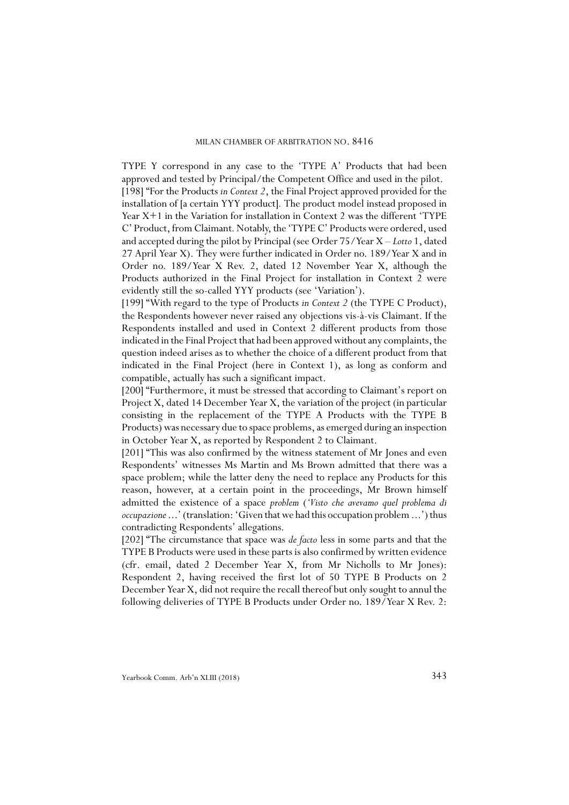TYPE Y correspond in any case to the 'TYPE A' Products that had been approved and tested by Principal/the Competent Office and used in the pilot. [198] "For the Products *in Context 2*, the Final Project approved provided for the installation of [a certain YYY product]*.* The product model instead proposed in Year X+1 in the Variation for installation in Context 2 was the different 'TYPE C' Product, from Claimant*.* Notably, the 'TYPE C' Products were ordered, used and accepted during the pilot by Principal (see Order 75/Year X – *Lotto* 1, dated 27 April Year X). They were further indicated in Order no. 189/Year X and in Order no. 189/Year X Rev. 2, dated 12 November Year X, although the Products authorized in the Final Project for installation in Context 2 were evidently still the so-called YYY products (see 'Variation').

[199] "With regard to the type of Products *in Context 2* (the TYPE C Product), the Respondents however never raised any objections vis-à-vis Claimant. If the Respondents installed and used in Context 2 different products from those indicated in the Final Project that had been approved without any complaints, the question indeed arises as to whether the choice of a different product from that indicated in the Final Project (here in Context 1), as long as conform and compatible, actually has such a significant impact.

[200] "Furthermore, it must be stressed that according to Claimant's report on Project X, dated 14 December Year X, the variation of the project (in particular consisting in the replacement of the TYPE A Products with the TYPE B Products) was necessary due to space problems, as emerged during an inspection in October Year X, as reported by Respondent 2 to Claimant.

[201] "This was also confirmed by the witness statement of Mr Jones and even Respondents' witnesses Ms Martin and Ms Brown admitted that there was a space problem; while the latter deny the need to replace any Products for this reason, however, at a certain point in the proceedings, Mr Brown himself admitted the existence of a space *problem* (*'Visto che avevamo quel problema di occupazione* ...' (translation: 'Given that we had this occupation problem ...') thus contradicting Respondents' allegations.

[202] "The circumstance that space was *de facto* less in some parts and that the TYPE B Products were used in these parts is also confirmed by written evidence (cfr. email, dated 2 December Year X, from Mr Nicholls to Mr Jones): Respondent 2, having received the first lot of 50 TYPE B Products on 2 December Year X, did not require the recall thereof but only sought to annul the following deliveries of TYPE B Products under Order no. 189/Year X Rev. 2: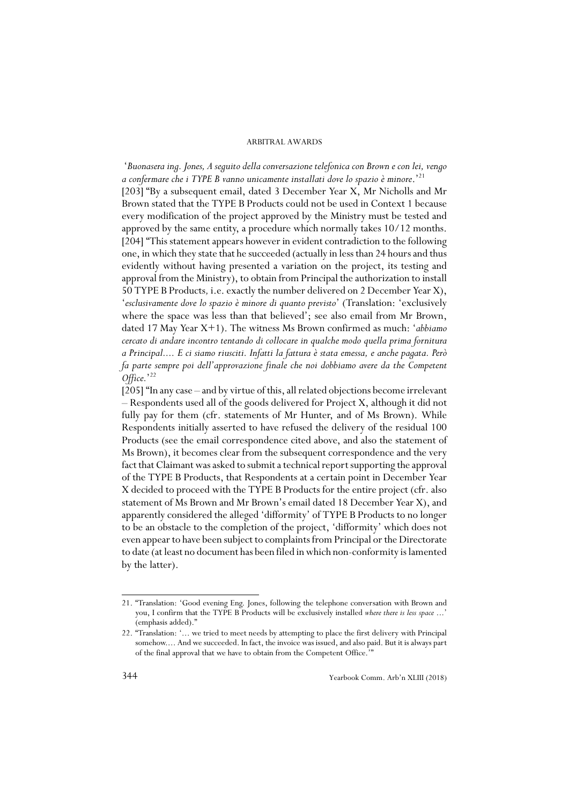'*Buonasera ing. Jones, A seguito della conversazione telefonica con Brown e con lei, vengo a confermare che i TYPE B vanno unicamente installati dove lo spazio è minore*.'21 [203] "By a subsequent email, dated 3 December Year X, Mr Nicholls and Mr Brown stated that the TYPE B Products could not be used in Context 1 because every modification of the project approved by the Ministry must be tested and approved by the same entity, a procedure which normally takes 10/12 months. [204] "This statement appears however in evident contradiction to the following one, in which they state that he succeeded (actually in less than 24 hours and thus evidently without having presented a variation on the project, its testing and approval from the Ministry), to obtain from Principal the authorization to install 50 TYPE B Products*,* i.e. exactly the number delivered on 2 December Year X), '*esclusivamente dove lo spazio è minore di quanto previsto*' (Translation: 'exclusively where the space was less than that believed'; see also email from Mr Brown, dated 17 May Year X+1). The witness Ms Brown confirmed as much: '*abbiamo cercato di andare incontro tentando di collocare in qualche modo quella prima fornitura a Principal.... E ci siamo riusciti. Infatti la fattura è stata emessa, e anche pagata. Però fa parte sempre poi dell'approvazione finale che noi dobbiamo avere da the Competent Office.*' 22

[205] "In any case – and by virtue of this, all related objections become irrelevant – Respondents used all of the goods delivered for Project X, although it did not fully pay for them (cfr. statements of Mr Hunter, and of Ms Brown). While Respondents initially asserted to have refused the delivery of the residual 100 Products (see the email correspondence cited above, and also the statement of Ms Brown), it becomes clear from the subsequent correspondence and the very fact that Claimant was asked to submit a technical report supporting the approval of the TYPE B Products, that Respondents at a certain point in December Year X decided to proceed with the TYPE B Products for the entire project (cfr. also statement of Ms Brown and Mr Brown's email dated 18 December Year X), and apparently considered the alleged 'difformity' of TYPE B Products to no longer to be an obstacle to the completion of the project, 'difformity' which does not even appear to have been subject to complaints from Principal or the Directorate to date (at least no document has been filed in which non-conformity is lamented by the latter).

<sup>21. &</sup>quot;Translation: 'Good evening Eng. Jones, following the telephone conversation with Brown and you, I confirm that the TYPE B Products will be exclusively installed *where there is less space* ...' (emphasis added)."

<sup>22. &</sup>quot;Translation: '... we tried to meet needs by attempting to place the first delivery with Principal somehow.... And we succeeded. In fact, the invoice was issued, and also paid. But it is always part of the final approval that we have to obtain from the Competent Office.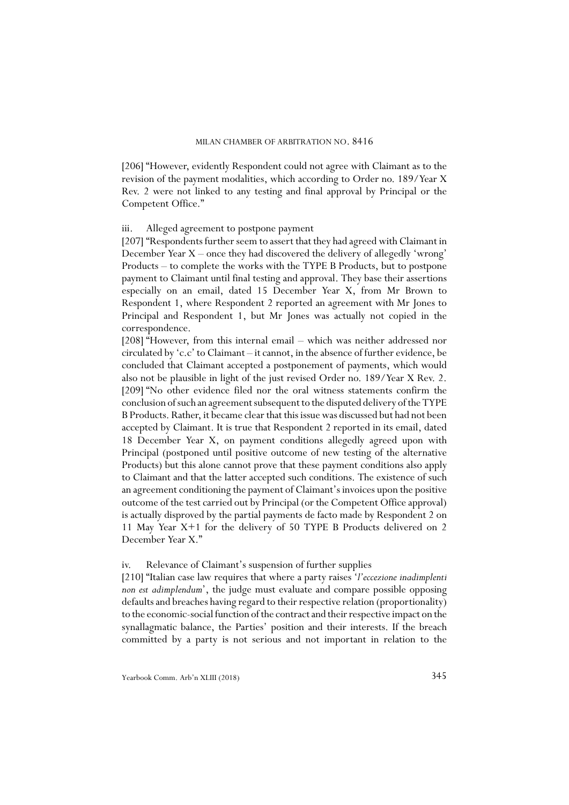[206] "However, evidently Respondent could not agree with Claimant as to the revision of the payment modalities, which according to Order no. 189/Year X Rev. 2 were not linked to any testing and final approval by Principal or the Competent Office."

### iii. Alleged agreement to postpone payment

[207] "Respondents further seem to assert that they had agreed with Claimant in December Year X – once they had discovered the delivery of allegedly 'wrong' Products – to complete the works with the TYPE B Products, but to postpone payment to Claimant until final testing and approval. They base their assertions especially on an email, dated 15 December Year X, from Mr Brown to Respondent 1, where Respondent 2 reported an agreement with Mr Jones to Principal and Respondent 1, but Mr Jones was actually not copied in the correspondence.

[208] "However, from this internal email – which was neither addressed nor circulated by 'c.c' to Claimant – it cannot, in the absence of further evidence, be concluded that Claimant accepted a postponement of payments, which would also not be plausible in light of the just revised Order no. 189/Year X Rev. 2. [209] "No other evidence filed nor the oral witness statements confirm the conclusion of such an agreement subsequent to the disputed delivery of the TYPE B Products. Rather, it became clear that this issue was discussed but had not been accepted by Claimant. It is true that Respondent 2 reported in its email, dated 18 December Year X, on payment conditions allegedly agreed upon with Principal (postponed until positive outcome of new testing of the alternative Products) but this alone cannot prove that these payment conditions also apply to Claimant and that the latter accepted such conditions. The existence of such an agreement conditioning the payment of Claimant's invoices upon the positive outcome of the test carried out by Principal (or the Competent Office approval) is actually disproved by the partial payments de facto made by Respondent 2 on 11 May Year X+1 for the delivery of 50 TYPE B Products delivered on 2 December Year X."

### iv. Relevance of Claimant's suspension of further supplies

[210] "Italian case law requires that where a party raises '*l'eccezione inadimplenti non est adimplendum*', the judge must evaluate and compare possible opposing defaults and breaches having regard to their respective relation (proportionality) to the economic-social function of the contract and their respective impact on the synallagmatic balance, the Parties' position and their interests. If the breach committed by a party is not serious and not important in relation to the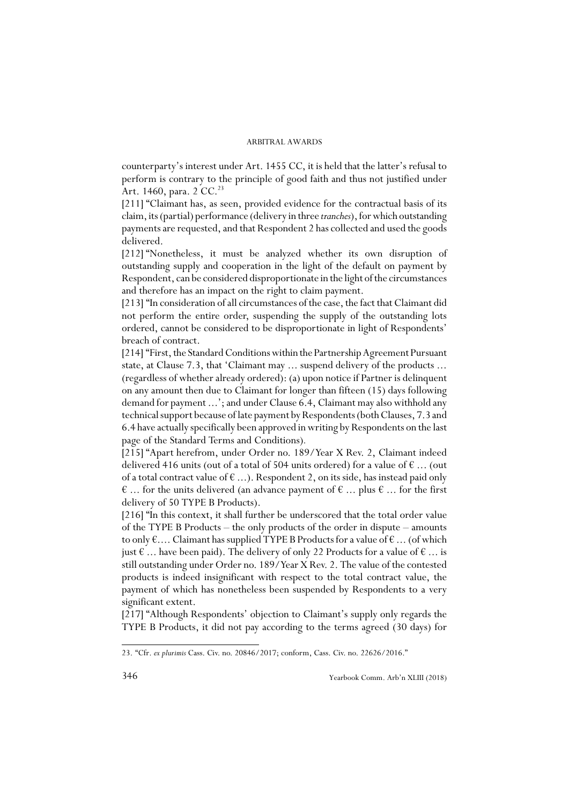counterparty's interest under Art. 1455 CC, it is held that the latter's refusal to perform is contrary to the principle of good faith and thus not justified under Art. 1460, para. 2 CC.<sup>23</sup>

[211] "Claimant has, as seen, provided evidence for the contractual basis of its claim, its (partial) performance (delivery in three *tranches*), for which outstanding payments are requested, and that Respondent 2 has collected and used the goods delivered.

[212] "Nonetheless, it must be analyzed whether its own disruption of outstanding supply and cooperation in the light of the default on payment by Respondent, can be considered disproportionate in the light of the circumstances and therefore has an impact on the right to claim payment.

[213] "In consideration of all circumstances of the case, the fact that Claimant did not perform the entire order, suspending the supply of the outstanding lots ordered, cannot be considered to be disproportionate in light of Respondents' breach of contract.

[214] "First, the Standard Conditions within the Partnership Agreement Pursuant state, at Clause 7.3, that 'Claimant may ... suspend delivery of the products ... (regardless of whether already ordered): (a) upon notice if Partner is delinquent on any amount then due to Claimant for longer than fifteen (15) days following demand for payment ...'; and under Clause 6.4, Claimant may also withhold any technical support because of late payment by Respondents (both Clauses, 7.3 and 6.4 have actually specifically been approved in writing by Respondents on the last page of the Standard Terms and Conditions)*.*

[215] "Apart herefrom, under Order no. 189/Year X Rev. 2, Claimant indeed delivered 416 units (out of a total of 504 units ordered) for a value of  $\epsilon$  ... (out of a total contract value of  $\epsilon$  ...). Respondent 2, on its side, has instead paid only  $\epsilon$  ... for the units delivered (an advance payment of  $\epsilon$  ... plus  $\epsilon$  ... for the first delivery of 50 TYPE B Products).

[216] "In this context, it shall further be underscored that the total order value of the TYPE B Products – the only products of the order in dispute – amounts to only  $\epsilon$ .... Claimant has supplied TYPE B Products for a value of  $\epsilon$ ... (of which just € ... have been paid). The delivery of only 22 Products for a value of  $\epsilon$  ... is still outstanding under Order no. 189/Year X Rev. 2. The value of the contested products is indeed insignificant with respect to the total contract value, the payment of which has nonetheless been suspended by Respondents to a very significant extent.

[217] "Although Respondents' objection to Claimant's supply only regards the TYPE B Products, it did not pay according to the terms agreed (30 days) for

<sup>23. &</sup>quot;Cfr. *ex plurimis* Cass. Civ. no. 20846/2017; conform, Cass. Civ. no. 22626/2016."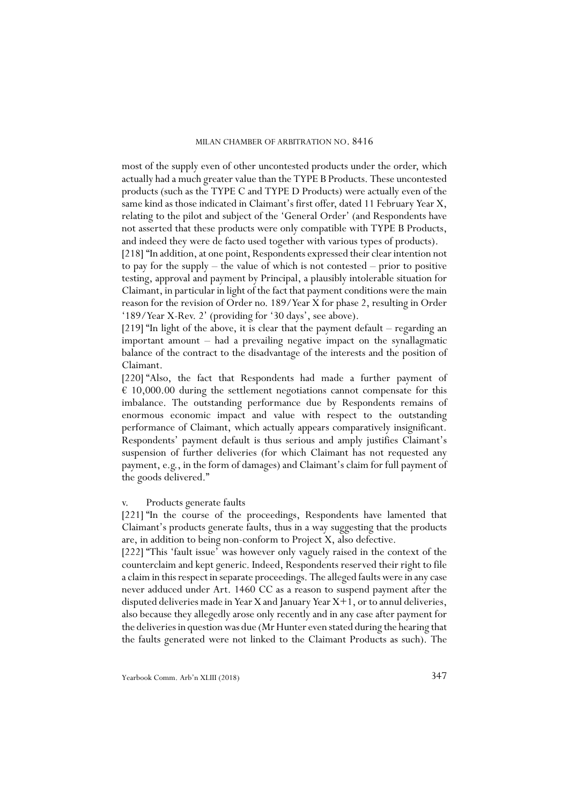most of the supply even of other uncontested products under the order, which actually had a much greater value than the TYPE B Products. These uncontested products (such as the TYPE C and TYPE D Products) were actually even of the same kind as those indicated in Claimant's first offer, dated 11 February Year X, relating to the pilot and subject of the 'General Order' (and Respondents have not asserted that these products were only compatible with TYPE B Products, and indeed they were de facto used together with various types of products).

[218] "In addition, at one point, Respondents expressed their clear intention not to pay for the supply – the value of which is not contested – prior to positive testing, approval and payment by Principal, a plausibly intolerable situation for Claimant, in particular in light of the fact that payment conditions were the main reason for the revision of Order no. 189/Year X for phase 2, resulting in Order '189/Year X-Rev. 2' (providing for '30 days', see above).

[219] "In light of the above, it is clear that the payment default – regarding an important amount – had a prevailing negative impact on the synallagmatic balance of the contract to the disadvantage of the interests and the position of Claimant.

[220] "Also, the fact that Respondents had made a further payment of  $\epsilon$  10,000.00 during the settlement negotiations cannot compensate for this imbalance. The outstanding performance due by Respondents remains of enormous economic impact and value with respect to the outstanding performance of Claimant, which actually appears comparatively insignificant. Respondents' payment default is thus serious and amply justifies Claimant's suspension of further deliveries (for which Claimant has not requested any payment, e.g., in the form of damages) and Claimant's claim for full payment of the goods delivered."

### v. Products generate faults

[221] "In the course of the proceedings, Respondents have lamented that Claimant's products generate faults, thus in a way suggesting that the products are, in addition to being non-conform to Project X, also defective.

[222] "This 'fault issue' was however only vaguely raised in the context of the counterclaim and kept generic. Indeed, Respondents reserved their right to file a claim in this respect in separate proceedings. The alleged faults were in any case never adduced under Art. 1460 CC as a reason to suspend payment after the disputed deliveries made in Year X and January Year X+1, or to annul deliveries, also because they allegedly arose only recently and in any case after payment for the deliveries in question was due (Mr Hunter even stated during the hearing that the faults generated were not linked to the Claimant Products as such). The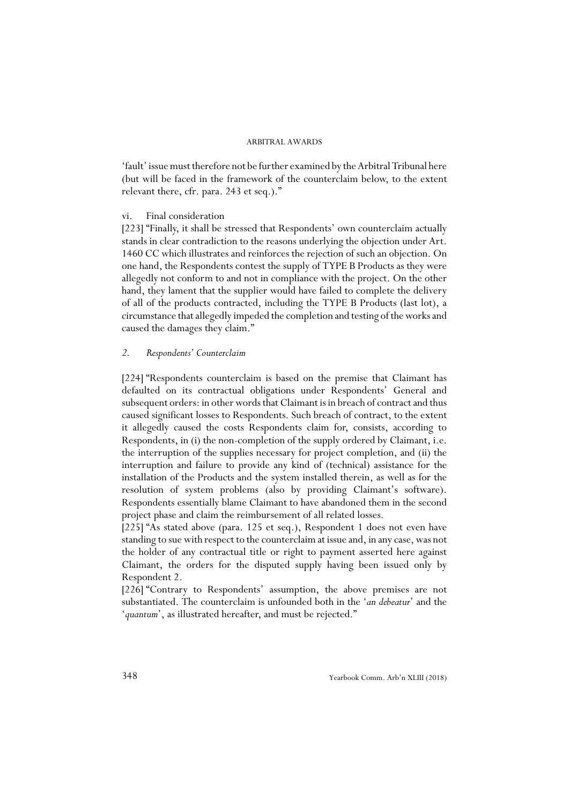'fault' issue must therefore not be further examined by the Arbitral Tribunal here (but will be faced in the framework of the counterclaim below, to the extent relevant there, cfr. para. 243 et seq.)."

### vi. Final consideration

[223] "Finally, it shall be stressed that Respondents' own counterclaim actually stands in clear contradiction to the reasons underlying the objection under Art. 1460 CC which illustrates and reinforces the rejection of such an objection. On one hand, the Respondents contest the supply of TYPE B Products as they were allegedly not conform to and not in compliance with the project. On the other hand, they lament that the supplier would have failed to complete the delivery of all of the products contracted, including the TYPE B Products (last lot), a circumstance that allegedly impeded the completion and testing of the works and caused the damages they claim."

### *2. Respondents' Counterclaim*

[224] "Respondents counterclaim is based on the premise that Claimant has defaulted on its contractual obligations under Respondents' General and subsequent orders: in other words that Claimant is in breach of contract and thus caused significant losses to Respondents. Such breach of contract, to the extent it allegedly caused the costs Respondents claim for, consists, according to Respondents, in (i) the non-completion of the supply ordered by Claimant, i.e. the interruption of the supplies necessary for project completion, and (ii) the interruption and failure to provide any kind of (technical) assistance for the installation of the Products and the system installed therein, as well as for the resolution of system problems (also by providing Claimant's software). Respondents essentially blame Claimant to have abandoned them in the second project phase and claim the reimbursement of all related losses.

[225] "As stated above (para. 125 et seq.), Respondent 1 does not even have standing to sue with respect to the counterclaim at issue and, in any case, was not the holder of any contractual title or right to payment asserted here against Claimant, the orders for the disputed supply having been issued only by Respondent 2.

[226] "Contrary to Respondents' assumption, the above premises are not substantiated. The counterclaim is unfounded both in the '*an debeatur*' and the '*quantum*', as illustrated hereafter, and must be rejected."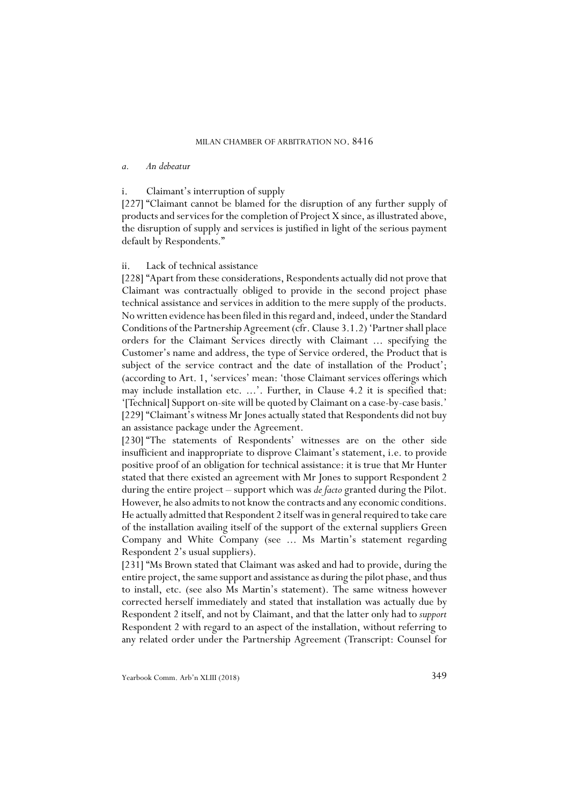### *a. An debeatur*

### i. Claimant's interruption of supply

[227] "Claimant cannot be blamed for the disruption of any further supply of products and services for the completion of Project X since, as illustrated above, the disruption of supply and services is justified in light of the serious payment default by Respondents."

### ii. Lack of technical assistance

[228] "Apart from these considerations, Respondents actually did not prove that Claimant was contractually obliged to provide in the second project phase technical assistance and services in addition to the mere supply of the products. No written evidence has been filed in this regard and, indeed, under the Standard Conditions of the Partnership Agreement (cfr. Clause 3.1.2) 'Partner shall place orders for the Claimant Services directly with Claimant ... specifying the Customer's name and address, the type of Service ordered, the Product that is subject of the service contract and the date of installation of the Product'; (according to Art. 1, 'services' mean: 'those Claimant services offerings which may include installation etc. ...'. Further, in Clause 4.2 it is specified that: '[Technical] Support on-site will be quoted by Claimant on a case-by-case basis.' [229] "Claimant's witness Mr Jones actually stated that Respondents did not buy an assistance package under the Agreement.

[230] "The statements of Respondents' witnesses are on the other side insufficient and inappropriate to disprove Claimant's statement, i.e. to provide positive proof of an obligation for technical assistance: it is true that Mr Hunter stated that there existed an agreement with Mr Jones to support Respondent 2 during the entire project – support which was *de facto* granted during the Pilot. However, he also admits to not know the contracts and any economic conditions. He actually admitted that Respondent 2 itself was in general required to take care of the installation availing itself of the support of the external suppliers Green Company and White Company (see ... Ms Martin's statement regarding Respondent 2's usual suppliers).

[231] "Ms Brown stated that Claimant was asked and had to provide, during the entire project, the same support and assistance as during the pilot phase, and thus to install, etc. (see also Ms Martin's statement). The same witness however corrected herself immediately and stated that installation was actually due by Respondent 2 itself, and not by Claimant, and that the latter only had to *support* Respondent 2 with regard to an aspect of the installation, without referring to any related order under the Partnership Agreement (Transcript: Counsel for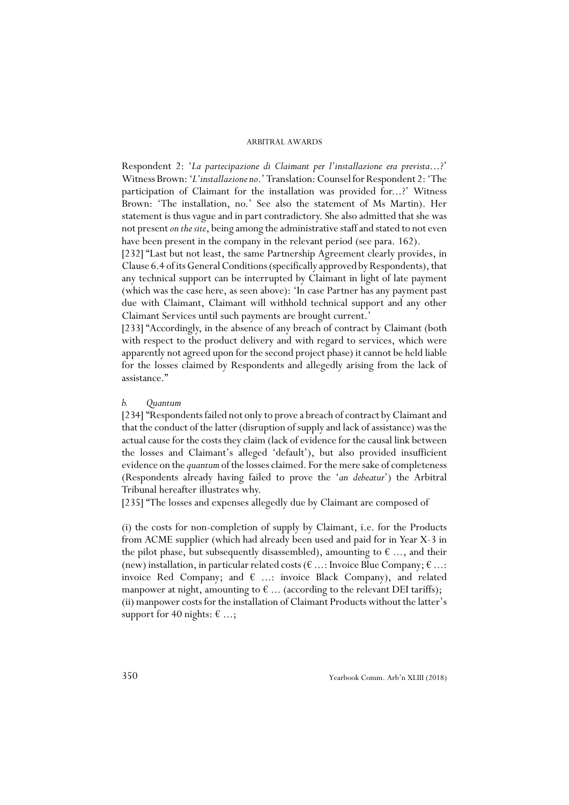Respondent 2: '*La partecipazione di Claimant per l'installazione era prevista*...?' Witness Brown: '*L'installazione no*.' Translation: Counsel for Respondent 2: 'The participation of Claimant for the installation was provided for...?' Witness Brown: 'The installation, no.' See also the statement of Ms Martin). Her statement is thus vague and in part contradictory. She also admitted that she was not present *on the site*, being among the administrative staff and stated to not even have been present in the company in the relevant period (see para. 162).

[232] "Last but not least, the same Partnership Agreement clearly provides, in Clause 6.4 of its General Conditions (specifically approved by Respondents), that any technical support can be interrupted by Claimant in light of late payment (which was the case here, as seen above): 'In case Partner has any payment past due with Claimant, Claimant will withhold technical support and any other Claimant Services until such payments are brought current.'

[233] "Accordingly, in the absence of any breach of contract by Claimant (both with respect to the product delivery and with regard to services, which were apparently not agreed upon for the second project phase) it cannot be held liable for the losses claimed by Respondents and allegedly arising from the lack of assistance."

### *b. Quantum*

[234] "Respondents failed not only to prove a breach of contract by Claimant and that the conduct of the latter (disruption of supply and lack of assistance) was the actual cause for the costs they claim (lack of evidence for the causal link between the losses and Claimant's alleged 'default'), but also provided insufficient evidence on the *quantum* of the losses claimed. For the mere sake of completeness (Respondents already having failed to prove the '*an debeatur*') the Arbitral Tribunal hereafter illustrates why.

[235] "The losses and expenses allegedly due by Claimant are composed of

(i) the costs for non-completion of supply by Claimant, i.e. for the Products from ACME supplier (which had already been used and paid for in Year X-3 in the pilot phase, but subsequently disassembled), amounting to  $\epsilon$  ..., and their (new) installation, in particular related costs ( $\epsilon$  ...: Invoice Blue Company;  $\epsilon$  ...: invoice Red Company; and  $\epsilon$  ...: invoice Black Company), and related manpower at night, amounting to  $\epsilon$  ... (according to the relevant DEI tariffs); (ii) manpower costs for the installation of Claimant Products without the latter's support for 40 nights:  $\epsilon$  ...;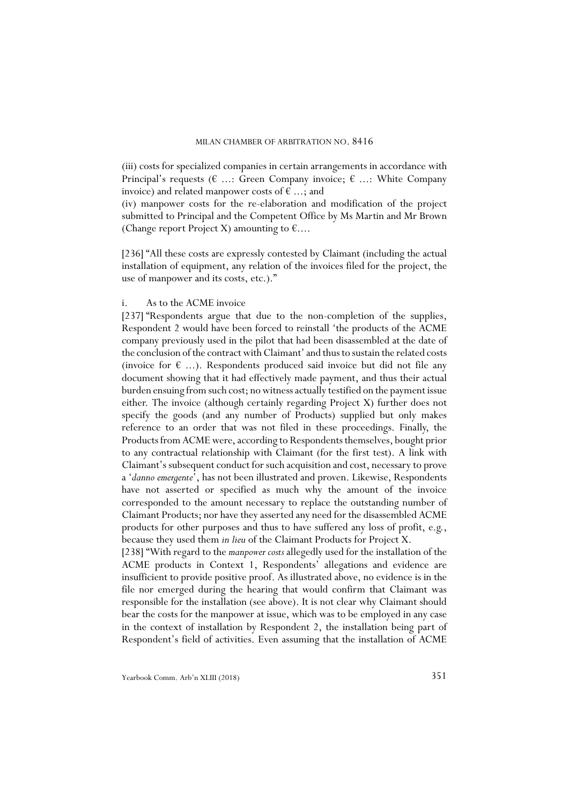(iii) costs for specialized companies in certain arrangements in accordance with Principal's requests ( $\epsilon$  ...: Green Company invoice;  $\epsilon$  ...: White Company invoice) and related manpower costs of  $\epsilon$  ...; and

(iv) manpower costs for the re-elaboration and modification of the project submitted to Principal and the Competent Office by Ms Martin and Mr Brown (Change report Project X) amounting to  $\epsilon$ ....

[236] "All these costs are expressly contested by Claimant (including the actual installation of equipment, any relation of the invoices filed for the project, the use of manpower and its costs, etc.)."

### i. As to the ACME invoice

[237] "Respondents argue that due to the non-completion of the supplies, Respondent 2 would have been forced to reinstall 'the products of the ACME company previously used in the pilot that had been disassembled at the date of the conclusion of the contract with Claimant' and thus to sustain the related costs (invoice for  $\epsilon$  ...). Respondents produced said invoice but did not file any document showing that it had effectively made payment, and thus their actual burden ensuing from such cost; no witness actually testified on the payment issue either. The invoice (although certainly regarding Project X) further does not specify the goods (and any number of Products) supplied but only makes reference to an order that was not filed in these proceedings. Finally, the Products from ACME were, according to Respondents themselves, bought prior to any contractual relationship with Claimant (for the first test). A link with Claimant's subsequent conduct for such acquisition and cost, necessary to prove a '*danno emergente*', has not been illustrated and proven. Likewise, Respondents have not asserted or specified as much why the amount of the invoice corresponded to the amount necessary to replace the outstanding number of Claimant Products; nor have they asserted any need for the disassembled ACME products for other purposes and thus to have suffered any loss of profit, e.g., because they used them *in lieu* of the Claimant Products for Project X.

[238] "With regard to the *manpower costs* allegedly used for the installation of the ACME products in Context 1, Respondents' allegations and evidence are insufficient to provide positive proof. As illustrated above, no evidence is in the file nor emerged during the hearing that would confirm that Claimant was responsible for the installation (see above). It is not clear why Claimant should bear the costs for the manpower at issue, which was to be employed in any case in the context of installation by Respondent 2, the installation being part of Respondent's field of activities. Even assuming that the installation of ACME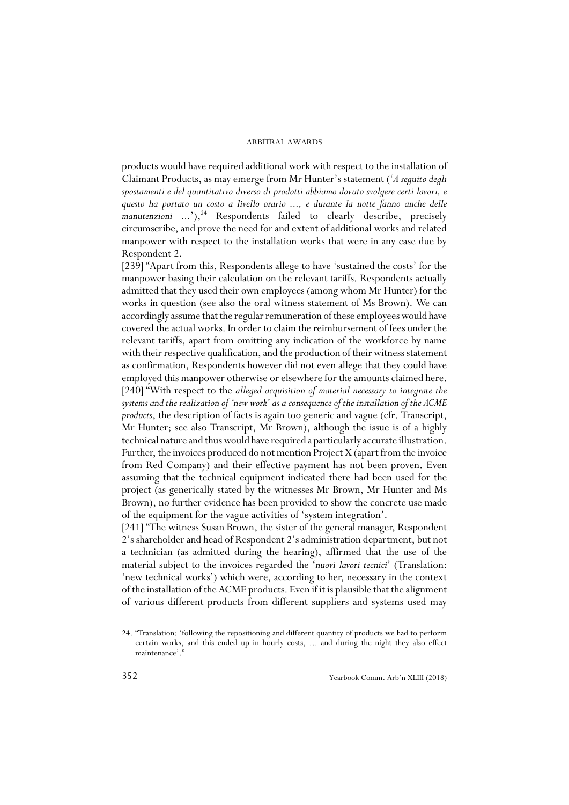products would have required additional work with respect to the installation of Claimant Products, as may emerge from Mr Hunter's statement ('*A seguito degli spostamenti e del quantitativo diverso di prodotti abbiamo dovuto svolgere certi lavori, e questo ha portato un costo a livello orario ..., e durante la notte fanno anche delle manutenzioni ...*'),<sup>24</sup> Respondents failed to clearly describe, precisely circumscribe, and prove the need for and extent of additional works and related manpower with respect to the installation works that were in any case due by Respondent 2.

[239] "Apart from this, Respondents allege to have 'sustained the costs' for the manpower basing their calculation on the relevant tariffs. Respondents actually admitted that they used their own employees (among whom Mr Hunter) for the works in question (see also the oral witness statement of Ms Brown). We can accordingly assume that the regular remuneration of these employees would have covered the actual works. In order to claim the reimbursement of fees under the relevant tariffs, apart from omitting any indication of the workforce by name with their respective qualification, and the production of their witness statement as confirmation, Respondents however did not even allege that they could have employed this manpower otherwise or elsewhere for the amounts claimed here. [240] "With respect to the *alleged acquisition of material necessary to integrate the systems and the realization of 'new work' as a consequence of the installation of the ACME products*, the description of facts is again too generic and vague (cfr. Transcript, Mr Hunter; see also Transcript, Mr Brown), although the issue is of a highly technical nature and thus would have required a particularly accurate illustration. Further, the invoices produced do not mention Project X (apart from the invoice from Red Company) and their effective payment has not been proven. Even assuming that the technical equipment indicated there had been used for the project (as generically stated by the witnesses Mr Brown, Mr Hunter and Ms Brown), no further evidence has been provided to show the concrete use made of the equipment for the vague activities of 'system integration'.

[241] "The witness Susan Brown, the sister of the general manager, Respondent 2's shareholder and head of Respondent 2's administration department, but not a technician (as admitted during the hearing), affirmed that the use of the material subject to the invoices regarded the '*nuovi lavori tecnici*' (Translation: 'new technical works') which were, according to her, necessary in the context of the installation of the ACME products. Even if it is plausible that the alignment of various different products from different suppliers and systems used may

<sup>24. &</sup>quot;Translation: 'following the repositioning and different quantity of products we had to perform certain works, and this ended up in hourly costs, ... and during the night they also effect maintenance'.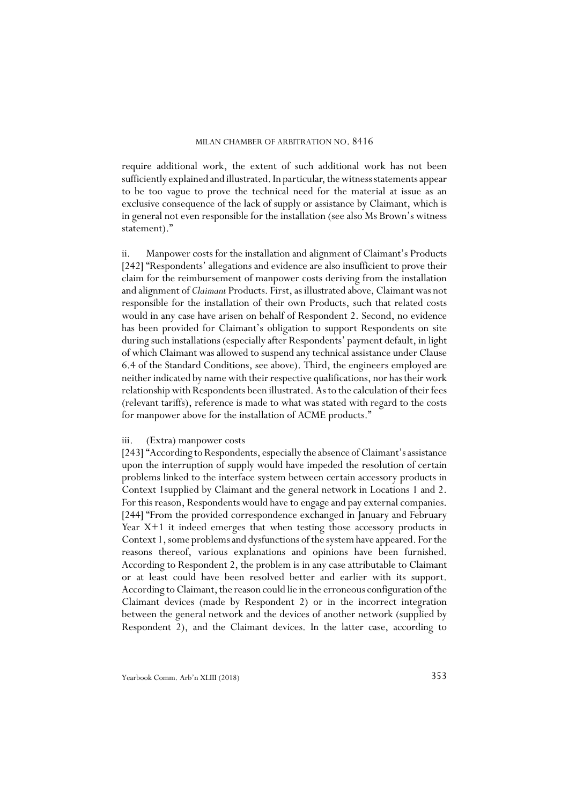require additional work, the extent of such additional work has not been sufficiently explained and illustrated. In particular, the witness statements appear to be too vague to prove the technical need for the material at issue as an exclusive consequence of the lack of supply or assistance by Claimant, which is in general not even responsible for the installation (see also Ms Brown's witness statement)."

ii. Manpower costs for the installation and alignment of Claimant's Products [242] "Respondents' allegations and evidence are also insufficient to prove their claim for the reimbursement of manpower costs deriving from the installation and alignment of *Claimant* Products. First, as illustrated above, Claimant was not responsible for the installation of their own Products, such that related costs would in any case have arisen on behalf of Respondent 2. Second, no evidence has been provided for Claimant's obligation to support Respondents on site during such installations (especially after Respondents' payment default, in light of which Claimant was allowed to suspend any technical assistance under Clause 6.4 of the Standard Conditions, see above). Third, the engineers employed are neither indicated by name with their respective qualifications, nor has their work relationship with Respondents been illustrated. As to the calculation of their fees (relevant tariffs), reference is made to what was stated with regard to the costs for manpower above for the installation of ACME products."

### iii. (Extra) manpower costs

[243] "According to Respondents, especially the absence of Claimant's assistance upon the interruption of supply would have impeded the resolution of certain problems linked to the interface system between certain accessory products in Context 1supplied by Claimant and the general network in Locations 1 and 2. For this reason, Respondents would have to engage and pay external companies. [244] "From the provided correspondence exchanged in January and February Year X+1 it indeed emerges that when testing those accessory products in Context 1, some problems and dysfunctions of the system have appeared. For the reasons thereof, various explanations and opinions have been furnished. According to Respondent 2, the problem is in any case attributable to Claimant or at least could have been resolved better and earlier with its support. According to Claimant, the reason could lie in the erroneous configuration of the Claimant devices (made by Respondent 2) or in the incorrect integration between the general network and the devices of another network (supplied by Respondent 2), and the Claimant devices. In the latter case, according to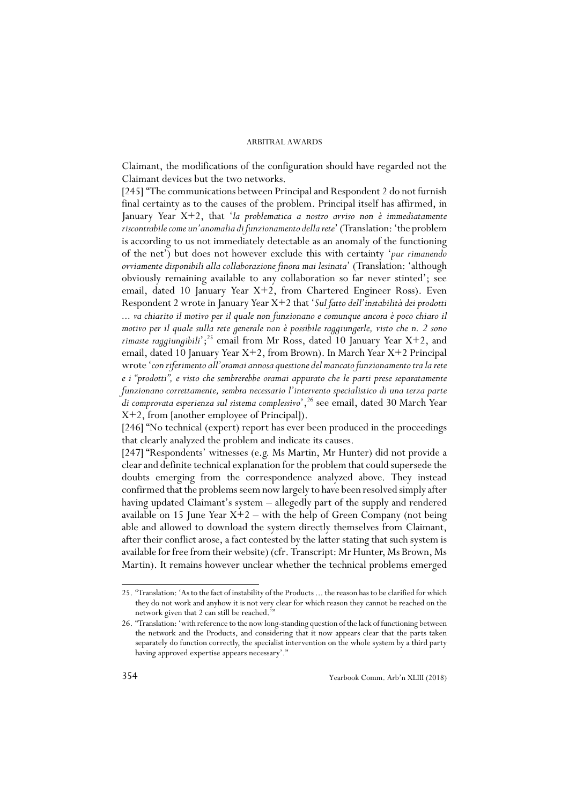Claimant, the modifications of the configuration should have regarded not the Claimant devices but the two networks.

[245] "The communications between Principal and Respondent 2 do not furnish final certainty as to the causes of the problem. Principal itself has affirmed, in January Year X+2, that '*la problematica a nostro avviso non è immediatamente riscontrabile come un'anomalia di funzionamento della rete*' (Translation: 'the problem is according to us not immediately detectable as an anomaly of the functioning of the net') but does not however exclude this with certainty '*pur rimanendo ovviamente disponibili alla collaborazione finora mai lesinata*' (Translation: 'although obviously remaining available to any collaboration so far never stinted'; see email, dated 10 January Year  $X+2$ , from Chartered Engineer Ross). Even Respondent 2 wrote in January Year X+2 that '*Sul fatto dell'instabilità dei prodotti ... va chiarito il motivo per il quale non funzionano e comunque ancora è poco chiaro il motivo per il quale sulla rete generale non è possibile raggiungerle, visto che n. 2 sono rimaste raggiungibili*<sup>'</sup>;<sup>25</sup> email from Mr Ross, dated 10 January Year X+2, and email, dated 10 January Year X+2, from Brown). In March Year X+2 Principal wrote '*con riferimento all'oramai annosa questione del mancato funzionamento tra la rete e i "prodotti", e visto che sembrerebbe oramai appurato che le parti prese separatamente funzionano correttamente, sembra necessario l'intervento specialistico di una terza parte* di comprovata esperienza sul sistema complessivo', <sup>26</sup> see email, dated 30 March Year X+2, from [another employee of Principal]).

[246] "No technical (expert) report has ever been produced in the proceedings that clearly analyzed the problem and indicate its causes.

[247] "Respondents' witnesses (e.g. Ms Martin, Mr Hunter) did not provide a clear and definite technical explanation for the problem that could supersede the doubts emerging from the correspondence analyzed above. They instead confirmed that the problems seem now largely to have been resolved simply after having updated Claimant's system – allegedly part of the supply and rendered available on 15 June Year  $X+2$  – with the help of Green Company (not being able and allowed to download the system directly themselves from Claimant, after their conflict arose, a fact contested by the latter stating that such system is available for free from their website) (cfr. Transcript: Mr Hunter, Ms Brown, Ms Martin). It remains however unclear whether the technical problems emerged

<sup>25. &</sup>quot;Translation: 'As to the fact of instability of the Products ... the reason has to be clarified for which they do not work and anyhow it is not very clear for which reason they cannot be reached on the network given that 2 can still be reached."

<sup>26. &</sup>quot;Translation: 'with reference to the now long-standing question of the lack of functioning between the network and the Products, and considering that it now appears clear that the parts taken separately do function correctly, the specialist intervention on the whole system by a third party having approved expertise appears necessary'."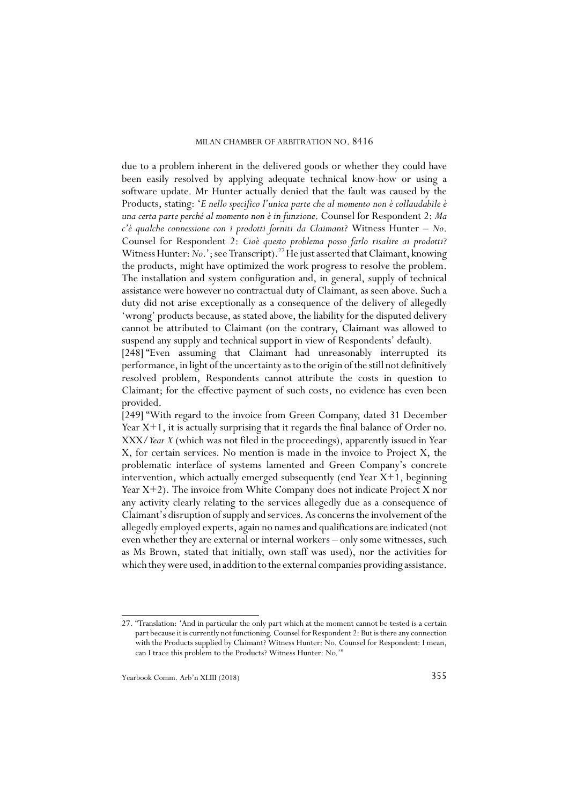due to a problem inherent in the delivered goods or whether they could have been easily resolved by applying adequate technical know-how or using a software update. Mr Hunter actually denied that the fault was caused by the Products, stating: '*E nello specifico l'unica parte che al momento non è collaudabile è una certa parte perché al momento non è in funzione*. Counsel for Respondent 2: *Ma c'è qualche connessione con i prodotti forniti da Claimant*? Witness Hunter – *No*. Counsel for Respondent 2: *Cioè questo problema posso farlo risalire ai prodotti*? Witness Hunter: *No.*'; see Transcript).<sup>27</sup> He just asserted that Claimant, knowing the products, might have optimized the work progress to resolve the problem. The installation and system configuration and, in general, supply of technical assistance were however no contractual duty of Claimant, as seen above. Such a duty did not arise exceptionally as a consequence of the delivery of allegedly 'wrong' products because, as stated above, the liability for the disputed delivery cannot be attributed to Claimant (on the contrary, Claimant was allowed to suspend any supply and technical support in view of Respondents' default).

[248] "Even assuming that Claimant had unreasonably interrupted its performance, in light of the uncertainty as to the origin of the still not definitively resolved problem, Respondents cannot attribute the costs in question to Claimant; for the effective payment of such costs, no evidence has even been provided.

[249] "With regard to the invoice from Green Company, dated 31 December Year X+1, it is actually surprising that it regards the final balance of Order no. XXX/*Year X* (which was not filed in the proceedings), apparently issued in Year X, for certain services. No mention is made in the invoice to Project X, the problematic interface of systems lamented and Green Company's concrete intervention, which actually emerged subsequently (end Year  $X+1$ , beginning Year  $X+2$ ). The invoice from White Company does not indicate Project X nor any activity clearly relating to the services allegedly due as a consequence of Claimant's disruption of supply and services. As concerns the involvement of the allegedly employed experts, again no names and qualifications are indicated (not even whether they are external or internal workers – only some witnesses, such as Ms Brown, stated that initially, own staff was used), nor the activities for which they were used, in addition to the external companies providing assistance.

<sup>27. &</sup>quot;Translation: 'And in particular the only part which at the moment cannot be tested is a certain part because it is currently not functioning. Counsel for Respondent 2: But is there any connection with the Products supplied by Claimant? Witness Hunter: No. Counsel for Respondent: I mean, can I trace this problem to the Products? Witness Hunter: No.'"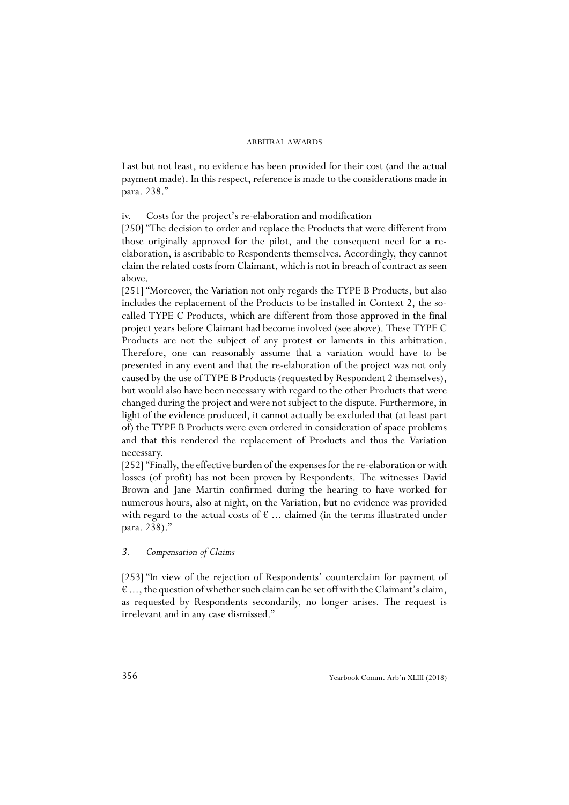Last but not least, no evidence has been provided for their cost (and the actual payment made). In this respect, reference is made to the considerations made in para. 238."

iv. Costs for the project's re-elaboration and modification

[250] "The decision to order and replace the Products that were different from those originally approved for the pilot, and the consequent need for a reelaboration, is ascribable to Respondents themselves. Accordingly, they cannot claim the related costs from Claimant, which is not in breach of contract as seen above.

[251] "Moreover, the Variation not only regards the TYPE B Products, but also includes the replacement of the Products to be installed in Context 2, the socalled TYPE C Products, which are different from those approved in the final project years before Claimant had become involved (see above). These TYPE C Products are not the subject of any protest or laments in this arbitration. Therefore, one can reasonably assume that a variation would have to be presented in any event and that the re-elaboration of the project was not only caused by the use of TYPE B Products (requested by Respondent 2 themselves), but would also have been necessary with regard to the other Products that were changed during the project and were not subject to the dispute. Furthermore, in light of the evidence produced, it cannot actually be excluded that (at least part of) the TYPE B Products were even ordered in consideration of space problems and that this rendered the replacement of Products and thus the Variation necessary.

[252] "Finally, the effective burden of the expenses for the re-elaboration or with losses (of profit) has not been proven by Respondents. The witnesses David Brown and Jane Martin confirmed during the hearing to have worked for numerous hours, also at night, on the Variation, but no evidence was provided with regard to the actual costs of  $\epsilon$  ... claimed (in the terms illustrated under para. 238)."

### *3. Compensation of Claims*

[253] "In view of the rejection of Respondents' counterclaim for payment of  $\epsilon$  ..., the question of whether such claim can be set off with the Claimant's claim, as requested by Respondents secondarily, no longer arises. The request is irrelevant and in any case dismissed."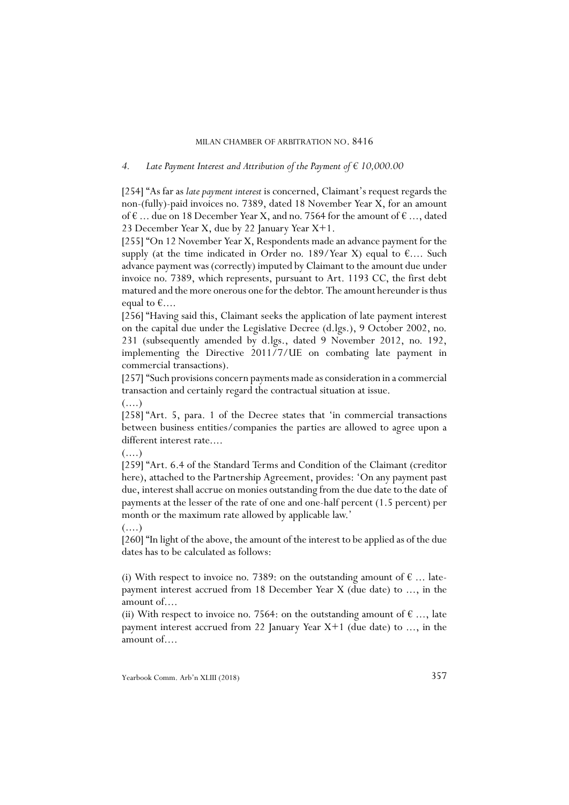### *4. Late Payment Interest and Attribution of the Payment of € 10,000.00*

[254] "As far as *late payment interest* is concerned, Claimant's request regards the non-(fully)-paid invoices no. 7389, dated 18 November Year X, for an amount of  $\epsilon$  ... due on 18 December Year X, and no. 7564 for the amount of  $\epsilon$  ..., dated 23 December Year X, due by 22 January Year X+1.

[255] "On 12 November Year X, Respondents made an advance payment for the supply (at the time indicated in Order no. 189/Year X) equal to  $\epsilon$ .... Such advance payment was (correctly) imputed by Claimant to the amount due under invoice no. 7389, which represents, pursuant to Art. 1193 CC, the first debt matured and the more onerous one for the debtor. The amount hereunder is thus equal to  $\epsilon$ ....

[256] "Having said this, Claimant seeks the application of late payment interest on the capital due under the Legislative Decree (d.lgs.), 9 October 2002, no. 231 (subsequently amended by d.lgs., dated 9 November 2012, no. 192, implementing the Directive 2011/7/UE on combating late payment in commercial transactions).

[257] "Such provisions concern payments made as consideration in a commercial transaction and certainly regard the contractual situation at issue.

 $(\ldots)$ 

[258] "Art. 5, para. 1 of the Decree states that 'in commercial transactions between business entities/companies the parties are allowed to agree upon a different interest rate....

 $(\ldots)$ 

 $(\ldots)$ 

[259] "Art. 6.4 of the Standard Terms and Condition of the Claimant (creditor here), attached to the Partnership Agreement, provides: 'On any payment past due, interest shall accrue on monies outstanding from the due date to the date of payments at the lesser of the rate of one and one-half percent (1.5 percent) per month or the maximum rate allowed by applicable law.'

[260] "In light of the above, the amount of the interest to be applied as of the due dates has to be calculated as follows:

(i) With respect to invoice no. 7389: on the outstanding amount of  $\epsilon$  ... latepayment interest accrued from 18 December Year X (due date) to ..., in the amount of....

(ii) With respect to invoice no. 7564: on the outstanding amount of  $\epsilon$  ..., late payment interest accrued from 22 January Year X+1 (due date) to ..., in the amount of....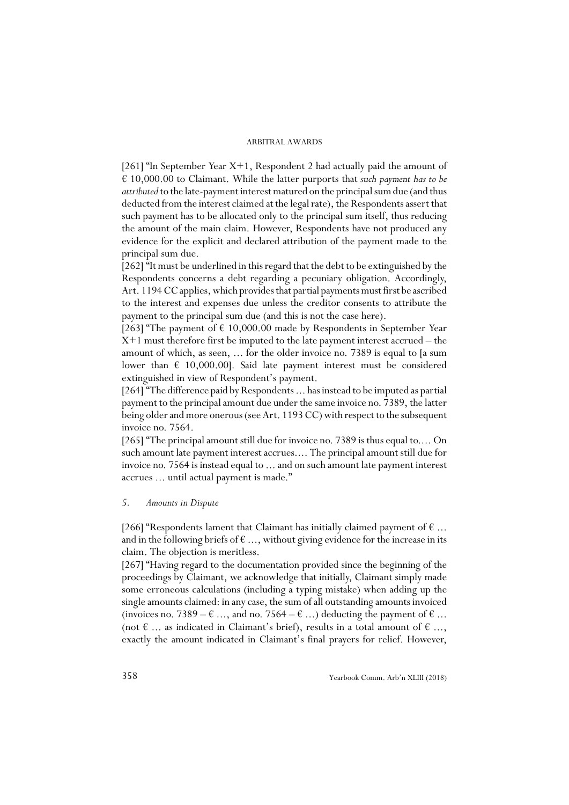[261] "In September Year  $X+1$ , Respondent 2 had actually paid the amount of € 10,000.00 to Claimant. While the latter purports that *such payment has to be attributed* to the late-payment interest matured on the principal sum due (and thus deducted from the interest claimed at the legal rate), the Respondents assert that such payment has to be allocated only to the principal sum itself, thus reducing the amount of the main claim. However, Respondents have not produced any evidence for the explicit and declared attribution of the payment made to the principal sum due.

[262] "It must be underlined in this regard that the debt to be extinguished by the Respondents concerns a debt regarding a pecuniary obligation. Accordingly, Art. 1194 CC applies, which provides that partial payments must first be ascribed to the interest and expenses due unless the creditor consents to attribute the payment to the principal sum due (and this is not the case here).

[263] "The payment of  $\epsilon$  10,000.00 made by Respondents in September Year X+1 must therefore first be imputed to the late payment interest accrued – the amount of which, as seen, ... for the older invoice no. 7389 is equal to [a sum lower than  $\epsilon$  10,000.00]. Said late payment interest must be considered extinguished in view of Respondent's payment.

[264] "The difference paid by Respondents ... has instead to be imputed as partial payment to the principal amount due under the same invoice no. 7389, the latter being older and more onerous (see Art. 1193 CC) with respect to the subsequent invoice no. 7564.

[265] "The principal amount still due for invoice no. 7389 is thus equal to.... On such amount late payment interest accrues.... The principal amount still due for invoice no. 7564 is instead equal to ... and on such amount late payment interest accrues ... until actual payment is made."

### *5. Amounts in Dispute*

[266] "Respondents lament that Claimant has initially claimed payment of  $\epsilon$  ... and in the following briefs of  $\epsilon$  ..., without giving evidence for the increase in its claim. The objection is meritless.

[267] "Having regard to the documentation provided since the beginning of the proceedings by Claimant, we acknowledge that initially, Claimant simply made some erroneous calculations (including a typing mistake) when adding up the single amounts claimed: in any case, the sum of all outstanding amounts invoiced (invoices no. 7389 –  $\epsilon$  ..., and no. 7564 –  $\epsilon$  ...) deducting the payment of  $\epsilon$  ... (not  $\epsilon$  ... as indicated in Claimant's brief), results in a total amount of  $\epsilon$  ..., exactly the amount indicated in Claimant's final prayers for relief. However,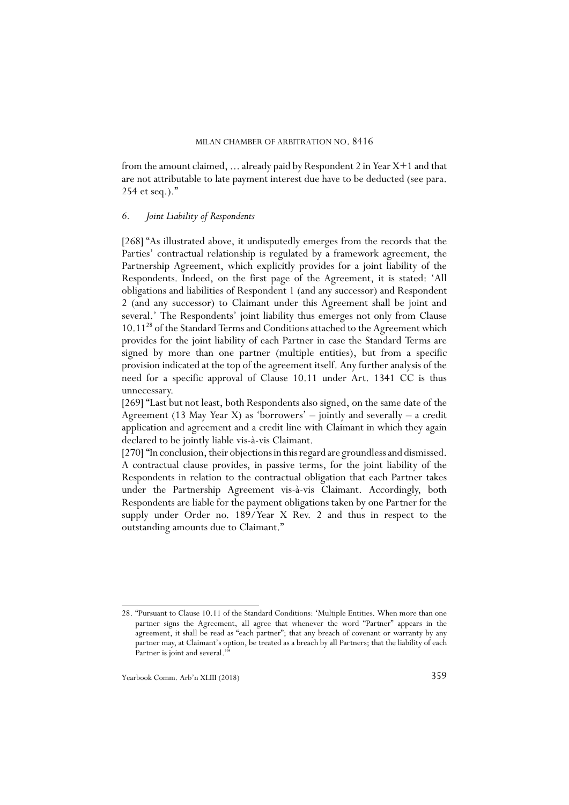from the amount claimed, ... already paid by Respondent 2 in Year X+1 and that are not attributable to late payment interest due have to be deducted (see para. 254 et seq.)."

### *6. Joint Liability of Respondents*

[268] "As illustrated above, it undisputedly emerges from the records that the Parties' contractual relationship is regulated by a framework agreement, the Partnership Agreement, which explicitly provides for a joint liability of the Respondents. Indeed, on the first page of the Agreement, it is stated: 'All obligations and liabilities of Respondent 1 (and any successor) and Respondent 2 (and any successor) to Claimant under this Agreement shall be joint and several.' The Respondents' joint liability thus emerges not only from Clause 10.1128 of the Standard Terms and Conditions attached to the Agreement which provides for the joint liability of each Partner in case the Standard Terms are signed by more than one partner (multiple entities), but from a specific provision indicated at the top of the agreement itself. Any further analysis of the need for a specific approval of Clause 10.11 under Art. 1341 CC is thus unnecessary.

[269] "Last but not least, both Respondents also signed, on the same date of the Agreement (13 May Year X) as 'borrowers'  $-$  jointly and severally  $-$  a credit application and agreement and a credit line with Claimant in which they again declared to be jointly liable vis-à-vis Claimant.

[270] "In conclusion, their objections in this regard are groundless and dismissed. A contractual clause provides, in passive terms, for the joint liability of the Respondents in relation to the contractual obligation that each Partner takes under the Partnership Agreement vis-à-vis Claimant. Accordingly, both Respondents are liable for the payment obligations taken by one Partner for the supply under Order no. 189/Year X Rev. 2 and thus in respect to the outstanding amounts due to Claimant."

<sup>28. &</sup>quot;Pursuant to Clause 10.11 of the Standard Conditions: 'Multiple Entities. When more than one partner signs the Agreement, all agree that whenever the word "Partner" appears in the agreement, it shall be read as "each partner"; that any breach of covenant or warranty by any partner may, at Claimant's option, be treated as a breach by all Partners; that the liability of each Partner is joint and several.<sup>1</sup>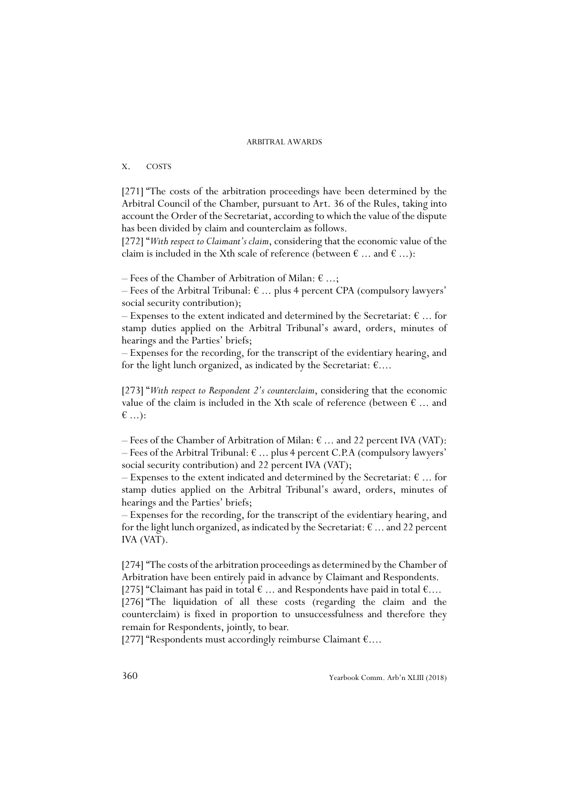### X. COSTS

[271] "The costs of the arbitration proceedings have been determined by the Arbitral Council of the Chamber, pursuant to Art. 36 of the Rules, taking into account the Order of the Secretariat, according to which the value of the dispute has been divided by claim and counterclaim as follows.

[272] "*With respect to Claimant's claim*, considering that the economic value of the claim is included in the Xth scale of reference (between  $\epsilon$  ... and  $\epsilon$  ...):

– Fees of the Chamber of Arbitration of Milan:  $\epsilon$  ...;

– Fees of the Arbitral Tribunal:  $\epsilon$  ... plus 4 percent CPA (compulsory lawyers' social security contribution);

– Expenses to the extent indicated and determined by the Secretariat:  $\epsilon$  ... for stamp duties applied on the Arbitral Tribunal's award, orders, minutes of hearings and the Parties' briefs;

– Expenses for the recording, for the transcript of the evidentiary hearing, and for the light lunch organized, as indicated by the Secretariat:  $\epsilon$ ....

[273] "*With respect to Respondent 2's counterclaim*, considering that the economic value of the claim is included in the Xth scale of reference (between  $\epsilon$  ... and € ...):

– Fees of the Chamber of Arbitration of Milan:  $\epsilon$  ... and 22 percent IVA (VAT): – Fees of the Arbitral Tribunal:  $\epsilon$  ... plus 4 percent C.P.A (compulsory lawyers' social security contribution) and 22 percent IVA (VAT);

– Expenses to the extent indicated and determined by the Secretariat:  $\epsilon$  ... for stamp duties applied on the Arbitral Tribunal's award, orders, minutes of hearings and the Parties' briefs;

– Expenses for the recording, for the transcript of the evidentiary hearing, and for the light lunch organized, as indicated by the Secretariat:  $\epsilon$  ... and 22 percent IVA (VAT).

[274] "The costs of the arbitration proceedings as determined by the Chamber of Arbitration have been entirely paid in advance by Claimant and Respondents.

[275] "Claimant has paid in total  $\epsilon$  ... and Respondents have paid in total  $\epsilon$ .... [276] "The liquidation of all these costs (regarding the claim and the counterclaim) is fixed in proportion to unsuccessfulness and therefore they remain for Respondents, jointly, to bear.

[277] "Respondents must accordingly reimburse Claimant €....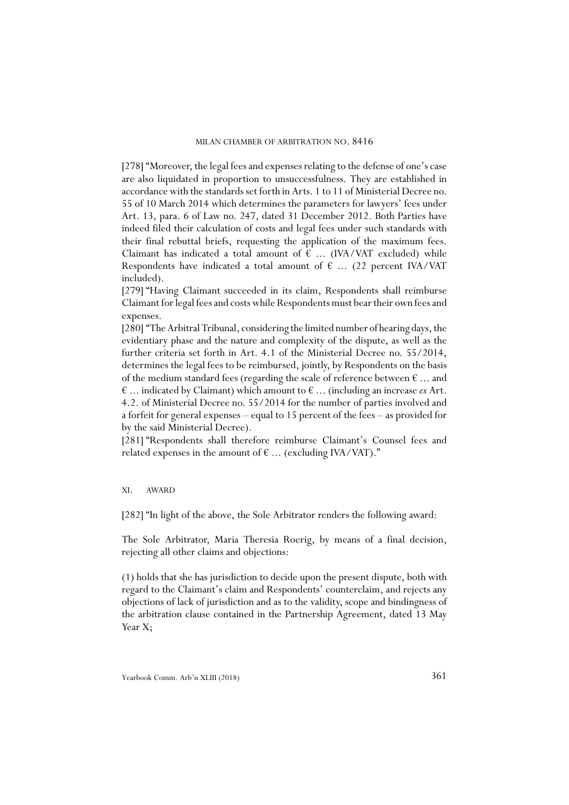[278] "Moreover, the legal fees and expenses relating to the defense of one's case are also liquidated in proportion to unsuccessfulness. They are established in accordance with the standards set forth in Arts. 1 to 11 of Ministerial Decree no. 55 of 10 March 2014 which determines the parameters for lawyers' fees under Art. 13, para. 6 of Law no. 247, dated 31 December 2012. Both Parties have indeed filed their calculation of costs and legal fees under such standards with their final rebuttal briefs, requesting the application of the maximum fees. Claimant has indicated a total amount of  $\epsilon$  ... (IVA/VAT excluded) while Respondents have indicated a total amount of  $\epsilon$  ... (22 percent IVA/VAT included).

[279] "Having Claimant succeeded in its claim, Respondents shall reimburse Claimant for legal fees and costs while Respondents must bear their own fees and expenses.

[280] "The Arbitral Tribunal, considering the limited number of hearing days, the evidentiary phase and the nature and complexity of the dispute, as well as the further criteria set forth in Art. 4.1 of the Ministerial Decree no. 55/2014, determines the legal fees to be reimbursed, jointly, by Respondents on the basis of the medium standard fees (regarding the scale of reference between  $\epsilon$  ... and  $\epsilon$  ... indicated by Claimant) which amount to  $\epsilon$  ... (including an increase *ex* Art. 4.2. of Ministerial Decree no. 55/2014 for the number of parties involved and a forfeit for general expenses – equal to 15 percent of the fees – as provided for by the said Ministerial Decree).

[281] "Respondents shall therefore reimburse Claimant's Counsel fees and related expenses in the amount of  $\epsilon$  ... (excluding IVA/VAT)."

### XI. AWARD

[282] "In light of the above, the Sole Arbitrator renders the following award:

The Sole Arbitrator, Maria Theresia Roerig, by means of a final decision, rejecting all other claims and objections:

(1) holds that she has jurisdiction to decide upon the present dispute, both with regard to the Claimant's claim and Respondents' counterclaim, and rejects any objections of lack of jurisdiction and as to the validity, scope and bindingness of the arbitration clause contained in the Partnership Agreement, dated 13 May Year X;